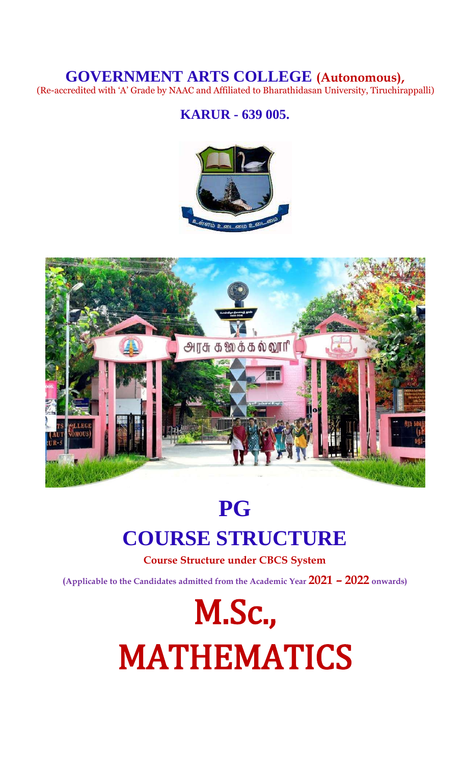# **GOVERNMENT ARTS COLLEGE (Autonomous),**

(Re-accredited with 'A' Grade by NAAC and Affiliated to Bharathidasan University, Tiruchirappalli)

# **KARUR - 639 005.**





# **PG COURSE STRUCTURE**

**Course Structure under CBCS System**

**(Applicable to the Candidates admitted from the Academic Year 2021 – 2022 onwards)**

M.Sc., MATHEMATICS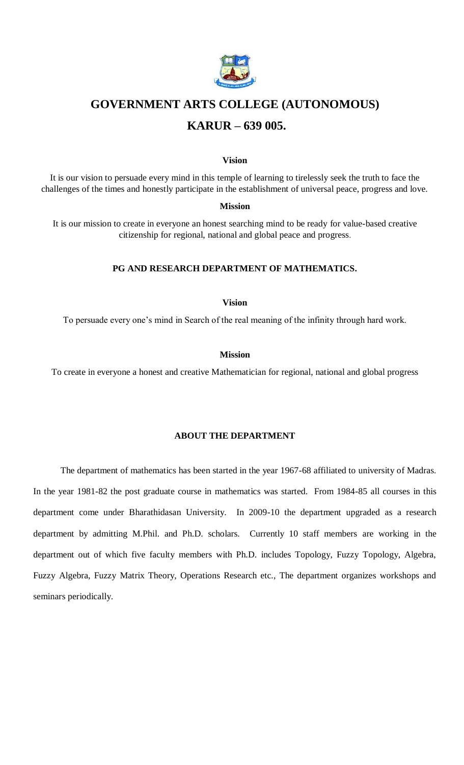

# **GOVERNMENT ARTS COLLEGE (AUTONOMOUS)**

# **KARUR – 639 005.**

#### **Vision**

It is our vision to persuade every mind in this temple of learning to tirelessly seek the truth to face the challenges of the times and honestly participate in the establishment of universal peace, progress and love.

### **Mission**

It is our mission to create in everyone an honest searching mind to be ready for value-based creative citizenship for regional, national and global peace and progress.

### **PG AND RESEARCH DEPARTMENT OF MATHEMATICS.**

### **Vision**

To persuade every one's mind in Search of the real meaning of the infinity through hard work.

### **Mission**

To create in everyone a honest and creative Mathematician for regional, national and global progress

# **ABOUT THE DEPARTMENT**

The department of mathematics has been started in the year 1967-68 affiliated to university of Madras. In the year 1981-82 the post graduate course in mathematics was started. From 1984-85 all courses in this department come under Bharathidasan University. In 2009-10 the department upgraded as a research department by admitting M.Phil. and Ph.D. scholars. Currently 10 staff members are working in the department out of which five faculty members with Ph.D. includes Topology, Fuzzy Topology, Algebra, Fuzzy Algebra, Fuzzy Matrix Theory, Operations Research etc., The department organizes workshops and seminars periodically.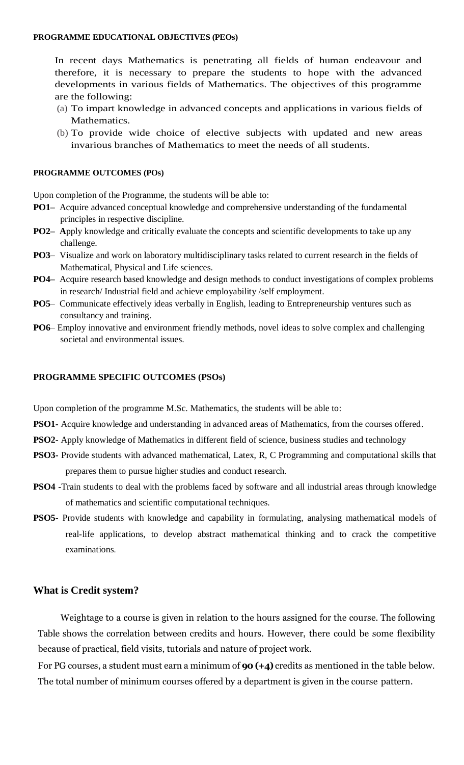In recent days Mathematics is penetrating all fields of human endeavour and therefore, it is necessary to prepare the students to hope with the advanced developments in various fields of Mathematics. The objectives of this programme are the following:

- (a) To impart knowledge in advanced concepts and applications in various fields of Mathematics.
- (b) To provide wide choice of elective subjects with updated and new areas invarious branches of Mathematics to meet the needs of all students.

# **PROGRAMME OUTCOMES (POs)**

Upon completion of the Programme, the students will be able to:

- **PO1–** Acquire advanced conceptual knowledge and comprehensive understanding of the fundamental principles in respective discipline.
- **PO2–** Apply knowledge and critically evaluate the concepts and scientific developments to take up any challenge.
- **PO3** Visualize and work on laboratory multidisciplinary tasks related to current research in the fields of Mathematical, Physical and Life sciences.
- **PO4–** Acquire research based knowledge and design methods to conduct investigations of complex problems in research/ Industrial field and achieve employability /self employment.
- **PO5** Communicate effectively ideas verbally in English, leading to Entrepreneurship ventures such as consultancy and training.
- **PO6** Employ innovative and environment friendly methods, novel ideas to solve complex and challenging societal and environmental issues.

# **PROGRAMME SPECIFIC OUTCOMES (PSOs)**

Upon completion of the programme M.Sc. Mathematics, the students will be able to:

- **PSO1-** Acquire knowledge and understanding in advanced areas of Mathematics, from the courses offered.
- **PSO2** Apply knowledge of Mathematics in different field of science, business studies and technology
- **PSO3-** Provide students with advanced mathematical, Latex, R, C Programming and computational skills that prepares them to pursue higher studies and conduct research.
- **PSO4 -**Train students to deal with the problems faced by software and all industrial areas through knowledge of mathematics and scientific computational techniques.
- **PSO5-** Provide students with knowledge and capability in formulating, analysing mathematical models of real-life applications, to develop abstract mathematical thinking and to crack the competitive examinations.

# **What is Credit system?**

Weightage to a course is given in relation to the hours assigned for the course. The following Table shows the correlation between credits and hours. However, there could be some flexibility because of practical, field visits, tutorials and nature of project work.

For PG courses, a student must earn a minimum of **90 (+4)** credits as mentioned in the table below. The total number of minimum courses offered by a department is given in the course pattern.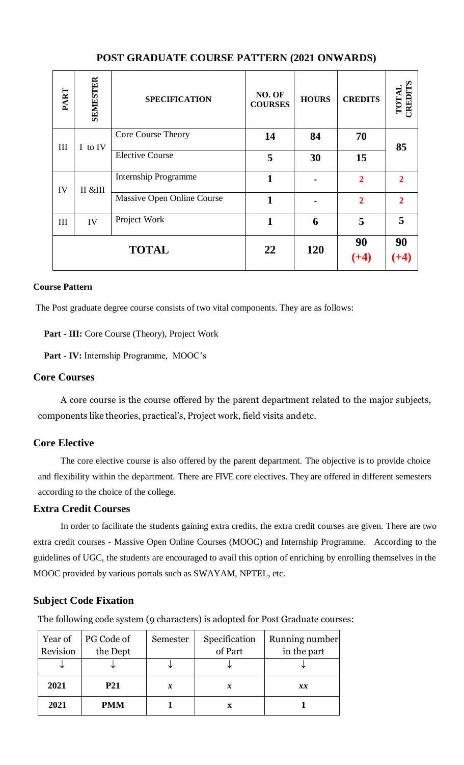| PART         | <b>SEMESTER</b> | <b>SPECIFICATION</b>        | NO. OF<br><b>COURSES</b> | <b>HOURS</b> | <b>CREDITS</b> | ∽<br>RED<br>ГOТ |
|--------------|-----------------|-----------------------------|--------------------------|--------------|----------------|-----------------|
| Ш            | I to IV         | Core Course Theory          | 14                       | 84           | 70             | 85              |
|              |                 | <b>Elective Course</b>      | 5                        | 30           | 15             |                 |
| IV           | II &III         | <b>Internship Programme</b> | 1                        |              | $\overline{2}$ | $\mathbf{2}$    |
|              |                 | Massive Open Online Course  | 1                        |              | $\overline{2}$ | $\mathbf{2}$    |
| III          | IV              | Project Work                | 1                        | 6            | 5              | 5               |
| <b>TOTAL</b> |                 | 22                          | 120                      | 90           | 90             |                 |

# **POST GRADUATE COURSE PATTERN (2021 ONWARDS)**

# **Course Pattern**

The Post graduate degree course consists of two vital components. They are as follows:

**Part - III:** Core Course (Theory), Project Work

**Part - IV:** Internship Programme, MOOC's

# **Core Courses**

A core course is the course offered by the parent department related to the major subjects, components like theories, practical's, Project work, field visits andetc.

# **Core Elective**

The core elective course is also offered by the parent department. The objective is to provide choice and flexibility within the department. There are FIVE core electives. They are offered in different semesters according to the choice of the college.

# **Extra Credit Courses**

In order to facilitate the students gaining extra credits, the extra credit courses are given. There are two extra credit courses - Massive Open Online Courses (MOOC) and Internship Programme. According to the guidelines of UGC, the students are encouraged to avail this option of enriching by enrolling themselves in the MOOC provided by various portals such as SWAYAM, NPTEL, etc.

# **Subject Code Fixation**

The following code system (9 characters) is adopted for Post Graduate courses:

| Year of<br>Revision | PG Code of<br>the Dept | Semester         | Specification<br>of Part | Running number<br>in the part |
|---------------------|------------------------|------------------|--------------------------|-------------------------------|
| ◡                   |                        |                  |                          |                               |
| 2021                | <b>P21</b>             | $\boldsymbol{x}$ |                          | $\mathbf{x} \mathbf{x}$       |
| 2021                | <b>PMM</b>             |                  |                          |                               |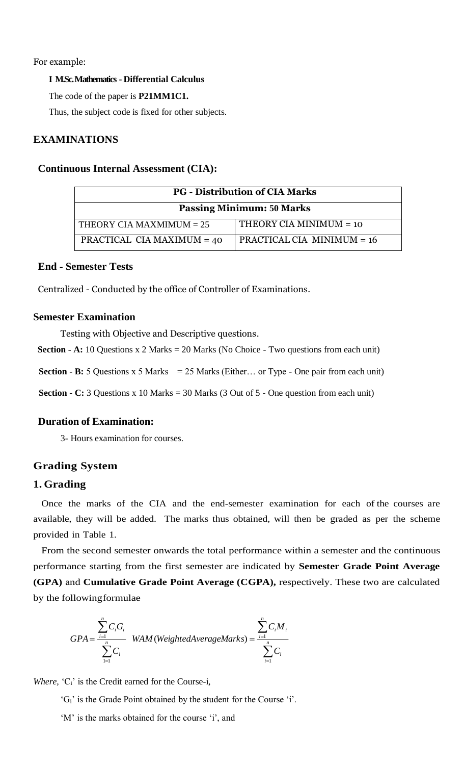# For example:

# **I M.Sc. Mathematics - Differential Calculus**

The code of the paper is **P21MM1C1.**

Thus, the subject code is fixed for other subjects.

# **EXAMINATIONS**

# **Continuous Internal Assessment (CIA):**

| <b>PG</b> - Distribution of CIA Marks |                              |  |  |  |  |  |
|---------------------------------------|------------------------------|--|--|--|--|--|
| <b>Passing Minimum: 50 Marks</b>      |                              |  |  |  |  |  |
| THEORY CIA MAXMIMUM $= 25$            | THEORY CIA MINIMUM $=$ 10    |  |  |  |  |  |
| PRACTICAL CIA MAXIMUM = 40            | PRACTICAL CIA MINIMUM $= 16$ |  |  |  |  |  |

# **End - Semester Tests**

Centralized - Conducted by the office of Controller of Examinations.

# **Semester Examination**

Testing with Objective and Descriptive questions.

**Section - A:** 10 Questions x 2 Marks  $= 20$  Marks (No Choice - Two questions from each unit)

**Section - B:** 5 Questions x 5 Marks  $= 25$  Marks (Either... or Type - One pair from each unit)

**Section - C:** 3 Questions x 10 Marks  $=$  30 Marks  $(3$  Out of  $5$  - One question from each unit)

# **Duration of Examination:**

3- Hours examination for courses.

# **Grading System**

# **1. Grading**

Once the marks of the CIA and the end-semester examination for each of the courses are available, they will be added. The marks thus obtained, will then be graded as per the scheme provided in Table 1.

From the second semester onwards the total performance within a semester and the continuous performance starting from the first semester are indicated by **Semester Grade Point Average (GPA)** and **Cumulative Grade Point Average (CGPA),** respectively. These two are calculated by the followingformulae

$$
GPA = \frac{\sum_{i=1}^{n} C_i G_i}{\sum_{i=1}^{n} C_i}
$$
 *WAM (WeightedAverage Marks)* =  $\frac{\sum_{i=1}^{n} C_i M_i}{\sum_{i=1}^{n} C_i}$ 

*Where,* 'C<sub>i</sub>' is the Credit earned for the Course-i,

- 'Gi' is the Grade Point obtained by the student for the Course 'i'.
- 'M' is the marks obtained for the course 'i', and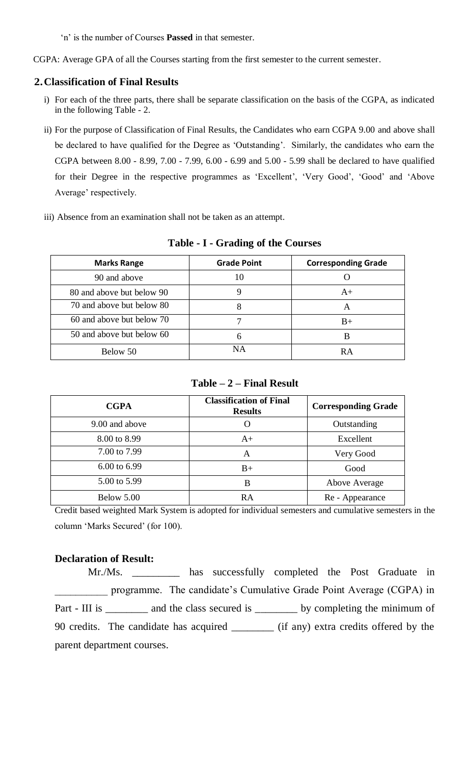'n' is the number of Courses **Passed** in that semester.

CGPA: Average GPA of all the Courses starting from the first semester to the current semester.

# **2.Classification of Final Results**

- i) For each of the three parts, there shall be separate classification on the basis of the CGPA, as indicated in the following Table - 2.
- ii) For the purpose of Classification of Final Results, the Candidates who earn CGPA 9.00 and above shall be declared to have qualified for the Degree as 'Outstanding'. Similarly, the candidates who earn the CGPA between 8.00 - 8.99, 7.00 - 7.99, 6.00 - 6.99 and 5.00 - 5.99 shall be declared to have qualified for their Degree in the respective programmes as 'Excellent', 'Very Good', 'Good' and 'Above Average' respectively.
- iii) Absence from an examination shall not be taken as an attempt.

| <b>Marks Range</b>        | <b>Grade Point</b> | <b>Corresponding Grade</b> |
|---------------------------|--------------------|----------------------------|
| 90 and above              | 10                 |                            |
| 80 and above but below 90 |                    | $A+$                       |
| 70 and above but below 80 |                    | A                          |
| 60 and above but below 70 |                    | $B+$                       |
| 50 and above but below 60 | 6                  | B                          |
| Below 50                  | NΑ                 | R A                        |

**Table - I - Grading of the Courses**

# **Table – 2 – Final Result**

| <b>CGPA</b>             | <b>Classification of Final</b><br><b>Results</b> | <b>Corresponding Grade</b> |
|-------------------------|--------------------------------------------------|----------------------------|
| 9.00 and above          |                                                  | Outstanding                |
| 8.00 to 8.99            | $A+$                                             | Excellent                  |
| 7.00 to 7.99            | A                                                | Very Good                  |
| $6.00 \text{ to } 6.99$ | $B+$                                             | Good                       |
| 5.00 to 5.99            | в                                                | Above Average              |
| Below 5.00              | RA                                               | Re - Appearance            |

Credit based weighted Mark System is adopted for individual semesters and cumulative semesters in the column 'Marks Secured' (for 100).

# **Declaration of Result:**

Mr./Ms. \_\_\_\_\_\_\_\_\_ has successfully completed the Post Graduate in \_\_\_\_\_\_\_\_\_\_ programme. The candidate's Cumulative Grade Point Average (CGPA) in Part - III is \_\_\_\_\_\_\_ and the class secured is \_\_\_\_\_\_\_\_ by completing the minimum of 90 credits. The candidate has acquired \_\_\_\_\_\_\_\_ (if any) extra credits offered by the parent department courses.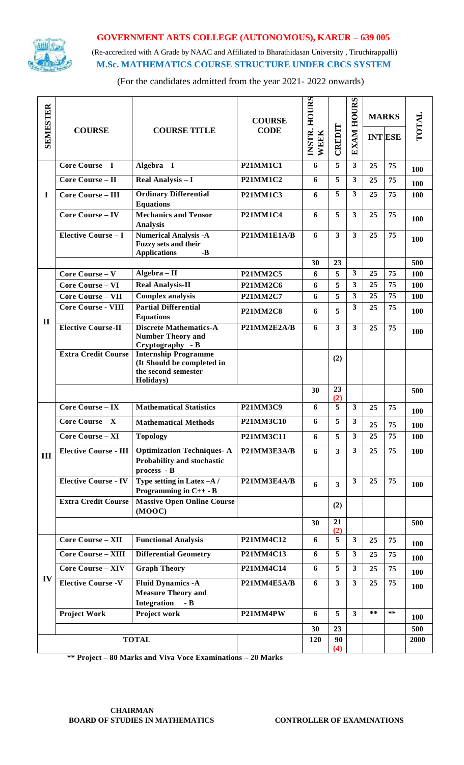

# **GOVERNMENT ARTS COLLEGE (AUTONOMOUS), KARUR – 639 005**

 (Re-accredited with A Grade by NAAC and Affiliated to Bharathidasan University , Tiruchirappalli)  **M.Sc. MATHEMATICS COURSE STRUCTURE UNDER CBCS SYSTEM**

(For the candidates admitted from the year 2021- 2022 onwards)

| <b>SEMESTER</b> |                              |                                                                                               |                  | <b>HOURS</b>          |                         | <b>EXAM HOURS</b>       |       | <b>MARKS</b>   |            |
|-----------------|------------------------------|-----------------------------------------------------------------------------------------------|------------------|-----------------------|-------------------------|-------------------------|-------|----------------|------------|
|                 | <b>COURSE</b>                | <b>COURSE TITLE</b>                                                                           | <b>CODE</b>      | INSTR.<br><b>WEEK</b> | CREDIT                  |                         |       | <b>INT ESE</b> | TOTAL      |
|                 | Core Course - I              | $Algebra - I$                                                                                 | <b>P21MM1C1</b>  | 6                     | 5                       | $\mathbf{3}$            | 25    | 75             | 100        |
|                 | <b>Core Course - II</b>      | Real Analysis - I                                                                             | <b>P21MM1C2</b>  | 6                     | 5                       | $\overline{\mathbf{3}}$ | 25    | 75             | 100        |
| $\mathbf I$     | <b>Core Course - III</b>     | <b>Ordinary Differential</b><br><b>Equations</b>                                              | <b>P21MM1C3</b>  | 6                     | 5                       | $\overline{\mathbf{3}}$ | 25    | 75             | 100        |
|                 | Core Course - IV             | <b>Mechanics and Tensor</b><br><b>Analysis</b>                                                | <b>P21MM1C4</b>  | 6                     | 5                       | $\mathbf{3}$            | 25    | 75             | <b>100</b> |
|                 | <b>Elective Course - I</b>   | <b>Numerical Analysis -A</b><br><b>Fuzzy sets and their</b><br><b>Applications</b><br>$-B$    | P21MM1E1A/B      | 6                     | $\overline{\mathbf{3}}$ | $\overline{\mathbf{3}}$ | 25    | 75             | 100        |
|                 |                              |                                                                                               |                  | 30                    | 23                      |                         |       |                | 500        |
|                 | Core Course - V              | Algebra - II                                                                                  | <b>P21MM2C5</b>  | 6                     | 5                       | $\overline{\mathbf{3}}$ | 25    | 75             | <b>100</b> |
|                 | <b>Core Course - VI</b>      | <b>Real Analysis-II</b>                                                                       | <b>P21MM2C6</b>  | 6                     | 5                       | $\overline{\mathbf{3}}$ | 25    | 75             | 100        |
|                 | <b>Core Course - VII</b>     | <b>Complex analysis</b>                                                                       | <b>P21MM2C7</b>  | 6                     | 5                       | $\overline{\mathbf{3}}$ | 25    | 75             | 100        |
| $\mathbf{I}$    | <b>Core Course - VIII</b>    | <b>Partial Differential</b><br><b>Equations</b>                                               | <b>P21MM2C8</b>  | 6                     | 5                       | 3                       | 25    | 75             | 100        |
|                 | <b>Elective Course-II</b>    | <b>Discrete Mathematics-A</b><br>P21MM2E2A/B<br><b>Number Theory and</b><br>Cryptography - B  |                  | 6                     | $\overline{\mathbf{3}}$ | $\overline{\mathbf{3}}$ | 25    | 75             | 100        |
|                 | <b>Extra Credit Course</b>   | <b>Internship Programme</b><br>(It Should be completed in<br>the second semester<br>Holidays) |                  |                       | (2)                     |                         |       |                |            |
|                 |                              |                                                                                               |                  | 30                    | 23<br>(2)               |                         |       |                | 500        |
|                 | $Core$ Course – IX           | <b>Mathematical Statistics</b>                                                                | <b>P21MM3C9</b>  | 6                     | 5                       | $\overline{\mathbf{3}}$ | 25    | 75             | 100        |
|                 | Core Course $-X$             | <b>Mathematical Methods</b>                                                                   | <b>P21MM3C10</b> | 6                     | 5                       | $\overline{\mathbf{3}}$ | 25    | 75             | 100        |
|                 | Core Course - XI             | <b>Topology</b>                                                                               | P21MM3C11        | 6                     | 5 <sup>1</sup>          | $\overline{\mathbf{3}}$ | 25    | 75             | 100        |
| III             | <b>Elective Course - III</b> | <b>Optimization Techniques-A</b><br>Probability and stochastic<br>$process - B$               | P21MM3E3A/B      | 6                     | $\mathbf{3}$            | 3 <sup>1</sup>          | 25    | 75             | 100        |
|                 | <b>Elective Course - IV</b>  | Type setting in Latex -A /<br>Programming in $C++$ - B                                        | P21MM3E4A/B      | 6                     | 3                       | $\overline{\mathbf{3}}$ | 25    | 75             | <b>100</b> |
|                 | <b>Extra Credit Course</b>   | <b>Massive Open Online Course</b><br>(MOOC)                                                   |                  |                       | (2)                     |                         |       |                |            |
|                 |                              |                                                                                               |                  | 30                    | 21<br>(2)               |                         |       |                | 500        |
|                 | <b>Core Course - XII</b>     | <b>Functional Analysis</b>                                                                    | P21MM4C12        | 6                     | 5                       | $\overline{\mathbf{3}}$ | 25    | 75             | 100        |
|                 | <b>Core Course - XIII</b>    | <b>Differential Geometry</b>                                                                  | P21MM4C13        | 6                     | 5                       | $\mathbf{3}$            | 25    | 75             | 100        |
|                 | <b>Core Course - XIV</b>     | <b>Graph Theory</b>                                                                           | P21MM4C14        | 6                     | 5                       | $\mathbf{3}$            | 25    | 75             | 100        |
| IV              | <b>Elective Course -V</b>    | <b>Fluid Dynamics -A</b><br>P21MM4E5A/B<br><b>Measure Theory and</b><br>Integration<br>$-B$   |                  | 6                     | $\mathbf{3}$            | $\mathbf{3}$            | 25    | 75             | <b>100</b> |
|                 | <b>Project Work</b>          | Project work                                                                                  | P21MM4PW         | 6                     | 5                       | $\overline{\mathbf{3}}$ | $***$ | **             | 100        |
|                 |                              |                                                                                               |                  | 30                    | 23                      |                         |       |                | 500        |
|                 |                              | <b>TOTAL</b>                                                                                  |                  | 120                   | 90<br>(4)               |                         |       |                | 2000       |

**\*\* Project – 80 Marks and Viva Voce Examinations – 20 Marks**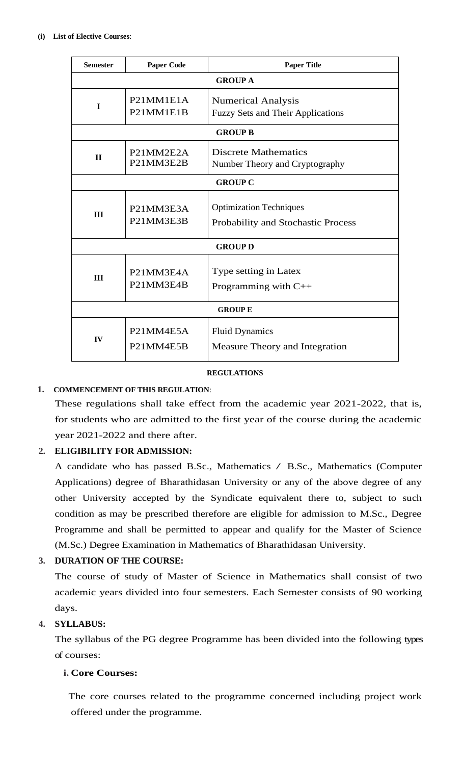| <b>Semester</b>               | <b>Paper Code</b>                                                          | <b>Paper Title</b>                                                    |  |  |  |  |  |
|-------------------------------|----------------------------------------------------------------------------|-----------------------------------------------------------------------|--|--|--|--|--|
|                               | <b>GROUP A</b>                                                             |                                                                       |  |  |  |  |  |
| $\mathbf I$                   | P21MM1E1A<br>P <sub>21</sub> MM <sub>1E1B</sub>                            | <b>Numerical Analysis</b><br><b>Fuzzy Sets and Their Applications</b> |  |  |  |  |  |
|                               |                                                                            | <b>GROUP B</b>                                                        |  |  |  |  |  |
| $\mathbf{H}$                  | P <sub>21</sub> MM <sub>2E2</sub> A<br>P21MM3E2B                           | <b>Discrete Mathematics</b><br>Number Theory and Cryptography         |  |  |  |  |  |
| <b>GROUP C</b>                |                                                                            |                                                                       |  |  |  |  |  |
| III                           | P <sub>21</sub> MM <sub>3E3</sub> A<br>P <sub>21</sub> MM <sub>3E3</sub> B | <b>Optimization Techniques</b><br>Probability and Stochastic Process  |  |  |  |  |  |
|                               |                                                                            | <b>GROUP D</b>                                                        |  |  |  |  |  |
| P21MM3E4A<br>III<br>P21MM3E4B |                                                                            | Type setting in Latex<br>Programming with $C++$                       |  |  |  |  |  |
| <b>GROUPE</b>                 |                                                                            |                                                                       |  |  |  |  |  |
| IV                            | P21MM4E5A<br>P21MM4E5B                                                     | <b>Fluid Dynamics</b><br>Measure Theory and Integration               |  |  |  |  |  |

# **REGULATIONS**

# **1. COMMENCEMENT OF THIS REGULATION**:

These regulations shall take effect from the academic year 2021-2022, that is, for students who are admitted to the first year of the course during the academic year 2021-2022 and there after.

# **2. ELIGIBILITY FOR ADMISSION:**

A candidate who has passed B.Sc., Mathematics / B.Sc., Mathematics (Computer Applications) degree of Bharathidasan University or any of the above degree of any other University accepted by the Syndicate equivalent there to, subject to such condition as may be prescribed therefore are eligible for admission to M.Sc., Degree Programme and shall be permitted to appear and qualify for the Master of Science (M.Sc.) Degree Examination in Mathematics of Bharathidasan University.

# **3. DURATION OF THE COURSE:**

The course of study of Master of Science in Mathematics shall consist of two academic years divided into four semesters. Each Semester consists of 90 working days.

# **4. SYLLABUS:**

The syllabus of the PG degree Programme has been divided into the following types of courses:

# **i. Core Courses:**

The core courses related to the programme concerned including project work offered under the programme.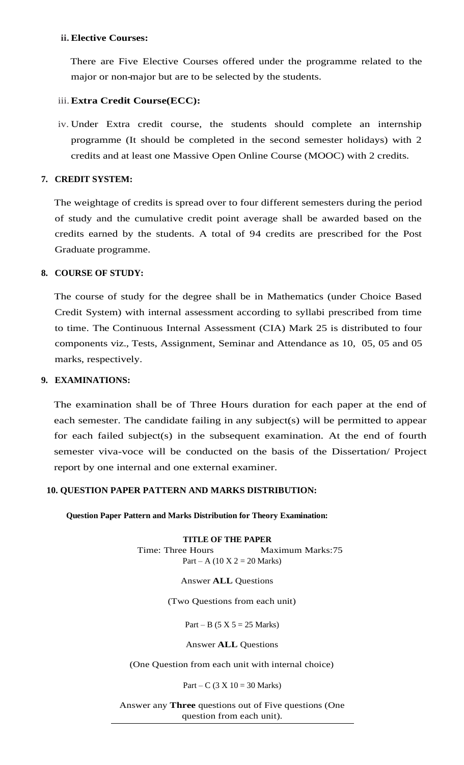# **ii. Elective Courses:**

There are Five Elective Courses offered under the programme related to the major or non-major but are to be selected by the students.

# iii.**Extra Credit Course(ECC):**

iv. Under Extra credit course, the students should complete an internship programme (It should be completed in the second semester holidays) with 2 credits and at least one Massive Open Online Course (MOOC) with 2 credits.

# **7. CREDIT SYSTEM:**

The weightage of credits is spread over to four different semesters during the period of study and the cumulative credit point average shall be awarded based on the credits earned by the students. A total of 94 credits are prescribed for the Post Graduate programme.

# **8. COURSE OF STUDY:**

The course of study for the degree shall be in Mathematics (under Choice Based Credit System) with internal assessment according to syllabi prescribed from time to time. The Continuous Internal Assessment (CIA) Mark 25 is distributed to four components viz., Tests, Assignment, Seminar and Attendance as 10, 05, 05 and 05 marks, respectively.

# **9. EXAMINATIONS:**

The examination shall be of Three Hours duration for each paper at the end of each semester. The candidate failing in any subject(s) will be permitted to appear for each failed subject(s) in the subsequent examination. At the end of fourth semester viva-voce will be conducted on the basis of the Dissertation/ Project report by one internal and one external examiner.

# **10. QUESTION PAPER PATTERN AND MARKS DISTRIBUTION:**

**a. Question Paper Pattern and Marks Distribution for Theory Examination:**

**TITLE OF THE PAPER** Time: Three Hours Maximum Marks:75 Part – A (10 X 2 = 20 Marks)

# Answer **ALL** Questions

(Two Questions from each unit)

Part – B (5 X 5 = 25 Marks)

Answer **ALL** Questions

(One Question from each unit with internal choice)

Part – C (3 X 10 = 30 Marks)

Answer any **Three** questions out of Five questions (One question from each unit).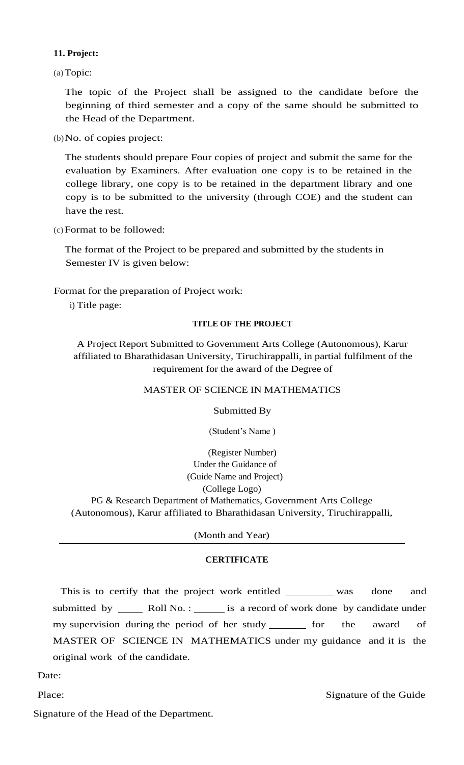# **11. Project:**

(a)Topic:

The topic of the Project shall be assigned to the candidate before the beginning of third semester and a copy of the same should be submitted to the Head of the Department.

(b)No. of copies project:

The students should prepare Four copies of project and submit the same for the evaluation by Examiners. After evaluation one copy is to be retained in the college library, one copy is to be retained in the department library and one copy is to be submitted to the university (through COE) and the student can have the rest.

(c)Format to be followed:

The format of the Project to be prepared and submitted by the students in Semester IV is given below:

Format for the preparation of Project work:

i) Title page:

### **TITLE OF THE PROJECT**

A Project Report Submitted to Government Arts College (Autonomous), Karur affiliated to Bharathidasan University, Tiruchirappalli, in partial fulfilment of the requirement for the award of the Degree of

# MASTER OF SCIENCE IN MATHEMATICS

Submitted By

(Student's Name )

(Register Number) Under the Guidance of (Guide Name and Project) (College Logo) PG & Research Department of Mathematics, Government Arts College (Autonomous), Karur affiliated to Bharathidasan University, Tiruchirappalli,

(Month and Year)

# **CERTIFICATE**

This is to certify that the project work entitled was done and submitted by \_\_\_\_\_\_ Roll No. : \_\_\_\_\_\_ is a record of work done by candidate under my supervision during the period of her study for the award of MASTER OF SCIENCE IN MATHEMATICS under my guidance and it is the original work of the candidate.

Date:

Place: Signature of the Guide

Signature of the Head of the Department.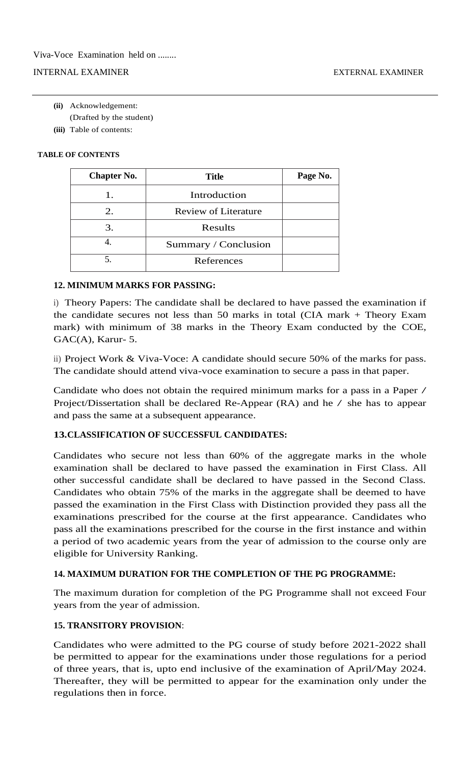# INTERNAL EXAMINER EXTERNAL EXAMINER

- **(ii)** Acknowledgement:
	- (Drafted by the student)
- **(iii)** Table of contents:

# **TABLE OF CONTENTS**

| <b>Chapter No.</b> | <b>Title</b>                |  |
|--------------------|-----------------------------|--|
| 1.                 | Introduction                |  |
| 2.                 | <b>Review of Literature</b> |  |
| 3.                 | Results                     |  |
|                    | Summary / Conclusion        |  |
|                    | References                  |  |

# **12. MINIMUM MARKS FOR PASSING:**

i) Theory Papers: The candidate shall be declared to have passed the examination if the candidate secures not less than 50 marks in total (CIA mark + Theory Exam mark) with minimum of 38 marks in the Theory Exam conducted by the COE, GAC(A), Karur- 5.

ii) Project Work & Viva-Voce: A candidate should secure 50% of the marks for pass. The candidate should attend viva-voce examination to secure a pass in that paper.

Candidate who does not obtain the required minimum marks for a pass in a Paper / Project/Dissertation shall be declared Re-Appear (RA) and he / she has to appear and pass the same at a subsequent appearance.

# **13.CLASSIFICATION OF SUCCESSFUL CANDIDATES:**

Candidates who secure not less than 60% of the aggregate marks in the whole examination shall be declared to have passed the examination in First Class. All other successful candidate shall be declared to have passed in the Second Class. Candidates who obtain 75% of the marks in the aggregate shall be deemed to have passed the examination in the First Class with Distinction provided they pass all the examinations prescribed for the course at the first appearance. Candidates who pass all the examinations prescribed for the course in the first instance and within a period of two academic years from the year of admission to the course only are eligible for University Ranking.

# **14. MAXIMUM DURATION FOR THE COMPLETION OF THE PG PROGRAMME:**

The maximum duration for completion of the PG Programme shall not exceed Four years from the year of admission.

# **15. TRANSITORY PROVISION**:

Candidates who were admitted to the PG course of study before 2021-2022 shall be permitted to appear for the examinations under those regulations for a period of three years, that is, upto end inclusive of the examination of April/May 2024. Thereafter, they will be permitted to appear for the examination only under the regulations then in force.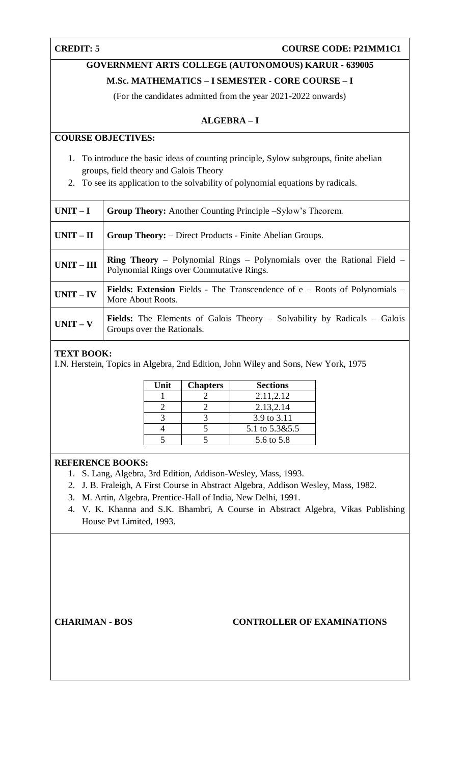# **GOVERNMENT ARTS COLLEGE (AUTONOMOUS) KARUR - 639005**

# **M.Sc. MATHEMATICS – I SEMESTER - CORE COURSE – I**

(For the candidates admitted from the year 2021-2022 onwards)

# **ALGEBRA – I**

# **COURSE OBJECTIVES:**

- 1. To introduce the basic ideas of counting principle, Sylow subgroups, finite abelian groups, field theory and Galois Theory
- 2. To see its application to the solvability of polynomial equations by radicals.

| $UNIT-I$     | <b>Group Theory:</b> Another Counting Principle –Sylow's Theorem.                                                         |
|--------------|---------------------------------------------------------------------------------------------------------------------------|
| $UNIT - II$  | <b>Group Theory:</b> – Direct Products - Finite Abelian Groups.                                                           |
| $UNIT - III$ | <b>Ring Theory</b> – Polynomial Rings – Polynomials over the Rational Field –<br>Polynomial Rings over Commutative Rings. |
| $UNIT - IV$  | <b>Fields: Extension</b> Fields - The Transcendence of $e$ – Roots of Polynomials –<br>More About Roots.                  |
| $UNIT - V$   | <b>Fields:</b> The Elements of Galois Theory – Solvability by Radicals – Galois<br>Groups over the Rationals.             |

# **TEXT BOOK:**

I.N. Herstein, Topics in Algebra*,* 2nd Edition, John Wiley and Sons, New York, 1975

| Unit | <b>Chapters</b> | <b>Sections</b> |
|------|-----------------|-----------------|
|      |                 | 2.11,2.12       |
|      |                 | 2.13, 2.14      |
|      |                 | 3.9 to 3.11     |
|      |                 | 5.1 to 5.3&5.5  |
|      |                 | 5.6 to 5.8      |

# **REFERENCE BOOKS:**

- 1. S. Lang, Algebra, 3rd Edition, Addison-Wesley, Mass, 1993.
- 2. J. B. Fraleigh, A First Course in Abstract Algebra*,* Addison Wesley, Mass, 1982.
- 3. M. Artin, Algebra*,* Prentice-Hall of India, New Delhi, 1991.
- 4. V. K. Khanna and S.K. Bhambri, A Course in Abstract Algebra, Vikas Publishing House Pvt Limited, 1993.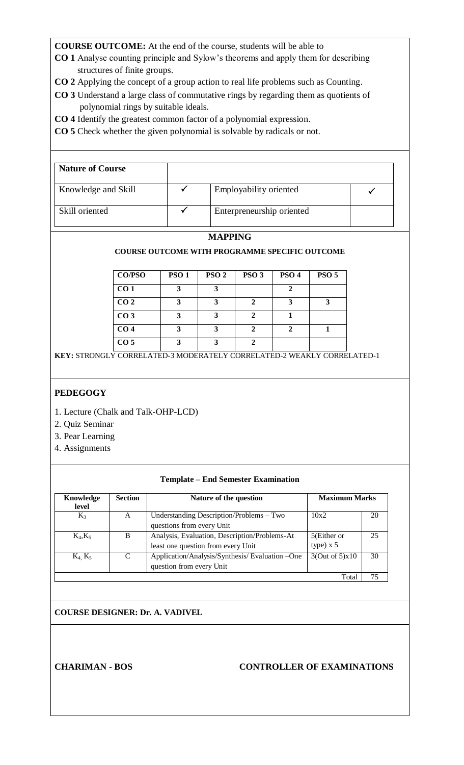- **CO 1** Analyse counting principle and Sylow's theorems and apply them for describing structures of finite groups.
- **CO 2** Applying the concept of a group action to real life problems such as Counting.
- **CO 3** Understand a large class of commutative rings by regarding them as quotients of polynomial rings by suitable ideals.
- **CO 4** Identify the greatest common factor of a polynomial expression.
- **CO 5** Check whether the given polynomial is solvable by radicals or not.

| <b>Nature of Course</b> |                           |  |
|-------------------------|---------------------------|--|
| Knowledge and Skill     | Employability oriented    |  |
| Skill oriented          | Enterpreneurship oriented |  |

# **MAPPING**

# **COURSE OUTCOME WITH PROGRAMME SPECIFIC OUTCOME**

| <b>CO/PSO</b>   | <b>PSO1</b> | PSO <sub>2</sub> | PSO <sub>3</sub> | PSO <sub>4</sub> | PSO <sub>5</sub> |
|-----------------|-------------|------------------|------------------|------------------|------------------|
| CO <sub>1</sub> | 3           |                  |                  |                  |                  |
| CO <sub>2</sub> | 3           |                  |                  |                  |                  |
| CO <sub>3</sub> | 3           |                  |                  |                  |                  |
| CO <sub>4</sub> |             |                  |                  |                  |                  |
| CO <sub>5</sub> |             |                  |                  |                  |                  |

**KEY:** STRONGLY CORRELATED-3 MODERATELY CORRELATED-2 WEAKLY CORRELATED-1

# **PEDEGOGY**

- 1. Lecture (Chalk and Talk-OHP-LCD)
- 2. Quiz Seminar
- 3. Pear Learning
- 4. Assignments

#### **Template – End Semester Examination**

| Knowledge<br>level | <b>Section</b> | Nature of the question                                                              | <b>Maximum Marks</b>       |    |
|--------------------|----------------|-------------------------------------------------------------------------------------|----------------------------|----|
| $K_3$              | A              | Understanding Description/Problems - Two<br>questions from every Unit               | 10x2                       | 20 |
| $K_4, K_5$         | B              | Analysis, Evaluation, Description/Problems-At<br>least one question from every Unit | 5(Either or<br>type) $x 5$ | 25 |
| $K_4$ , $K_5$      | $\mathcal{C}$  | Application/Analysis/Synthesis/Evaluation -One<br>question from every Unit          | 3(Out of 5)x10             | 30 |
|                    |                |                                                                                     | Total                      | 75 |

**COURSE DESIGNER: Dr. A. VADIVEL**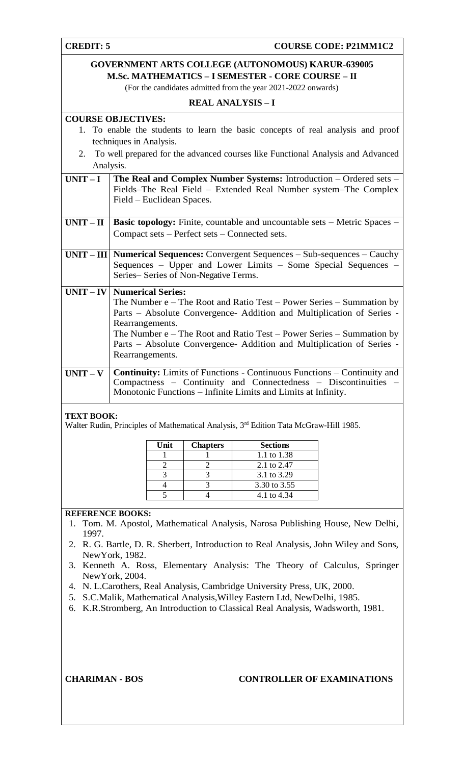**CREDIT: 5 COURSE CODE: P21MM1C2** 

# **GOVERNMENT ARTS COLLEGE (AUTONOMOUS) KARUR-639005 M.Sc. MATHEMATICS – I SEMESTER - CORE COURSE – II** (For the candidates admitted from the year 2021-2022 onwards)

### **REAL ANALYSIS – I**

# **COURSE OBJECTIVES:**

- 1. To enable the students to learn the basic concepts of real analysis and proof techniques in Analysis.
- 2. To well prepared for the advanced courses like Functional Analysis and Advanced Analysis.

| UNIT – I The Real and Complex Number Systems: Introduction – Ordered sets – |
|-----------------------------------------------------------------------------|
| Fields–The Real Field – Extended Real Number system–The Complex             |
| Field – Euclidean Spaces.                                                   |

- **UNIT II** Basic topology: Finite, countable and uncountable sets Metric Spaces Compact sets – Perfect sets – Connected sets.
- **UNIT – III Numerical Sequences:** Convergent Sequences Sub-sequences Cauchy Sequences – Upper and Lower Limits – Some Special Sequences – Series– Series of Non-Negative Terms.

# **UNIT – IV Numerical Series:** The Number e – The Root and Ratio Test – Power Series – Summation by Parts – Absolute Convergence- Addition and Multiplication of Series - Rearrangements. The Number e – The Root and Ratio Test – Power Series – Summation by Parts – Absolute Convergence- Addition and Multiplication of Series - Rearrangements. **UNIT – V Continuity:** Limits of Functions - Continuous Functions – Continuity and Compactness – Continuity and Connectedness – Discontinuities – Monotonic Functions – Infinite Limits and Limits at Infinity.

# **TEXT BOOK:**

Walter Rudin, Principles of Mathematical Analysis, 3<sup>rd</sup> Edition Tata McGraw-Hill 1985.

| Unit | <b>Chapters</b> | <b>Sections</b> |
|------|-----------------|-----------------|
|      |                 | 1.1 to 1.38     |
|      |                 | 2.1 to 2.47     |
|      |                 | 3.1 to 3.29     |
|      |                 | 3.30 to 3.55    |
|      |                 | 4.1 to 4.34     |

# **REFERENCE BOOKS:**

- 1. Tom. M. Apostol, Mathematical Analysis, Narosa Publishing House, New Delhi, 1997.
- 2. R. G. Bartle, D. R. Sherbert, Introduction to Real Analysis, John Wiley and Sons, NewYork, 1982.
- 3. Kenneth A. Ross, Elementary Analysis: The Theory of Calculus, Springer NewYork, 2004.
- 4. N. L.Carothers, Real Analysis, Cambridge University Press, UK, 2000.
- 5. S.C.Malik, Mathematical Analysis,Willey Eastern Ltd, NewDelhi, 1985.
- 6. K.R.Stromberg, An Introduction to Classical Real Analysis, Wadsworth, 1981.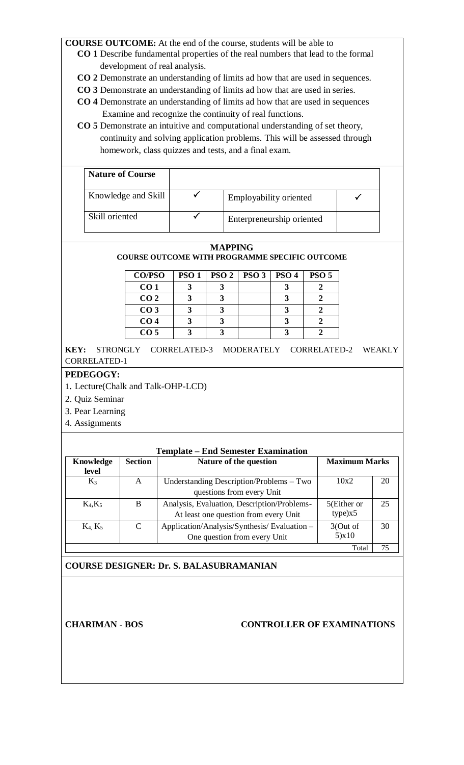- **CO 1** Describe fundamental properties of the real numbers that lead to the formal development of real analysis.
- **CO 2** Demonstrate an understanding of limits ad how that are used in sequences.
- **CO 3** Demonstrate an understanding of limits ad how that are used in series.
- **CO 4** Demonstrate an understanding of limits ad how that are used in sequences Examine and recognize the continuity of real functions.
- **CO 5** Demonstrate an intuitive and computational understanding of set theory, continuity and solving application problems. This will be assessed through homework, class quizzes and tests, and a final exam.

| <b>Nature of Course</b> |                           |  |
|-------------------------|---------------------------|--|
| Knowledge and Skill     | Employability oriented    |  |
| Skill oriented          | Enterpreneurship oriented |  |

#### **MAPPING COURSE OUTCOME WITH PROGRAMME SPECIFIC OUTCOME**

| <b>CO/PSO</b>   | <b>PSO 1</b> | PSO <sub>2</sub> | PSO <sub>3</sub> | PSO <sub>4</sub> | PSO <sub>5</sub> |
|-----------------|--------------|------------------|------------------|------------------|------------------|
| CO <sub>1</sub> |              |                  |                  |                  |                  |
| CO <sub>2</sub> |              |                  |                  |                  |                  |
| CO <sub>3</sub> |              |                  |                  |                  |                  |
| CO <sub>4</sub> |              |                  |                  |                  |                  |
| CO <sub>5</sub> |              |                  |                  |                  |                  |

**KEY:** STRONGLY CORRELATED-3 MODERATELY CORRELATED-2 WEAKLY CORRELATED-1

# **PEDEGOGY:**

- 1. Lecture(Chalk and Talk-OHP-LCD)
- 2. Quiz Seminar
- 3. Pear Learning
- 4. Assignments

| <b>Knowledge</b> | <b>Section</b> | Nature of the question                      | <b>Maximum Marks</b> |    |
|------------------|----------------|---------------------------------------------|----------------------|----|
| level            |                |                                             |                      |    |
| $K_3$            | A              | Understanding Description/Problems – Two    | 10x2                 | 20 |
|                  |                | questions from every Unit                   |                      |    |
| $K_4, K_5$       | B              | Analysis, Evaluation, Description/Problems- | 5(Either or          | 25 |
|                  |                | At least one question from every Unit       | type)x5              |    |
| $K_4$ , $K_5$    | $\mathsf{C}$   | Application/Analysis/Synthesis/Evaluation - | 3(Out of             | 30 |
|                  |                | One question from every Unit                | 5)x10                |    |

**COURSE DESIGNER: Dr. S. BALASUBRAMANIAN**

# **CHARIMAN - BOS CONTROLLER OF EXAMINATIONS**

Total 75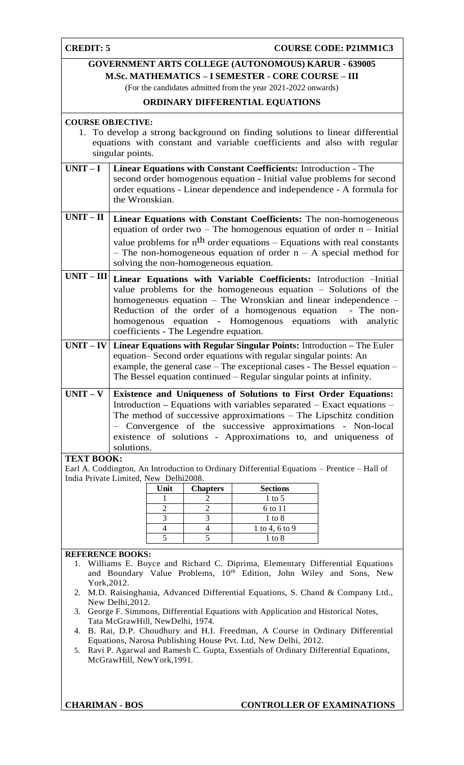# **CREDIT: 5 COURSE CODE: P21MM1C3**

# **GOVERNMENT ARTS COLLEGE (AUTONOMOUS) KARUR - 639005 M.Sc. MATHEMATICS – I SEMESTER - CORE COURSE – III**

(For the candidates admitted from the year 2021-2022 onwards)

# **ORDINARY DIFFERENTIAL EQUATIONS**

# **COURSE OBJECTIVE:**

- 1. To develop a strong background on finding solutions to linear differential equations with constant and variable coefficients and also with regular singular points.
- **UNIT – I Linear Equations with Constant Coefficients:** Introduction The second order homogenous equation - Initial value problems for second order equations - Linear dependence and independence - A formula for the Wronskian.
- **UNIT II** Linear Equations with Constant Coefficients: The non-homogeneous equation of order two – The homogenous equation of order  $n -$  Initial value problems for  $n<sup>th</sup>$  order equations – Equations with real constants – The non-homogeneous equation of order  $n - A$  special method for solving the non-homogeneous equation.
- **UNIT – III Linear Equations with Variable Coefficients:** Introduction –Initial value problems for the homogeneous equation – Solutions of the homogeneous equation – The Wronskian and linear independence – Reduction of the order of a homogenous equation - The nonhomogenous equation - Homogenous equations with analytic coefficients - The Legendre equation.
- **UNIT – IV Linear Equations with Regular Singular Points:** Introduction **–** The Euler equation– Second order equations with regular singular points: An example, the general case – The exceptional cases - The Bessel equation – The Bessel equation continued – Regular singular points at infinity.
- **UNIT – V Existence and Uniqueness of Solutions to First Order Equations:**  Introduction **–** Equations with variables separated – Exact equations – The method of successive approximations – The Lipschitz condition – Convergence of the successive approximations - Non-local existence of solutions - Approximations to, and uniqueness of solutions.

# **TEXT BOOK:**

Earl A. Coddington, An Introduction to Ordinary Differential Equations – Prentice – Hall of India Private Limited, New Delhi2008.

| Unit | <b>Chapters</b> | <b>Sections</b> |
|------|-----------------|-----------------|
|      |                 | $1$ to 5        |
|      |                 | 6 to 11         |
|      |                 | 1 to 8          |
|      |                 | 1 to 4, 6 to 9  |
|      |                 | 1 to 8          |

# **REFERENCE BOOKS:**

- 1. Williams E. Boyce and Richard C. Diprima, Elementary Differential Equations and Boundary Value Problems, 10<sup>th</sup> Edition, John Wiley and Sons, New York,2012.
- 2. M.D. Raisinghania, Advanced Differential Equations, S. Chand & Company Ltd., New Delhi,2012.
- 3. George F. Simmons, Differential Equations with Application and Historical Notes, Tata McGrawHill, NewDelhi, 1974.
- 4. B. Rai, D.P. Choudhury and H.I. Freedman, A Course in Ordinary Differential Equations, Narosa Publishing House Pvt. Ltd, New Delhi, 2012.
- 5. Ravi P. Agarwal and Ramesh C. Gupta, Essentials of Ordinary Differential Equations, McGrawHill, NewYork,1991.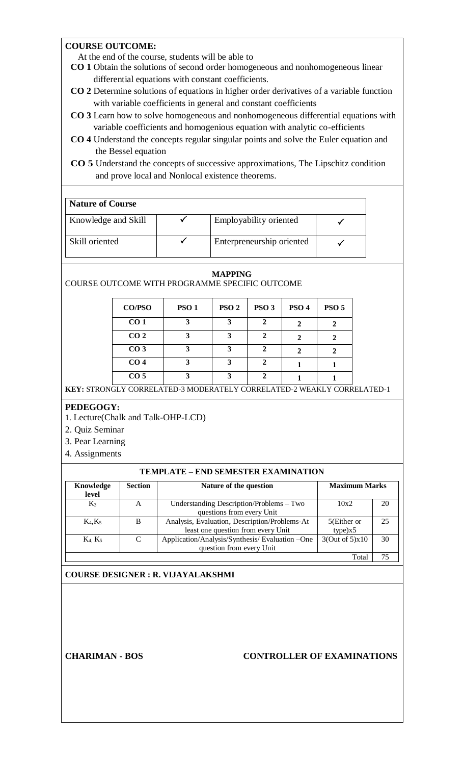# **COURSE OUTCOME:**

At the end of the course, students will be able to

- **CO 1** Obtain the solutions of second order homogeneous and nonhomogeneous linear differential equations with constant coefficients.
- **CO 2** Determine solutions of equations in higher order derivatives of a variable function with variable coefficients in general and constant coefficients
- **CO 3** Learn how to solve homogeneous and nonhomogeneous differential equations with variable coefficients and homogenious equation with analytic co-efficients
- **CO 4** Understand the concepts regular singular points and solve the Euler equation and the Bessel equation
- **CO 5** Understand the concepts of successive approximations, The Lipschitz condition and prove local and Nonlocal existence theorems.

| <b>Nature of Course</b> |  |                           |  |  |
|-------------------------|--|---------------------------|--|--|
| Knowledge and Skill     |  | Employability oriented    |  |  |
| Skill oriented          |  | Enterpreneurship oriented |  |  |

#### **MAPPING**

COURSE OUTCOME WITH PROGRAMME SPECIFIC OUTCOME

| <b>CO/PSO</b>   | PSO <sub>1</sub> | PSO <sub>2</sub> | PSO <sub>3</sub> | PSO <sub>4</sub> | <b>PSO 5</b> |
|-----------------|------------------|------------------|------------------|------------------|--------------|
| CO <sub>1</sub> |                  | 3                |                  |                  |              |
| CO <sub>2</sub> |                  | 3                |                  |                  |              |
| CO <sub>3</sub> |                  | 3                |                  |                  |              |
| CO <sub>4</sub> |                  | 3                |                  |                  |              |
| CO <sub>5</sub> |                  | 3                |                  |                  |              |

**KEY:** STRONGLY CORRELATED-3 MODERATELY CORRELATED-2 WEAKLY CORRELATED-1

# **PEDEGOGY:**

- 1. Lecture(Chalk and Talk-OHP-LCD)
- 2. Quiz Seminar
- 3. Pear Learning
- 4. Assignments

#### **TEMPLATE – END SEMESTER EXAMINATION**

| Knowledge<br>level | <b>Section</b> | Nature of the question                         | <b>Maximum Marks</b> |    |
|--------------------|----------------|------------------------------------------------|----------------------|----|
| $K_3$              | A              | Understanding Description/Problems - Two       | 10x2                 | 20 |
|                    |                | questions from every Unit                      |                      |    |
| $K_4, K_5$         | B              | Analysis, Evaluation, Description/Problems-At  | 5(Either or          | 25 |
|                    |                | least one question from every Unit             | type)x5              |    |
| $K_4$ , $K_5$      | $\mathcal{C}$  | Application/Analysis/Synthesis/Evaluation -One | 3(Out of 5)x10       | 30 |
|                    |                | question from every Unit                       |                      |    |
|                    |                |                                                | Total                | 75 |

# **COURSE DESIGNER : R. VIJAYALAKSHMI**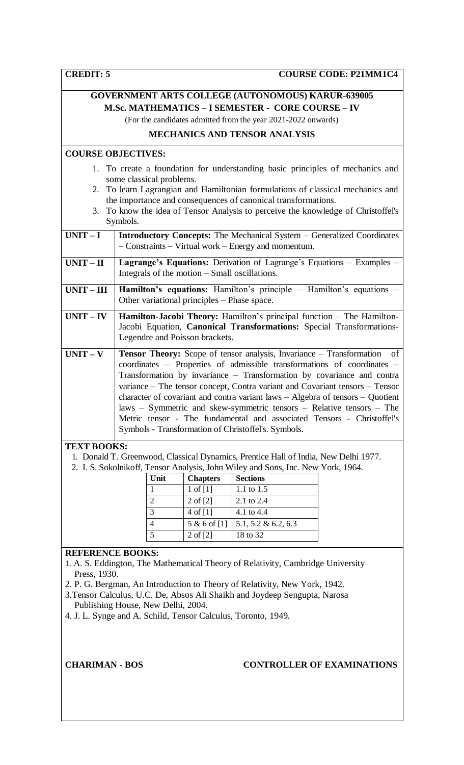|                    |                                               |                          | <b>GOVERNMENT ARTS COLLEGE (AUTONOMOUS) KARUR-639005</b>                                                                                                                                                                                                                                                                                                                                                                                                                                                                                                                                             |    |
|--------------------|-----------------------------------------------|--------------------------|------------------------------------------------------------------------------------------------------------------------------------------------------------------------------------------------------------------------------------------------------------------------------------------------------------------------------------------------------------------------------------------------------------------------------------------------------------------------------------------------------------------------------------------------------------------------------------------------------|----|
|                    |                                               |                          | <b>M.Sc. MATHEMATICS - I SEMESTER - CORE COURSE - IV</b>                                                                                                                                                                                                                                                                                                                                                                                                                                                                                                                                             |    |
|                    |                                               |                          | (For the candidates admitted from the year 2021-2022 onwards)                                                                                                                                                                                                                                                                                                                                                                                                                                                                                                                                        |    |
|                    |                                               |                          | <b>MECHANICS AND TENSOR ANALYSIS</b>                                                                                                                                                                                                                                                                                                                                                                                                                                                                                                                                                                 |    |
|                    | <b>COURSE OBJECTIVES:</b>                     |                          |                                                                                                                                                                                                                                                                                                                                                                                                                                                                                                                                                                                                      |    |
|                    | some classical problems.<br>Symbols.          |                          | 1. To create a foundation for understanding basic principles of mechanics and<br>2. To learn Lagrangian and Hamiltonian formulations of classical mechanics and<br>the importance and consequences of canonical transformations.<br>3. To know the idea of Tensor Analysis to perceive the knowledge of Christoffel's                                                                                                                                                                                                                                                                                |    |
| $UNIT-I$           |                                               |                          | <b>Introductory Concepts:</b> The Mechanical System - Generalized Coordinates<br>$-$ Constraints $-$ Virtual work $-$ Energy and momentum.                                                                                                                                                                                                                                                                                                                                                                                                                                                           |    |
| $UNIT-II$          | Integrals of the motion – Small oscillations. |                          | Lagrange's Equations: Derivation of Lagrange's Equations - Examples -                                                                                                                                                                                                                                                                                                                                                                                                                                                                                                                                |    |
| $UNIT - III$       | Other variational principles – Phase space.   |                          | Hamilton's equations: Hamilton's principle - Hamilton's equations -                                                                                                                                                                                                                                                                                                                                                                                                                                                                                                                                  |    |
| $UNIT - IV$        | Legendre and Poisson brackets.                |                          | Hamilton-Jacobi Theory: Hamilton's principal function - The Hamilton-<br>Jacobi Equation, Canonical Transformations: Special Transformations-                                                                                                                                                                                                                                                                                                                                                                                                                                                        |    |
|                    |                                               |                          |                                                                                                                                                                                                                                                                                                                                                                                                                                                                                                                                                                                                      |    |
| $UNIT - V$         |                                               |                          | Tensor Theory: Scope of tensor analysis, Invariance - Transformation<br>coordinates - Properties of admissible transformations of coordinates -<br>Transformation by invariance - Transformation by covariance and contra<br>variance - The tensor concept, Contra variant and Covariant tensors - Tensor<br>character of covariant and contra variant laws - Algebra of tensors - Quotient<br>laws - Symmetric and skew-symmetric tensors - Relative tensors - The<br>Metric tensor - The fundamental and associated Tensors - Christoffel's<br>Symbols - Transformation of Christoffel's. Symbols. | of |
| <b>TEXT BOOKS:</b> |                                               |                          |                                                                                                                                                                                                                                                                                                                                                                                                                                                                                                                                                                                                      |    |
|                    |                                               |                          | 1. Donald T. Greenwood, Classical Dynamics, Prentice Hall of India, New Delhi 1977.<br>2. I. S. Sokolnikoff, Tensor Analysis, John Wiley and Sons, Inc. New York, 1964.                                                                                                                                                                                                                                                                                                                                                                                                                              |    |
|                    | Unit                                          | <b>Chapters</b>          | <b>Sections</b>                                                                                                                                                                                                                                                                                                                                                                                                                                                                                                                                                                                      |    |
|                    | 1                                             | $1$ of $[1]$             | 1.1 to 1.5                                                                                                                                                                                                                                                                                                                                                                                                                                                                                                                                                                                           |    |
|                    | $\overline{2}$                                | 2 of [2]                 | 2.1 to 2.4                                                                                                                                                                                                                                                                                                                                                                                                                                                                                                                                                                                           |    |
|                    | 3                                             | $4$ of [1]               | 4.1 to 4.4                                                                                                                                                                                                                                                                                                                                                                                                                                                                                                                                                                                           |    |
|                    | 4<br>5                                        | 5 & 6 of [1]<br>2 of [2] | 5.1, 5.2 & 6.2, 6.3<br>18 to 32                                                                                                                                                                                                                                                                                                                                                                                                                                                                                                                                                                      |    |

# **REFERENCE BOOKS:**

- 1. A. S. Eddington, The Mathematical Theory of Relativity, Cambridge University Press, 1930.
- 2. P. G. Bergman, An Introduction to Theory of Relativity, New York, 1942.
- 3.Tensor Calculus, U.C. De, Absos Ali Shaikh and Joydeep Sengupta, Narosa Publishing House, New Delhi, 2004.
- 4. J. L. Synge and A. Schild, Tensor Calculus, Toronto, 1949.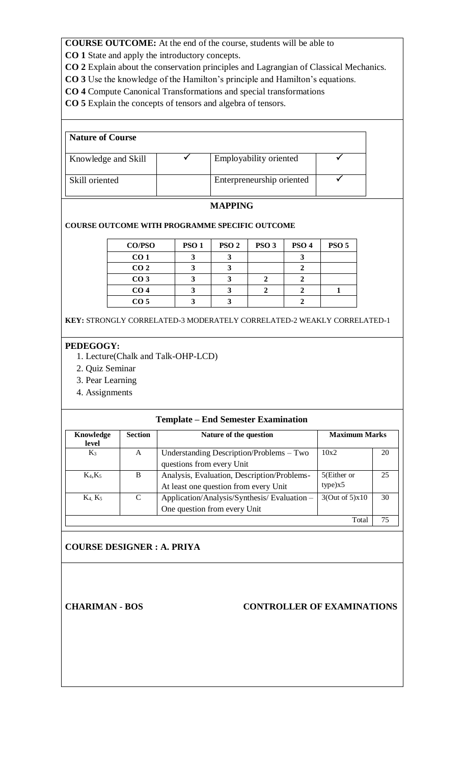**CO 1** State and apply the introductory concepts.

**CO 2** Explain about the conservation principles and Lagrangian of Classical Mechanics.

- **CO 3** Use the knowledge of the Hamilton's principle and Hamilton's equations.
- **CO 4** Compute Canonical Transformations and special transformations

**CO 5** Explain the concepts of tensors and algebra of tensors.

| <b>Nature of Course</b> |                           |  |
|-------------------------|---------------------------|--|
| Knowledge and Skill     | Employability oriented    |  |
| Skill oriented          | Enterpreneurship oriented |  |

# **MAPPING**

# **COURSE OUTCOME WITH PROGRAMME SPECIFIC OUTCOME**

| <b>CO/PSO</b>   | <b>PSO1</b> | PSO <sub>2</sub> | PSO <sub>3</sub> | PSO <sub>4</sub> | <b>PSO 5</b> |
|-----------------|-------------|------------------|------------------|------------------|--------------|
| CO <sub>1</sub> |             |                  |                  |                  |              |
| CO <sub>2</sub> |             |                  |                  |                  |              |
| CO <sub>3</sub> |             |                  |                  |                  |              |
| CO <sub>4</sub> |             |                  |                  |                  |              |
| CO <sub>5</sub> |             |                  |                  |                  |              |

**KEY:** STRONGLY CORRELATED-3 MODERATELY CORRELATED-2 WEAKLY CORRELATED-1

# **PEDEGOGY:**

- 1. Lecture(Chalk and Talk-OHP-LCD)
- 2. Quiz Seminar
- 3. Pear Learning
- 4. Assignments

# **Template – End Semester Examination**

| Knowledge<br>level | <b>Section</b> | <b>Maximum Marks</b><br>Nature of the question |                |    |  |
|--------------------|----------------|------------------------------------------------|----------------|----|--|
| $K_3$              | A              | Understanding Description/Problems – Two       | 10x2           | 20 |  |
|                    |                | questions from every Unit                      |                |    |  |
| $K_4, K_5$         | B              | Analysis, Evaluation, Description/Problems-    | 5(Either or    | 25 |  |
|                    |                | At least one question from every Unit          | type)x5        |    |  |
| $K_4$ , $K_5$      | C              | Application/Analysis/Synthesis/Evaluation –    | 3(Out of 5)x10 | 30 |  |
|                    |                | One question from every Unit                   |                |    |  |
|                    |                |                                                | Total          | 75 |  |

# **COURSE DESIGNER : A. PRIYA**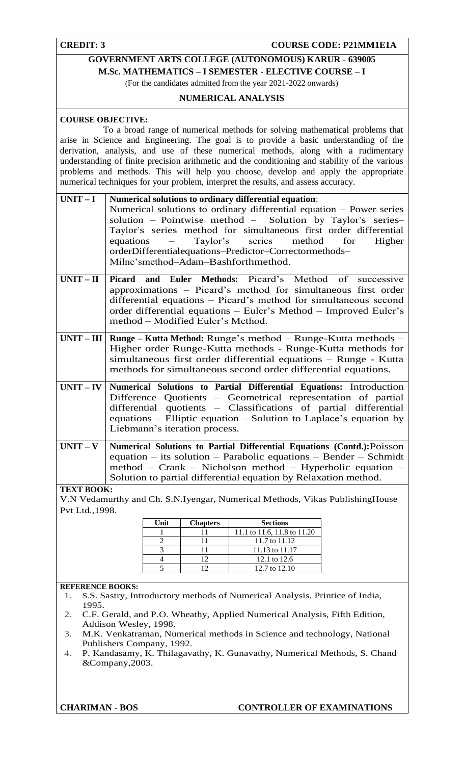# **CREDIT: 3** COURSE CODE: P21MM1E1A

# **GOVERNMENT ARTS COLLEGE (AUTONOMOUS) KARUR - 639005 M.Sc. MATHEMATICS – I SEMESTER - ELECTIVE COURSE – I**

(For the candidates admitted from the year 2021-2022 onwards)

# **NUMERICAL ANALYSIS**

# **COURSE OBJECTIVE:**

 To a broad range of numerical methods for solving mathematical problems that arise in Science and Engineering. The goal is to provide a basic understanding of the derivation, analysis, and use of these numerical methods, along with a rudimentary understanding of finite precision arithmetic and the conditioning and stability of the various problems and methods. This will help you choose, develop and apply the appropriate numerical techniques for your problem, interpret the results, and assess accuracy.

| $UNIT-I$   Numerical solutions to ordinary differential equation:    |  |  |  |  |  |  |  |
|----------------------------------------------------------------------|--|--|--|--|--|--|--|
| Numerical solutions to ordinary differential equation – Power series |  |  |  |  |  |  |  |
| solution – Pointwise method – Solution by Taylor's series–           |  |  |  |  |  |  |  |
| Taylor's series method for simultaneous first order differential     |  |  |  |  |  |  |  |
| equations – Taylor's series method for Higher                        |  |  |  |  |  |  |  |
| orderDifferentialequations-Predictor-Correctormethods-               |  |  |  |  |  |  |  |
| Milne'smethod-Adam-Bashforthmethod.                                  |  |  |  |  |  |  |  |
|                                                                      |  |  |  |  |  |  |  |

- **UNIT – II Picard and Euler Methods:** Picard's Method of successive approximations – Picard's method for simultaneous first order differential equations – Picard's method for simultaneous second order differential equations – Euler's Method – Improved Euler's method – Modified Euler's Method.
- **UNIT – III Runge – Kutta Method:** Runge's method Runge-Kutta methods Higher order Runge-Kutta methods - Runge-Kutta methods for simultaneous first order differential equations – Runge - Kutta methods for simultaneous second order differential equations.
- **UNIT – IV Numerical Solutions to Partial Differential Equations:** Introduction Difference Quotients – Geometrical representation of partial differential quotients – Classifications of partial differential equations – Elliptic equation – Solution to Laplace's equation by Liebmann's iteration process.
- **UNIT – V Numerical Solutions to Partial Differential Equations (Contd.):**Poisson equation – its solution – Parabolic equations – Bender – Schmidt method – Crank – Nicholson method – Hyperbolic equation – Solution to partial differential equation by Relaxation method.

#### **TEXT BOOK:**

V.N Vedamurthy and Ch. S.N.Iyengar, Numerical Methods, Vikas PublishingHouse Pvt Ltd.,1998.

| Unit | <b>Chapters</b> | <b>Sections</b>             |
|------|-----------------|-----------------------------|
|      |                 | 11.1 to 11.6, 11.8 to 11.20 |
|      |                 | 11.7 to 11.12               |
|      |                 | 11.13 to 11.17              |
|      | 1つ              | 12.1 to 12.6                |
|      |                 | 12.7 to 12.10               |

#### **REFERENCE BOOKS:**

- 1. S.S. Sastry, Introductory methods of Numerical Analysis, Printice of India, 1995.
- 2. C.F. Gerald, and P.O. Wheathy, Applied Numerical Analysis, Fifth Edition, Addison Wesley, 1998.
- 3. M.K. Venkatraman, Numerical methods in Science and technology, National Publishers Company, 1992.
- 4. P. Kandasamy, K. Thilagavathy, K. Gunavathy, Numerical Methods, S. Chand &Company,2003.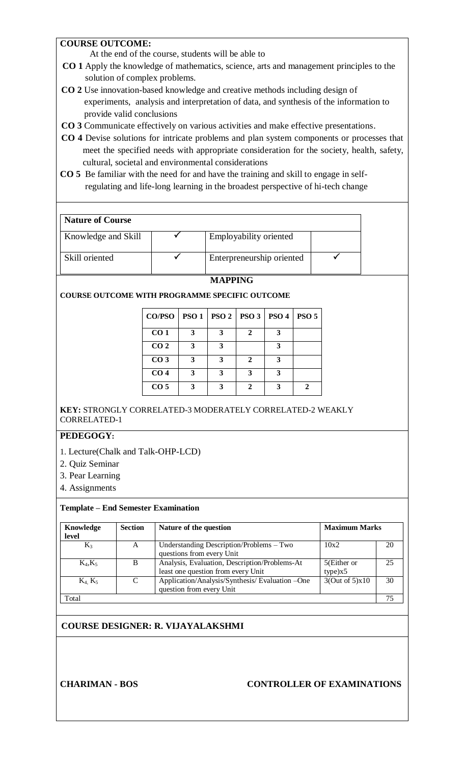# **COURSE OUTCOME:**

At the end of the course, students will be able to

- **CO 1** Apply the knowledge of mathematics, science, arts and management principles to the solution of complex problems.
- **CO 2** Use innovation-based knowledge and creative methods including design of experiments, analysis and interpretation of data, and synthesis of the information to provide valid conclusions
- **CO 3** Communicate effectively on various activities and make effective presentations.
- **CO 4** Devise solutions for intricate problems and plan system components or processes that meet the specified needs with appropriate consideration for the society, health, safety, cultural, societal and environmental considerations
- **CO 5** Be familiar with the need for and have the training and skill to engage in self regulating and life-long learning in the broadest perspective of hi-tech change

# **Nature of Course**

| Knowledge and Skill | Employability oriented    |  |
|---------------------|---------------------------|--|
| Skill oriented      | Enterpreneurship oriented |  |

### **MAPPING**

**COURSE OUTCOME WITH PROGRAMME SPECIFIC OUTCOME**

| CO/PSO          |   | <b>PSO 1   PSO 2   PSO 3   PSO 4  </b> |              |              | PSO <sub>5</sub> |
|-----------------|---|----------------------------------------|--------------|--------------|------------------|
| CO <sub>1</sub> | 3 | 3                                      | $\mathbf{2}$ | 3            |                  |
| CO <sub>2</sub> | 3 | 3                                      |              | 3            |                  |
| CO <sub>3</sub> | 3 | 3                                      | $\mathbf{2}$ | 3            |                  |
| CO <sub>4</sub> | 3 | 3                                      | 3            | 3            |                  |
| CO <sub>5</sub> | 3 | 3                                      | 2            | $\mathbf{a}$ | າ                |

# **KEY:** STRONGLY CORRELATED-3 MODERATELY CORRELATED-2 WEAKLY CORRELATED-1

# **PEDEGOGY:**

- 1. Lecture(Chalk and Talk-OHP-LCD)
- 2. Quiz Seminar
- 3. Pear Learning
- 4. Assignments

# **Template – End Semester Examination**

| Knowledge<br>level | <b>Section</b> | Nature of the question                                                              | <b>Maximum Marks</b>   |    |  |
|--------------------|----------------|-------------------------------------------------------------------------------------|------------------------|----|--|
| $K_3$              | A              | Understanding Description/Problems – Two<br>questions from every Unit               | 10x2                   | 20 |  |
| $K_4, K_5$         | B              | Analysis, Evaluation, Description/Problems-At<br>least one question from every Unit | 5(Either or<br>type)x5 | 25 |  |
| $K_4$ , $K_5$      | C              | Application/Analysis/Synthesis/Evaluation -One<br>question from every Unit          | 3(Out of 5)x10         | 30 |  |
| Total              |                |                                                                                     |                        | 75 |  |

# **COURSE DESIGNER: R. VIJAYALAKSHMI**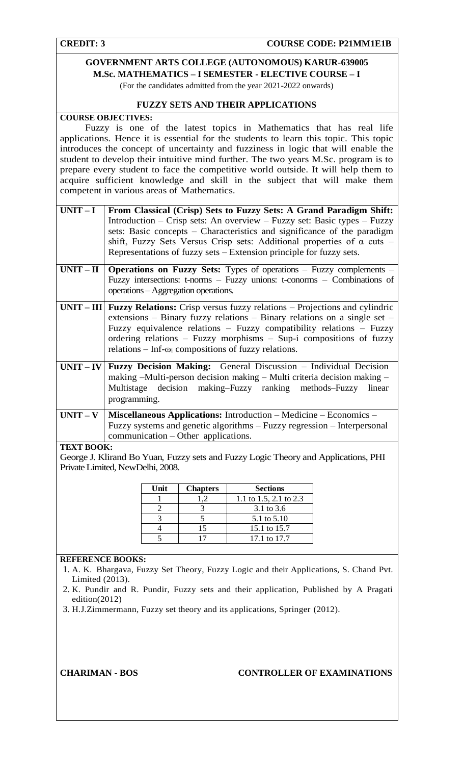# **GOVERNMENT ARTS COLLEGE (AUTONOMOUS) KARUR-639005 M.Sc. MATHEMATICS – I SEMESTER - ELECTIVE COURSE – I**

(For the candidates admitted from the year 2021-2022 onwards)

# **FUZZY SETS AND THEIR APPLICATIONS**

### **COURSE OBJECTIVES:**

 Fuzzy is one of the latest topics in Mathematics that has real life applications. Hence it is essential for the students to learn this topic. This topic introduces the concept of uncertainty and fuzziness in logic that will enable the student to develop their intuitive mind further. The two years M.Sc. program is to prepare every student to face the competitive world outside. It will help them to acquire sufficient knowledge and skill in the subject that will make them competent in various areas of Mathematics.

| $UNIT-I$                      | From Classical (Crisp) Sets to Fuzzy Sets: A Grand Paradigm Shift:<br>Introduction – Crisp sets: An overview – Fuzzy set: Basic types – Fuzzy<br>sets: Basic concepts – Characteristics and significance of the paradigm<br>shift, Fuzzy Sets Versus Crisp sets: Additional properties of $\alpha$ cuts –<br>Representations of fuzzy sets – Extension principle for fuzzy sets. |
|-------------------------------|----------------------------------------------------------------------------------------------------------------------------------------------------------------------------------------------------------------------------------------------------------------------------------------------------------------------------------------------------------------------------------|
| $UNIT - II$                   | <b>Operations on Fuzzy Sets:</b> Types of operations – Fuzzy complements –<br>Fuzzy intersections: t-norms - Fuzzy unions: t-conorms - Combinations of<br>operations - Aggregation operations.                                                                                                                                                                                   |
|                               | $UNIT - III$ Fuzzy Relations: Crisp versus fuzzy relations – Projections and cylindric<br>extensions – Binary fuzzy relations – Binary relations on a single set –<br>Fuzzy equivalence relations - Fuzzy compatibility relations - Fuzzy<br>ordering relations – Fuzzy morphisms – Sup-i compositions of fuzzy<br>relations – Inf- $\omega_i$ compositions of fuzzy relations.  |
|                               | $UNIT - IV$ Fuzzy Decision Making: General Discussion – Individual Decision<br>making -Multi-person decision making - Multi criteria decision making -<br>Multistage decision making–Fuzzy ranking methods–Fuzzy<br>linear<br>programming.                                                                                                                                       |
| TEVT DAA $\boldsymbol{\nu}$ . | UNIT – V   Miscellaneous Applications: Introduction – Medicine – Economics –<br>Fuzzy systems and genetic algorithms – Fuzzy regression – Interpersonal<br>communication – Other applications.                                                                                                                                                                                   |

#### **TEXT BOOK:**

George J. Klirand Bo Yuan, Fuzzy sets and Fuzzy Logic Theory and Applications, PHI Private Limited, NewDelhi, 2008.

| Unit | <b>Chapters</b> | <b>Sections</b>        |
|------|-----------------|------------------------|
|      |                 | 1.1 to 1.5, 2.1 to 2.3 |
|      |                 | 3.1 to 3.6             |
|      |                 | 5.1 to 5.10            |
|      | 15              | 15.1 to 15.7           |
|      |                 | 17.1 to 17.7           |

# **REFERENCE BOOKS:**

- 1. A. K. Bhargava, Fuzzy Set Theory, Fuzzy Logic and their Applications, S. Chand Pvt. Limited (2013).
- 2. K. Pundir and R. Pundir, Fuzzy sets and their application, Published by A Pragati edition(2012)
- 3. H.J.Zimmermann, Fuzzy set theory and its applications, Springer (2012).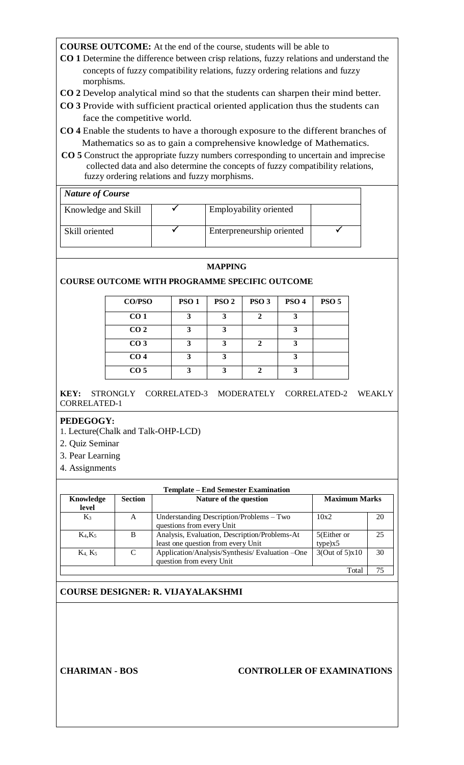- **CO 1** Determine the difference between crisp relations, fuzzy relations and understand the concepts of fuzzy compatibility relations, fuzzy ordering relations and fuzzy morphisms.
- **CO 2** Develop analytical mind so that the students can sharpen their mind better.
- **CO 3** Provide with sufficient practical oriented application thus the students can face the competitive world.
- **CO 4** Enable the students to have a thorough exposure to the different branches of Mathematics so as to gain a comprehensive knowledge of Mathematics.
- **CO 5** Construct the appropriate fuzzy numbers corresponding to uncertain and imprecise collected data and also determine the concepts of fuzzy compatibility relations, fuzzy ordering relations and fuzzy morphisms.

| <b>Nature of Course</b> |                           |  |
|-------------------------|---------------------------|--|
| Knowledge and Skill     | Employability oriented    |  |
| Skill oriented          | Enterpreneurship oriented |  |

### **MAPPING**

# **COURSE OUTCOME WITH PROGRAMME SPECIFIC OUTCOME**

| CO/PSO          | <b>PSO1</b> | PSO <sub>2</sub> | PSO <sub>3</sub> | PSO <sub>4</sub> | <b>PSO 5</b> |
|-----------------|-------------|------------------|------------------|------------------|--------------|
| CO <sub>1</sub> |             | 3                |                  |                  |              |
| CO <sub>2</sub> |             | 3                |                  |                  |              |
| CO <sub>3</sub> |             |                  |                  |                  |              |
| CO <sub>4</sub> |             | 3                |                  |                  |              |
| CO <sub>5</sub> |             | 3                |                  | ว                |              |

**KEY:** STRONGLY CORRELATED-3 MODERATELY CORRELATED-2 WEAKLY CORRELATED-1

# **PEDEGOGY:**

- 1. Lecture(Chalk and Talk-OHP-LCD)
- 2. Quiz Seminar
- 3. Pear Learning
- 4. Assignments

| <b>Template – End Semester Examination</b> |                |                                                |                |    |  |  |
|--------------------------------------------|----------------|------------------------------------------------|----------------|----|--|--|
| Knowledge                                  | <b>Section</b> | Nature of the question<br><b>Maximum Marks</b> |                |    |  |  |
| level                                      |                |                                                |                |    |  |  |
| $K_3$                                      | A              | Understanding Description/Problems – Two       | 10x2           | 20 |  |  |
|                                            |                | questions from every Unit                      |                |    |  |  |
| $K_4, K_5$                                 | B              | Analysis, Evaluation, Description/Problems-At  | 5(Either or    | 25 |  |  |
|                                            |                | least one question from every Unit             | type)x5        |    |  |  |
| $K_4, K_5$                                 | C              | Application/Analysis/Synthesis/Evaluation -One | 3(Out of 5)x10 | 30 |  |  |
|                                            |                | question from every Unit                       |                |    |  |  |
|                                            |                |                                                | Total          |    |  |  |

# **COURSE DESIGNER: R. VIJAYALAKSHMI**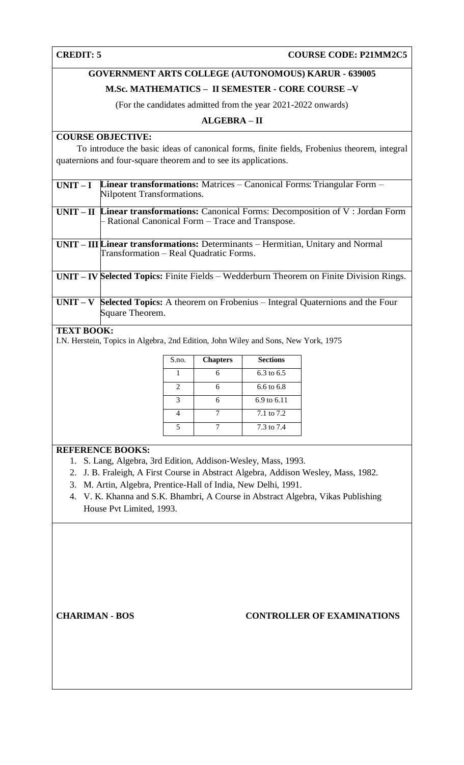# **CREDIT: 5 COURSE CODE: P21MM2C5**

# **GOVERNMENT ARTS COLLEGE (AUTONOMOUS) KARUR - 639005**

# **M.Sc. MATHEMATICS – II SEMESTER - CORE COURSE –V**

(For the candidates admitted from the year 2021-2022 onwards)

# **ALGEBRA – II**

# **COURSE OBJECTIVE:**

 To introduce the basic ideas of canonical forms, finite fields, Frobenius theorem, integral quaternions and four-square theorem and to see its applications.

| $UNIT-I$   | <b>Linear transformations:</b> Matrices $-$ Canonical Forms: Triangular Form $-$<br>Nilpotent Transformations. |
|------------|----------------------------------------------------------------------------------------------------------------|
|            |                                                                                                                |
|            | $UNIT - II$ Linear transformations: Canonical Forms: Decomposition of V: Jordan Form                           |
|            | - Rational Canonical Form – Trace and Transpose.                                                               |
|            |                                                                                                                |
|            | $UNIT - III$ <i>Linear transformations: Determinants – Hermitian, Unitary and Normal</i>                       |
|            | Transformation – Real Quadratic Forms.                                                                         |
|            |                                                                                                                |
|            | <b>UNIT – IV Selected Topics:</b> Finite Fields – Wedderburn Theorem on Finite Division Rings.                 |
|            |                                                                                                                |
|            |                                                                                                                |
| $UNIT - V$ | <b>Selected Topics:</b> A theorem on Frobenius – Integral Quaternions and the Four                             |
|            | Square Theorem.                                                                                                |
|            |                                                                                                                |

# **TEXT BOOK:**

I.N. Herstein, Topics in Algebra*,* 2nd Edition, John Wiley and Sons, New York, 1975

| S.no. | <b>Chapters</b> | <b>Sections</b>        |
|-------|-----------------|------------------------|
|       | 6               | 6.3 to 6.5             |
| 2     | 6               | $6.6 \text{ to } 6.8$  |
| 3     | 6               | $6.9 \text{ to } 6.11$ |
|       |                 | 7.1 to 7.2             |
|       |                 | 7.3 to 7.4             |

# **REFERENCE BOOKS:**

- 1. S. Lang, Algebra, 3rd Edition, Addison-Wesley, Mass, 1993.
- 2. J. B. Fraleigh, A First Course in Abstract Algebra*,* Addison Wesley, Mass, 1982.
- 3. M. Artin, Algebra*,* Prentice-Hall of India, New Delhi, 1991.
- 4. V. K. Khanna and S.K. Bhambri, A Course in Abstract Algebra, Vikas Publishing House Pvt Limited, 1993.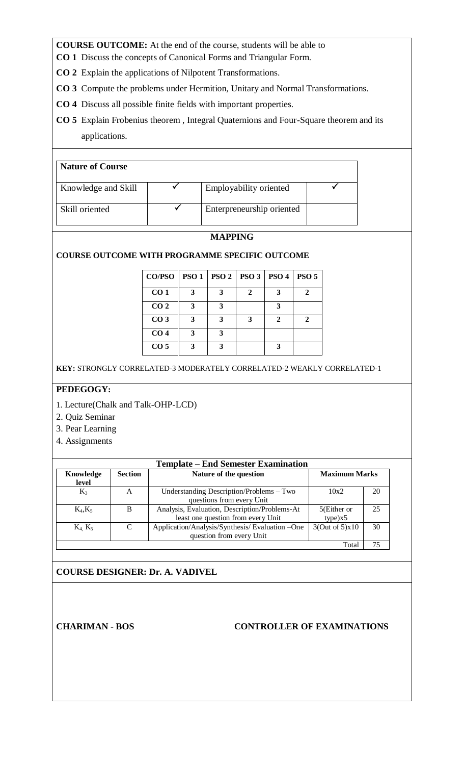- **CO 1** Discuss the concepts of Canonical Forms and Triangular Form.
- **CO 2** Explain the applications of Nilpotent Transformations.
- **CO 3** Compute the problems under Hermition, Unitary and Normal Transformations.
- **CO 4** Discuss all possible finite fields with important properties.
- **CO 5** Explain Frobenius theorem , Integral Quaternions and Four-Square theorem and its applications.

# **Nature of Course**

| Knowledge and Skill | Employability oriented    |  |
|---------------------|---------------------------|--|
| Skill oriented      | Enterpreneurship oriented |  |

# **MAPPING**

**COURSE OUTCOME WITH PROGRAMME SPECIFIC OUTCOME**

| <b>CO/PSO</b>   | PSO1 |   | PSO 2   PSO 3   PSO 4 |                             | PSO <sub>5</sub> |
|-----------------|------|---|-----------------------|-----------------------------|------------------|
| CO <sub>1</sub> | 3    | 3 | 2                     | 3                           |                  |
| CO <sub>2</sub> | 3    | 3 |                       | 3                           |                  |
| CO <sub>3</sub> | 3    | 3 | 3                     | $\mathcal{D}_{\mathcal{L}}$ |                  |
| CO <sub>4</sub> | 3    | 3 |                       |                             |                  |
| CO <sub>5</sub> | 3    | 3 |                       | $\mathbf{3}$                |                  |

**KEY:** STRONGLY CORRELATED-3 MODERATELY CORRELATED-2 WEAKLY CORRELATED-1

# **PEDEGOGY:**

- 1. Lecture(Chalk and Talk-OHP-LCD)
- 2. Quiz Seminar
- 3. Pear Learning
- 4. Assignments

| <b>Template – End Semester Examination</b> |                             |                                                                                     |                        |    |
|--------------------------------------------|-----------------------------|-------------------------------------------------------------------------------------|------------------------|----|
| Knowledge<br>level                         | <b>Section</b>              | Nature of the question<br><b>Maximum Marks</b>                                      |                        |    |
| $K_3$                                      | A                           | Understanding Description/Problems - Two<br>questions from every Unit               | 10x2                   | 20 |
| $K_4, K_5$                                 | B                           | Analysis, Evaluation, Description/Problems-At<br>least one question from every Unit | 5(Either or<br>type)x5 | 25 |
| $K_4, K_5$                                 | $\mathcal{C}_{\mathcal{C}}$ | Application/Analysis/Synthesis/Evaluation-One<br>question from every Unit           | 3(Out of 5)x10         | 30 |
| Total                                      |                             |                                                                                     |                        |    |

# **COURSE DESIGNER: Dr. A. VADIVEL**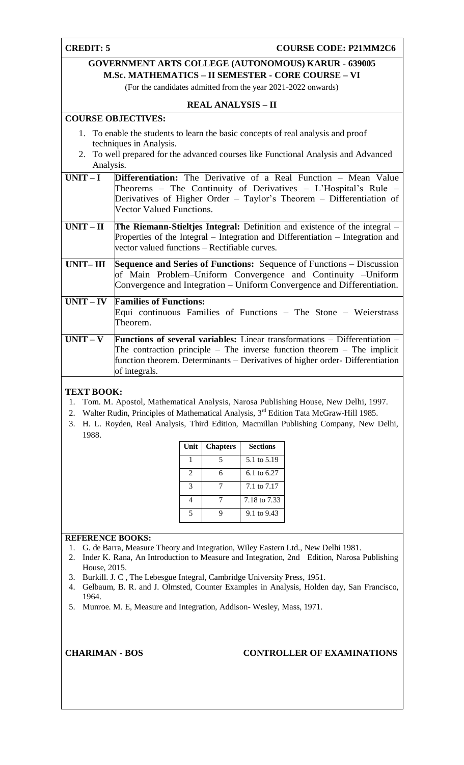# **CREDIT: 5 COURSE CODE: P21MM2C6**

# **GOVERNMENT ARTS COLLEGE (AUTONOMOUS) KARUR - 639005 M.Sc. MATHEMATICS – II SEMESTER - CORE COURSE – VI**

(For the candidates admitted from the year 2021-2022 onwards)

# **REAL ANALYSIS – II**

# **COURSE OBJECTIVES:**

- 1. To enable the students to learn the basic concepts of real analysis and proof techniques in Analysis.
- 2. To well prepared for the advanced courses like Functional Analysis and Advanced Analysis.

| $UNIT-I$    | <b>Differentiation:</b> The Derivative of a Real Function – Mean Value<br>Theorems – The Continuity of Derivatives – L'Hospital's Rule – |
|-------------|------------------------------------------------------------------------------------------------------------------------------------------|
|             | Derivatives of Higher Order – Taylor's Theorem – Differentiation of                                                                      |
|             | <b>Vector Valued Functions.</b>                                                                                                          |
| $UNIT-II$   | <b>The Riemann-Stieltjes Integral:</b> Definition and existence of the integral –                                                        |
|             | Properties of the Integral – Integration and Differentiation – Integration and                                                           |
|             | vector valued functions – Rectifiable curves.                                                                                            |
| UNIT– III   | <b>Sequence and Series of Functions:</b> Sequence of Functions – Discussion                                                              |
|             | of Main Problem–Uniform Convergence and Continuity –Uniform                                                                              |
|             | Convergence and Integration – Uniform Convergence and Differentiation.                                                                   |
| $UNIT - IV$ | <b>Families of Functions:</b>                                                                                                            |
|             | Equi continuous Families of Functions $-$ The Stone $-$ Weierstrass                                                                      |
|             | Theorem.                                                                                                                                 |
| $UNIT - V$  | <b>Functions of several variables:</b> Linear transformations $-$ Differentiation $-$                                                    |
|             | The contraction principle – The inverse function theorem – The implicit                                                                  |
|             | function theorem. Determinants – Derivatives of higher order-Differentiation                                                             |
|             | of integrals.                                                                                                                            |

# **TEXT BOOK:**

- 1. Tom. M. Apostol, Mathematical Analysis, Narosa Publishing House, New Delhi, 1997.
- 2. Walter Rudin, Principles of Mathematical Analysis, 3<sup>rd</sup> Edition Tata McGraw-Hill 1985.
- 3. H. L. Royden, Real Analysis, Third Edition, Macmillan Publishing Company, New Delhi, 1988.

| Unit | <b>Chapters</b> | <b>Sections</b> |
|------|-----------------|-----------------|
|      | 5               | 5.1 to 5.19     |
| 2    | 6               | 6.1 to 6.27     |
|      |                 | 7.1 to 7.17     |
|      | 7               | 7.18 to 7.33    |
|      |                 | 9.1 to 9.43     |

# **REFERENCE BOOKS:**

- 1. G. de Barra, Measure Theory and Integration, Wiley Eastern Ltd., New Delhi 1981.
- 2. Inder K. Rana, An Introduction to Measure and Integration, 2nd Edition, Narosa Publishing House, 2015.
- 3. Burkill. J. C , The Lebesgue Integral, Cambridge University Press, 1951.
- 4. Gelbaum, B. R. and J. Olmsted, Counter Examples in Analysis, Holden day, San Francisco, 1964.
- 5. Munroe. M. E, Measure and Integration, Addison- Wesley, Mass, 1971.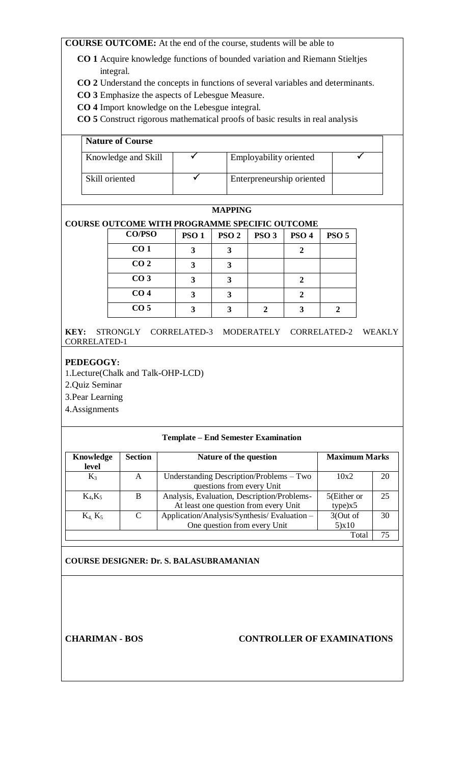- **CO 1** Acquire knowledge functions of bounded variation and Riemann Stieltjes integral.
- **CO 2** Understand the concepts in functions of several variables and determinants.
- **CO 3** Emphasize the aspects of Lebesgue Measure.
- **CO 4** Import knowledge on the Lebesgue integral.
- **CO 5** Construct rigorous mathematical proofs of basic results in real analysis

| <b>Nature of Course</b> |                           |  |
|-------------------------|---------------------------|--|
| Knowledge and Skill     | Employability oriented    |  |
| Skill oriented          | Enterpreneurship oriented |  |

# **MAPPING**

# **COURSE OUTCOME WITH PROGRAMME SPECIFIC OUTCOME**

| <b>CO/PSO</b>   | <b>PSO1</b> | PSO <sub>2</sub> | PSO <sub>3</sub> | PSO <sub>4</sub> | PSO <sub>5</sub> |
|-----------------|-------------|------------------|------------------|------------------|------------------|
| CO <sub>1</sub> |             | 3                |                  |                  |                  |
| CO <sub>2</sub> |             | 3                |                  |                  |                  |
| CO <sub>3</sub> |             | 3                |                  |                  |                  |
| CO <sub>4</sub> |             | 3                |                  |                  |                  |
| CO <sub>5</sub> |             | Ί                |                  |                  |                  |

**KEY:** STRONGLY CORRELATED-3 MODERATELY CORRELATED-2 WEAKLY CORRELATED-1

# **PEDEGOGY:**

1.Lecture(Chalk and Talk-OHP-LCD)

2.Quiz Seminar

3.Pear Learning

4.Assignments

### **Template – End Semester Examination**

| Knowledge                     | <b>Section</b> | <b>Maximum Marks</b><br>Nature of the question |             |    |
|-------------------------------|----------------|------------------------------------------------|-------------|----|
| level                         |                |                                                |             |    |
| $K_3$                         | A              | Understanding Description/Problems – Two       | 10x2        | 20 |
|                               |                | questions from every Unit                      |             |    |
| $K_4, K_5$                    | B              | Analysis, Evaluation, Description/Problems-    | 5(Either or | 25 |
|                               |                | At least one question from every Unit          | type)x5     |    |
| K <sub>4</sub> K <sub>5</sub> | C              | Application/Analysis/Synthesis/Evaluation -    | 3(Out of    | 30 |
|                               |                | One question from every Unit                   | 5)x10       |    |
|                               |                |                                                | Tota        | 75 |

### **COURSE DESIGNER: Dr. S. BALASUBRAMANIAN**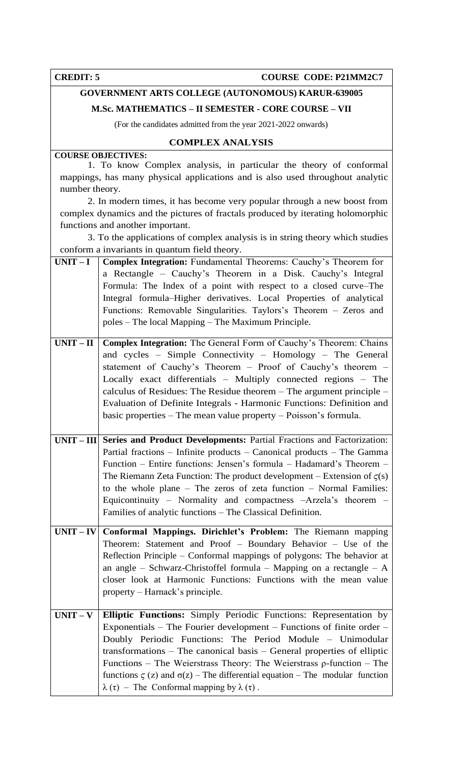**CREDIT: 5 COURSE CODE: P21MM2C7** 

# **GOVERNMENT ARTS COLLEGE (AUTONOMOUS) KARUR-639005**

**M.Sc. MATHEMATICS – II SEMESTER - CORE COURSE – VII**

(For the candidates admitted from the year 2021-2022 onwards)

# **COMPLEX ANALYSIS**

# **COURSE OBJECTIVES:**

 1. To know Complex analysis, in particular the theory of [conformal](https://en.wikipedia.org/wiki/Conformal_mapping)  [mappings,](https://en.wikipedia.org/wiki/Conformal_mapping) has many physical applications and is also used throughout [analytic](https://en.wikipedia.org/wiki/Analytic_number_theory)  [number](https://en.wikipedia.org/wiki/Analytic_number_theory) [theory.](https://en.wikipedia.org/wiki/Analytic_number_theory)

 2. In modern times, it has become very popular through a new boost from [complex dynamics a](https://en.wikipedia.org/wiki/Complex_dynamics)nd the pictures of [fractals p](https://en.wikipedia.org/wiki/Fractal)roduced by iterating [holomorphic](https://en.wikipedia.org/wiki/Holomorphic_functions)  [functions](https://en.wikipedia.org/wiki/Holomorphic_functions) and another important.

 3. To the applications of complex analysis is in [string](https://en.wikipedia.org/wiki/String_theory) [theory](https://en.wikipedia.org/wiki/String_theory) which studies conform a invariants in [quantum field theory.](https://en.wikipedia.org/wiki/Quantum_field_theory)

| $UNIT-I$    | <b>Complex Integration:</b> Fundamental Theorems: Cauchy's Theorem for                   |
|-------------|------------------------------------------------------------------------------------------|
|             | a Rectangle - Cauchy's Theorem in a Disk. Cauchy's Integral                              |
|             | Formula: The Index of a point with respect to a closed curve–The                         |
|             | Integral formula–Higher derivatives. Local Properties of analytical                      |
|             | Functions: Removable Singularities. Taylors's Theorem – Zeros and                        |
|             | poles – The local Mapping – The Maximum Principle.                                       |
|             |                                                                                          |
| $UNIT - II$ | Complex Integration: The General Form of Cauchy's Theorem: Chains                        |
|             | and cycles - Simple Connectivity - Homology - The General                                |
|             | statement of Cauchy's Theorem - Proof of Cauchy's theorem -                              |
|             | Locally exact differentials - Multiply connected regions - The                           |
|             | calculus of Residues: The Residue theorem $-$ The argument principle $-$                 |
|             | Evaluation of Definite Integrals - Harmonic Functions: Definition and                    |
|             | basic properties – The mean value property – Poisson's formula.                          |
|             | UNIT – III Series and Product Developments: Partial Fractions and Factorization:         |
|             | Partial fractions – Infinite products – Canonical products – The Gamma                   |
|             | Function – Entire functions: Jensen's formula – Hadamard's Theorem –                     |
|             | The Riemann Zeta Function: The product development – Extension of $\zeta(s)$             |
|             | to the whole plane $-$ The zeros of zeta function $-$ Normal Families:                   |
|             | Equicontinuity – Normality and compactness –Arzela's theorem –                           |
|             | Families of analytic functions – The Classical Definition.                               |
|             |                                                                                          |
|             | $UNIT - IV$ Conformal Mappings. Dirichlet's Problem: The Riemann mapping                 |
|             | Theorem: Statement and Proof - Boundary Behavior - Use of the                            |
|             | Reflection Principle – Conformal mappings of polygons: The behavior at                   |
|             | an angle – Schwarz-Christoffel formula – Mapping on a rectangle – $A$                    |
|             | closer look at Harmonic Functions: Functions with the mean value                         |
|             | property – Harnack's principle.                                                          |
| $UNIT - V$  | Elliptic Functions: Simply Periodic Functions: Representation by                         |
|             | Exponentials – The Fourier development – Functions of finite order –                     |
|             | Doubly Periodic Functions: The Period Module - Unimodular                                |
|             | transformations $-$ The canonical basis $-$ General properties of elliptic               |
|             | Functions – The Weierstrass Theory: The Weierstrass $\rho$ -function – The               |
|             | functions $\zeta$ (z) and $\sigma(z)$ – The differential equation – The modular function |
|             | $\lambda(\tau)$ – The Conformal mapping by $\lambda(\tau)$ .                             |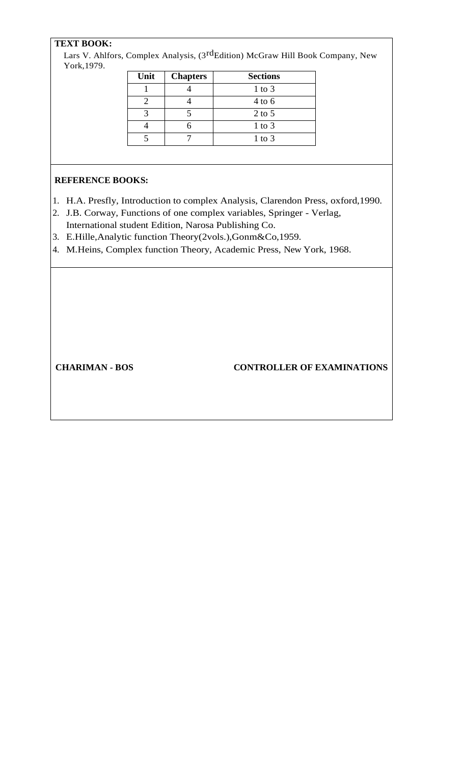# **TEXT BOOK:**

Lars V. Ahlfors, Complex Analysis, (3<sup>rd</sup>Edition) McGraw Hill Book Company, New York,1979.

| Unit | <b>Chapters</b> | <b>Sections</b> |
|------|-----------------|-----------------|
|      |                 | $1$ to $3$      |
|      |                 | $4$ to 6        |
|      |                 | $2$ to 5        |
|      |                 | $1$ to $3$      |
|      |                 | $1$ to $3$      |

# **REFERENCE BOOKS:**

- 1. H.A. Presfly, Introduction to complex Analysis, Clarendon Press, oxford,1990.
- 2. J.B. Corway, Functions of one complex variables, Springer Verlag, International student Edition, Narosa Publishing Co.
- 3. E.Hille,Analytic function Theory(2vols.),Gonm&Co,1959.
- 4. M.Heins, Complex function Theory, Academic Press, New York, 1968.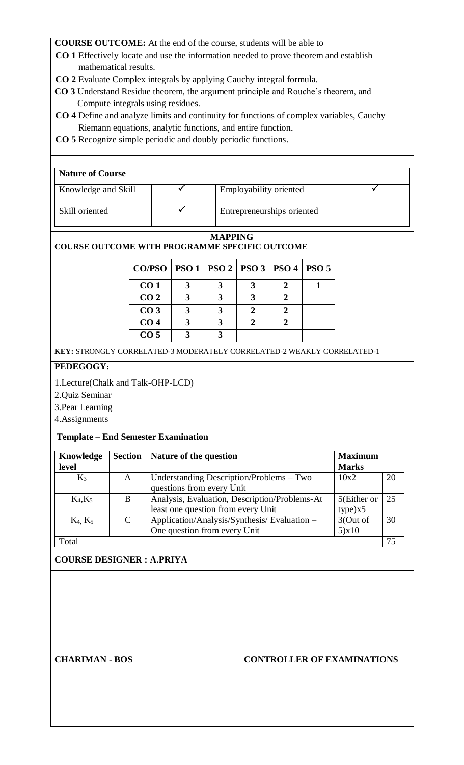- **CO 1** Effectively locate and use the information needed to prove theorem and establish mathematical results.
- **CO 2** Evaluate Complex integrals by applying Cauchy integral formula.
- **CO 3** Understand Residue theorem, the argument principle and Rouche's theorem, and Compute integrals using residues.
- **CO 4** Define and analyze limits and continuity for functions of complex variables, Cauchy Riemann equations, analytic functions, and entire function.
- **CO 5** Recognize simple periodic and doubly periodic functions.

| <b>Nature of Course</b> |                            |  |
|-------------------------|----------------------------|--|
| Knowledge and Skill     | Employability oriented     |  |
| Skill oriented          | Entrepreneurships oriented |  |
|                         |                            |  |

#### **MAPPING COURSE OUTCOME WITH PROGRAMME SPECIFIC OUTCOME**

| CO/PSO   PSO 1   PSO 2   PSO 3   PSO 4   PSO 5 |  |  |  |
|------------------------------------------------|--|--|--|
| CO <sub>1</sub>                                |  |  |  |
| CO <sub>2</sub>                                |  |  |  |
| CO <sub>3</sub>                                |  |  |  |
| CO <sub>4</sub>                                |  |  |  |
| CO <sub>5</sub>                                |  |  |  |

**KEY:** STRONGLY CORRELATED-3 MODERATELY CORRELATED-2 WEAKLY CORRELATED-1

# **PEDEGOGY:**

1.Lecture(Chalk and Talk-OHP-LCD)

2.Quiz Seminar

3.Pear Learning

4.Assignments

# **Template – End Semester Examination**

| Knowledge<br>level | <b>Section</b>              | Nature of the question                                                              | <b>Maximum</b><br><b>Marks</b> |    |
|--------------------|-----------------------------|-------------------------------------------------------------------------------------|--------------------------------|----|
| $K_3$              | A                           | Understanding Description/Problems – Two<br>questions from every Unit               | 10x2                           | 20 |
| $K_4, K_5$         | B                           | Analysis, Evaluation, Description/Problems-At<br>least one question from every Unit | 5(Either or<br>type)x5         | 25 |
| $K_4$ , $K_5$      | $\mathcal{C}_{\mathcal{C}}$ | Application/Analysis/Synthesis/Evaluation -<br>One question from every Unit         | 3(Out of<br>$5) \times 10$     | 30 |
| Total              |                             |                                                                                     |                                | 75 |

# **COURSE DESIGNER : A.PRIYA**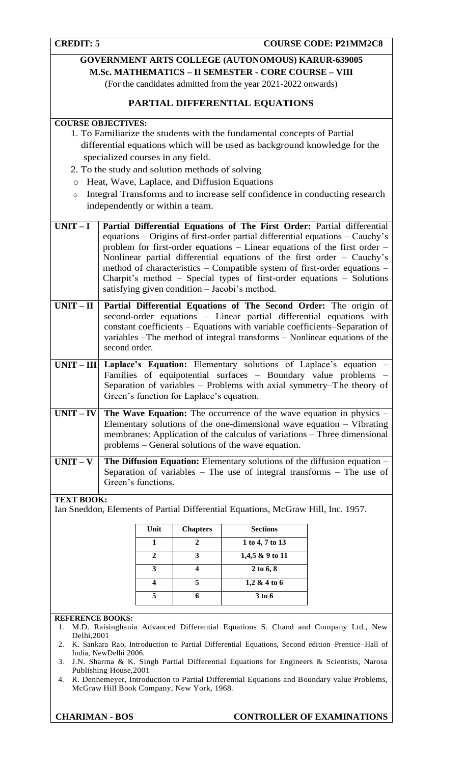**CREDIT: 5 COURSE CODE: P21MM2C8** 

# **GOVERNMENT ARTS COLLEGE (AUTONOMOUS) KARUR-639005 M.Sc. MATHEMATICS – II SEMESTER - CORE COURSE – VIII**

(For the candidates admitted from the year 2021-2022 onwards)

# **PARTIAL DIFFERENTIAL EQUATIONS**

# **COURSE OBJECTIVES:**

- 1. To Familiarize the students with the fundamental concepts of Partial differential equations which will be used as background knowledge for the specialized courses in any field.
- 2. To the study and solution methods of solving
- o Heat, Wave, Laplace, and Diffusion Equations
- o Integral Transforms and to increase self confidence in conducting research independently or within a team.

| $UNIT-I$          | Partial Differential Equations of The First Order: Partial differential<br>equations - Origins of first-order partial differential equations - Cauchy's<br>problem for first-order equations – Linear equations of the first order –<br>Nonlinear partial differential equations of the first order - Cauchy's<br>method of characteristics - Compatible system of first-order equations -<br>Charpit's method - Special types of first-order equations - Solutions<br>satisfying given condition - Jacobi's method. |
|-------------------|----------------------------------------------------------------------------------------------------------------------------------------------------------------------------------------------------------------------------------------------------------------------------------------------------------------------------------------------------------------------------------------------------------------------------------------------------------------------------------------------------------------------|
| $UNIT-II$         | Partial Differential Equations of The Second Order: The origin of<br>second-order equations - Linear partial differential equations with<br>constant coefficients - Equations with variable coefficients-Separation of<br>variables –The method of integral transforms – Nonlinear equations of the<br>second order.                                                                                                                                                                                                 |
|                   | $UNIT - III$ Laplace's Equation: Elementary solutions of Laplace's equation -<br>Families of equipotential surfaces - Boundary value problems -<br>Separation of variables - Problems with axial symmetry-The theory of<br>Green's function for Laplace's equation.                                                                                                                                                                                                                                                  |
|                   | $UNIT - IV$ The Wave Equation: The occurrence of the wave equation in physics –<br>Elementary solutions of the one-dimensional wave equation $-$ Vibrating<br>membranes: Application of the calculus of variations – Three dimensional<br>problems – General solutions of the wave equation.                                                                                                                                                                                                                         |
|                   | UNIT – V   The Diffusion Equation: Elementary solutions of the diffusion equation –<br>Separation of variables – The use of integral transforms – The use of<br>Green's functions.                                                                                                                                                                                                                                                                                                                                   |
| <b>TEXT BOOK:</b> | Ian Sneddon, Elements of Partial Differential Equations, McGraw Hill, Inc. 1957.                                                                                                                                                                                                                                                                                                                                                                                                                                     |

| Unit | <b>Chapters</b> | <b>Sections</b> |
|------|-----------------|-----------------|
|      |                 | 1 to 4, 7 to 13 |
|      | 3               | 1,4,5 & 9 to 11 |
|      |                 | $2$ to $6, 8$   |
|      |                 | 1,2 & 4 to 6    |
|      |                 | 3 to 6          |

#### **REFERENCE BOOKS:**

- 1. M.D. Raisinghania Advanced Differential Equations S. Chand and Company Ltd., New Delhi,2001
- 2. K. Sankara Rao, Introduction to Partial Differential Equations, Second edition–Prentice–Hall of India, NewDelhi 2006.
- 3. J.N. Sharma & K. Singh Partial Differential Equations for Engineers & Scientists, Narosa Publishing House,2001
- 4. R. Dennemeyer, Introduction to Partial Differential Equations and Boundary value Problems, McGraw Hill Book Company, New York, 1968.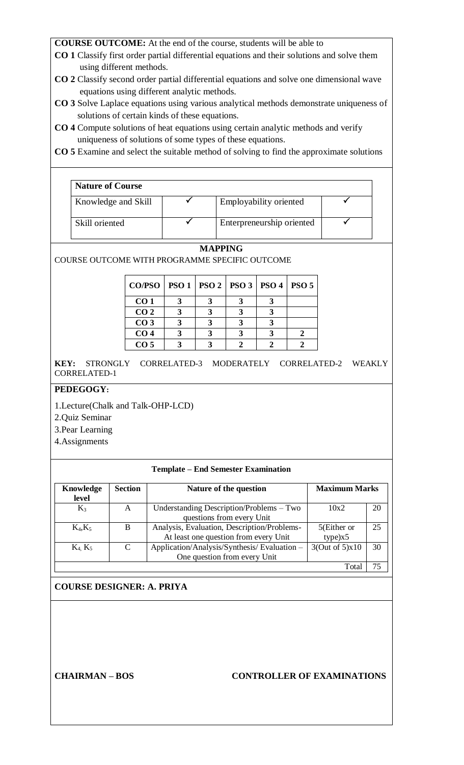- **CO 1** Classify first order partial differential equations and their solutions and solve them using different methods.
- **CO 2** Classify second order partial differential equations and solve one dimensional wave equations using different analytic methods.
- **CO 3** Solve Laplace equations using various analytical methods demonstrate uniqueness of solutions of certain kinds of these equations.
- **CO 4** Compute solutions of heat equations using certain analytic methods and verify uniqueness of solutions of some types of these equations.
- **CO 5** Examine and select the suitable method of solving to find the approximate solutions

| <b>Nature of Course</b> |                           |  |
|-------------------------|---------------------------|--|
| Knowledge and Skill     | Employability oriented    |  |
| Skill oriented          | Enterpreneurship oriented |  |

# **MAPPING**

COURSE OUTCOME WITH PROGRAMME SPECIFIC OUTCOME

| CO/PSO   PSO 1   PSO 2   PSO 3   PSO 4   PSO 5 |  |  |  |
|------------------------------------------------|--|--|--|
| CO <sub>1</sub>                                |  |  |  |
| CO <sub>2</sub>                                |  |  |  |
| CO <sub>3</sub>                                |  |  |  |
| CO <sub>4</sub>                                |  |  |  |
| CO <sub>5</sub>                                |  |  |  |

**KEY:** STRONGLY CORRELATED-3 MODERATELY CORRELATED-2 WEAKLY CORRELATED-1

# **PEDEGOGY:**

1.Lecture(Chalk and Talk-OHP-LCD)

- 2.Quiz Seminar
- 3.Pear Learning
- 4.Assignments

# **Template – End Semester Examination**

| Knowledge<br>level | <b>Section</b> | Nature of the question                                                               | <b>Maximum Marks</b>   |    |
|--------------------|----------------|--------------------------------------------------------------------------------------|------------------------|----|
| $K_3$              | A              | Understanding Description/Problems – Two<br>questions from every Unit                | 10x2                   | 20 |
| $K_4, K_5$         | B              | Analysis, Evaluation, Description/Problems-<br>At least one question from every Unit | 5(Either or<br>type)x5 | 25 |
| $K_4$ , $K_5$      | C              | Application/Analysis/Synthesis/Evaluation -<br>One question from every Unit          | 3(Out of 5)x10         | 30 |
|                    |                |                                                                                      | Tota                   |    |

# **COURSE DESIGNER: A. PRIYA**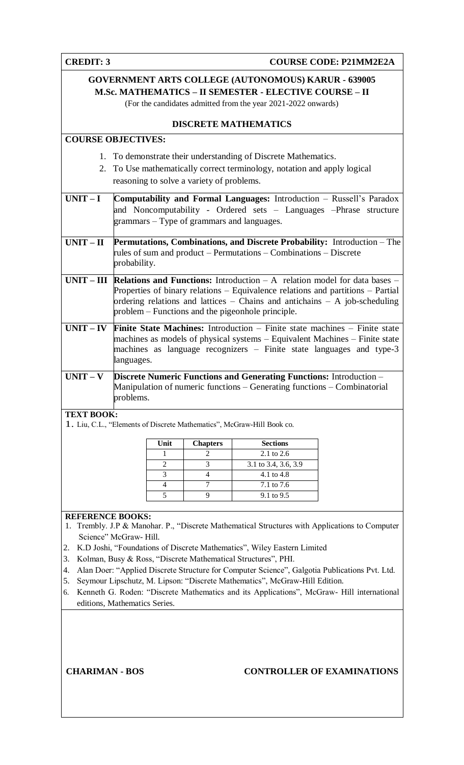| <b>CREDIT: 3</b>                                                                                                                                                                                                                                                                                                                                                                                                                                                                                                                                                                                                                              |                                                                                                                                                                                              |                     |                                            |                                                                                                                                                        | <b>COURSE CODE: P21MM2E2A</b>                                                                                                                                                                                                                                |  |
|-----------------------------------------------------------------------------------------------------------------------------------------------------------------------------------------------------------------------------------------------------------------------------------------------------------------------------------------------------------------------------------------------------------------------------------------------------------------------------------------------------------------------------------------------------------------------------------------------------------------------------------------------|----------------------------------------------------------------------------------------------------------------------------------------------------------------------------------------------|---------------------|--------------------------------------------|--------------------------------------------------------------------------------------------------------------------------------------------------------|--------------------------------------------------------------------------------------------------------------------------------------------------------------------------------------------------------------------------------------------------------------|--|
|                                                                                                                                                                                                                                                                                                                                                                                                                                                                                                                                                                                                                                               | <b>GOVERNMENT ARTS COLLEGE (AUTONOMOUS) KARUR - 639005</b><br><b>M.Sc. MATHEMATICS - II SEMESTER - ELECTIVE COURSE - II</b><br>(For the candidates admitted from the year 2021-2022 onwards) |                     |                                            |                                                                                                                                                        |                                                                                                                                                                                                                                                              |  |
|                                                                                                                                                                                                                                                                                                                                                                                                                                                                                                                                                                                                                                               | <b>DISCRETE MATHEMATICS</b>                                                                                                                                                                  |                     |                                            |                                                                                                                                                        |                                                                                                                                                                                                                                                              |  |
| <b>COURSE OBJECTIVES:</b>                                                                                                                                                                                                                                                                                                                                                                                                                                                                                                                                                                                                                     |                                                                                                                                                                                              |                     |                                            |                                                                                                                                                        |                                                                                                                                                                                                                                                              |  |
|                                                                                                                                                                                                                                                                                                                                                                                                                                                                                                                                                                                                                                               |                                                                                                                                                                                              |                     | reasoning to solve a variety of problems.  | 1. To demonstrate their understanding of Discrete Mathematics.<br>2. To Use mathematically correct terminology, notation and apply logical             |                                                                                                                                                                                                                                                              |  |
| $UNIT-I$                                                                                                                                                                                                                                                                                                                                                                                                                                                                                                                                                                                                                                      |                                                                                                                                                                                              |                     | grammars – Type of grammars and languages. |                                                                                                                                                        | Computability and Formal Languages: Introduction - Russell's Paradox<br>and Noncomputability - Ordered sets - Languages -Phrase structure                                                                                                                    |  |
| $UNIT-II$                                                                                                                                                                                                                                                                                                                                                                                                                                                                                                                                                                                                                                     | probability.                                                                                                                                                                                 |                     |                                            | rules of sum and product – Permutations – Combinations – Discrete                                                                                      | Permutations, Combinations, and Discrete Probability: Introduction - The                                                                                                                                                                                     |  |
|                                                                                                                                                                                                                                                                                                                                                                                                                                                                                                                                                                                                                                               |                                                                                                                                                                                              |                     |                                            | problem – Functions and the pigeonhole principle.                                                                                                      | $UNIT - III$ Relations and Functions: Introduction $-A$ relation model for data bases –<br>Properties of binary relations - Equivalence relations and partitions - Partial<br>ordering relations and lattices $-$ Chains and antichains $-$ A job-scheduling |  |
| $UNIT - IV$                                                                                                                                                                                                                                                                                                                                                                                                                                                                                                                                                                                                                                   | languages.                                                                                                                                                                                   |                     |                                            |                                                                                                                                                        | Finite State Machines: Introduction - Finite state machines - Finite state<br>machines as models of physical systems – Equivalent Machines – Finite state<br>machines as language recognizers – Finite state languages and type-3                            |  |
| $UNIT - V$                                                                                                                                                                                                                                                                                                                                                                                                                                                                                                                                                                                                                                    | problems.                                                                                                                                                                                    |                     |                                            | <b>Discrete Numeric Functions and Generating Functions:</b> Introduction -<br>Manipulation of numeric functions - Generating functions - Combinatorial |                                                                                                                                                                                                                                                              |  |
| <b>TEXT BOOK:</b>                                                                                                                                                                                                                                                                                                                                                                                                                                                                                                                                                                                                                             |                                                                                                                                                                                              |                     |                                            | 1. Liu, C.L., "Elements of Discrete Mathematics", McGraw-Hill Book co.                                                                                 |                                                                                                                                                                                                                                                              |  |
|                                                                                                                                                                                                                                                                                                                                                                                                                                                                                                                                                                                                                                               |                                                                                                                                                                                              | Unit                | <b>Chapters</b>                            | <b>Sections</b>                                                                                                                                        |                                                                                                                                                                                                                                                              |  |
|                                                                                                                                                                                                                                                                                                                                                                                                                                                                                                                                                                                                                                               |                                                                                                                                                                                              | 1                   | 2                                          | 2.1 to 2.6                                                                                                                                             |                                                                                                                                                                                                                                                              |  |
|                                                                                                                                                                                                                                                                                                                                                                                                                                                                                                                                                                                                                                               |                                                                                                                                                                                              | $\overline{2}$<br>3 | 3<br>4                                     | 3.1 to 3.4, 3.6, 3.9<br>4.1 to 4.8                                                                                                                     |                                                                                                                                                                                                                                                              |  |
|                                                                                                                                                                                                                                                                                                                                                                                                                                                                                                                                                                                                                                               |                                                                                                                                                                                              | 4                   | 7                                          | 7.1 to 7.6                                                                                                                                             |                                                                                                                                                                                                                                                              |  |
|                                                                                                                                                                                                                                                                                                                                                                                                                                                                                                                                                                                                                                               |                                                                                                                                                                                              | $\overline{5}$      | 9                                          | 9.1 to 9.5                                                                                                                                             |                                                                                                                                                                                                                                                              |  |
| <b>REFERENCE BOOKS:</b><br>Trembly. J.P & Manohar. P., "Discrete Mathematical Structures with Applications to Computer<br>1.<br>Science" McGraw- Hill.<br>K.D Joshi, "Foundations of Discrete Mathematics", Wiley Eastern Limited<br>2.<br>Kolman, Busy & Ross, "Discrete Mathematical Structures", PHI.<br>3.<br>Alan Doer: "Applied Discrete Structure for Computer Science", Galgotia Publications Pvt. Ltd.<br>4.<br>Seymour Lipschutz, M. Lipson: "Discrete Mathematics", McGraw-Hill Edition.<br>5.<br>Kenneth G. Roden: "Discrete Mathematics and its Applications", McGraw- Hill international<br>6.<br>editions, Mathematics Series. |                                                                                                                                                                                              |                     |                                            |                                                                                                                                                        |                                                                                                                                                                                                                                                              |  |
| <b>CHARIMAN - BOS</b>                                                                                                                                                                                                                                                                                                                                                                                                                                                                                                                                                                                                                         |                                                                                                                                                                                              |                     |                                            |                                                                                                                                                        | <b>CONTROLLER OF EXAMINATIONS</b>                                                                                                                                                                                                                            |  |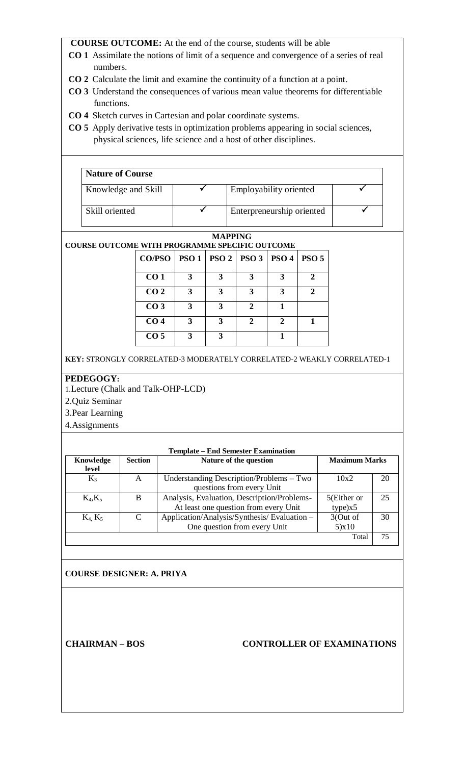- **CO 1** Assimilate the notions of limit of a sequence and convergence of a series of real numbers.
- **CO 2** Calculate the limit and examine the continuity of a function at a point.
- **CO 3** Understand the consequences of various mean value theorems for differentiable functions.
- **CO 4** Sketch curves in Cartesian and polar coordinate systems.
- **CO 5** Apply derivative tests in optimization problems appearing in social sciences, physical sciences, life science and a host of other disciplines.

| <b>Nature of Course</b> |                           |  |
|-------------------------|---------------------------|--|
| Knowledge and Skill     | Employability oriented    |  |
| Skill oriented          | Enterpreneurship oriented |  |

#### **MAPPING COURSE OUTCOME WITH PROGRAMME SPECIFIC OUTCOME**

| OME WITH I ROGRAMME SI ECIFIC OUTCOME<br>$CO/PSO$   PSO 1   PSO 2   PSO 3   PSO 4<br>PSO <sub>5</sub><br>CO <sub>1</sub><br>3<br>3<br>3<br>3<br>2<br>$\mathbf{3}$<br>$\mathcal{D}$ |                 |   |   |              |   |  |
|------------------------------------------------------------------------------------------------------------------------------------------------------------------------------------|-----------------|---|---|--------------|---|--|
|                                                                                                                                                                                    |                 |   |   |              |   |  |
|                                                                                                                                                                                    |                 |   |   |              |   |  |
|                                                                                                                                                                                    | CO <sub>2</sub> | 3 | 3 | 3            |   |  |
|                                                                                                                                                                                    | CO <sub>3</sub> | 3 | 3 | $\mathbf 2$  |   |  |
|                                                                                                                                                                                    | CO <sub>4</sub> | 3 | 3 | $\mathbf{2}$ | 2 |  |
|                                                                                                                                                                                    | CO <sub>5</sub> | 3 |   |              |   |  |

**KEY:** STRONGLY CORRELATED-3 MODERATELY CORRELATED-2 WEAKLY CORRELATED-1

# **PEDEGOGY:**

1.Lecture (Chalk and Talk-OHP-LCD)

2.Quiz Seminar

3.Pear Learning

4.Assignments

| <b>Template – End Semester Examination</b> |                |                                             |                      |    |  |  |
|--------------------------------------------|----------------|---------------------------------------------|----------------------|----|--|--|
| Knowledge<br>level                         | <b>Section</b> | Nature of the question                      | <b>Maximum Marks</b> |    |  |  |
| $K_3$                                      | A              | Understanding Description/Problems – Two    | 10x2                 | 20 |  |  |
|                                            |                | questions from every Unit                   |                      |    |  |  |
| $K_4, K_5$                                 | B              | Analysis, Evaluation, Description/Problems- | 5(Either or          | 25 |  |  |
|                                            |                | At least one question from every Unit       | type)x5              |    |  |  |
| K <sub>4</sub> K <sub>5</sub>              | $\mathcal{C}$  | Application/Analysis/Synthesis/Evaluation - | 3(Out of             | 30 |  |  |
|                                            |                | One question from every Unit                | 5)x10                |    |  |  |
|                                            |                |                                             | Total                | 75 |  |  |
|                                            |                |                                             |                      |    |  |  |

# **COURSE DESIGNER: A. PRIYA**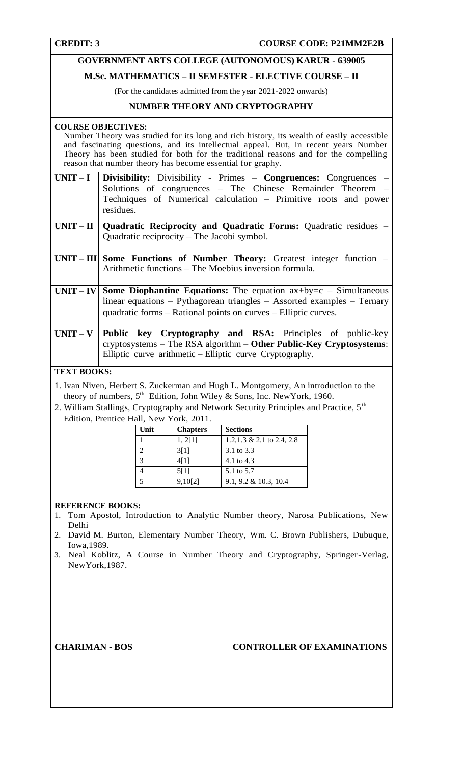# **GOVERNMENT ARTS COLLEGE (AUTONOMOUS) KARUR - 639005**

# **M.Sc. MATHEMATICS – II SEMESTER - ELECTIVE COURSE – II**

(For the candidates admitted from the year 2021-2022 onwards)

# **NUMBER THEORY AND CRYPTOGRAPHY**

#### **COURSE OBJECTIVES:**

Number Theory was studied for its long and rich history, its wealth of easily accessible and fascinating questions, and its intellectual appeal. But, in recent years Number Theory has been studied for both for the traditional reasons and for the compelling reason that number theory has become essential for graphy.

| $UNIT-I$ Divisibility: Divisibility - Primes - Congruences: Congruences - |
|---------------------------------------------------------------------------|
| Solutions of congruences – The Chinese Remainder Theorem –                |
| Techniques of Numerical calculation – Primitive roots and power           |
| residues.                                                                 |
|                                                                           |

| $UNIT-II$   Quadratic Reciprocity and Quadratic Forms: Quadratic residues $-$ |  |  |
|-------------------------------------------------------------------------------|--|--|
| Quadratic reciprocity $-$ The Jacobi symbol.                                  |  |  |

| $UNIT - III$ Some Functions of Number Theory: Greatest integer function $-$ |                                                               |  |  |  |  |
|-----------------------------------------------------------------------------|---------------------------------------------------------------|--|--|--|--|
|                                                                             | $\vert$ Arithmetic functions – The Moebius inversion formula. |  |  |  |  |

- **UNIT IV** Some Diophantine Equations: The equation  $ax+by=c$  Simultaneous linear equations – Pythagorean triangles – Assorted examples – Ternary quadratic forms – Rational points on curves – Elliptic curves.
- **UNIT V Public key Cryptography and RSA:** Principles of public-key cryptosystems – The RSA algorithm – **Other Public-Key Cryptosystems**: Elliptic curve arithmetic – Elliptic curve Cryptography.

### **TEXT BOOKS:**

1. Ivan Niven, Herbert S. Zuckerman and Hugh L. Montgomery, An introduction to the theory of numbers,  $5^{th}$  Edition, John Wiley & Sons, Inc. New York, 1960.

2. William Stallings, Cryptography and Network Security Principles and Practice, 5<sup>th</sup> Edition, Prentice Hall, New York, 2011.

| Unit | <b>Chapters</b> | <b>Sections</b>            |
|------|-----------------|----------------------------|
|      | 1, 2[1]         | 1.2, 1.3 & 2.1 to 2.4, 2.8 |
| 2    | 3[1]            | 3.1 to 3.3                 |
| 3    | 4[1]            | 4.1 to 4.3                 |
| 4    | 5[1]            | 5.1 to 5.7                 |
| 5    | 9,10[2]         | $9.1, 9.2 \& 10.3, 10.4$   |

# **REFERENCE BOOKS:**

- 1. Tom Apostol, Introduction to Analytic Number theory, Narosa Publications, New Delhi
- 2. David M. Burton, Elementary Number Theory, Wm. C. Brown Publishers, Dubuque, Iowa,1989.
- 3. Neal Koblitz, A Course in Number Theory and Cryptography, Springer-Verlag, NewYork,1987.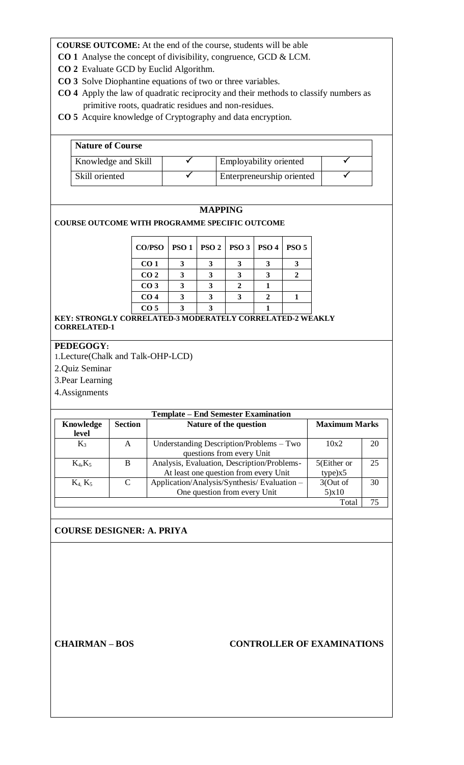- **CO 1** Analyse the concept of divisibility, congruence, GCD & LCM.
- **CO 2** Evaluate GCD by Euclid Algorithm.
- **CO 3** Solve Diophantine equations of two or three variables.
- **CO 4** Apply the law of quadratic reciprocity and their methods to classify numbers as primitive roots, quadratic residues and non-residues.
- **CO 5** Acquire knowledge of Cryptography and data encryption.

| <b>Nature of Course</b> |                           |  |
|-------------------------|---------------------------|--|
| Knowledge and Skill     | Employability oriented    |  |
| Skill oriented          | Enterpreneurship oriented |  |

# **MAPPING**

**COURSE OUTCOME WITH PROGRAMME SPECIFIC OUTCOME**

| <b>CO/PSO</b>   | PSO1   PSO2   PSO3 | <b>PSO 4</b> | PSO <sub>5</sub> |
|-----------------|--------------------|--------------|------------------|
| CO <sub>1</sub> |                    |              |                  |
| CO <sub>2</sub> |                    |              |                  |
| CO <sub>3</sub> |                    |              |                  |
| CO <sub>4</sub> |                    |              |                  |
| CO <sub>5</sub> |                    |              |                  |

**KEY: STRONGLY CORRELATED-3 MODERATELY CORRELATED-2 WEAKLY CORRELATED-1** 

# **PEDEGOGY:**

1.Lecture(Chalk and Talk-OHP-LCD)

2.Quiz Seminar

3.Pear Learning

4.Assignments

| <b>Template – End Semester Examination</b> |                |                                             |                      |    |  |  |
|--------------------------------------------|----------------|---------------------------------------------|----------------------|----|--|--|
| Knowledge                                  | <b>Section</b> | Nature of the question                      | <b>Maximum Marks</b> |    |  |  |
| level                                      |                |                                             |                      |    |  |  |
| $K_3$                                      | A              | Understanding Description/Problems – Two    | 10x2                 | 20 |  |  |
|                                            |                | questions from every Unit                   |                      |    |  |  |
| $K_4, K_5$                                 | B              | Analysis, Evaluation, Description/Problems- | 5(Either or          | 25 |  |  |
|                                            |                | At least one question from every Unit       | type)x5              |    |  |  |
| $K_4$ , $K_5$                              | $\mathcal{C}$  | Application/Analysis/Synthesis/Evaluation - | 3(Out of             | 30 |  |  |
|                                            |                | One question from every Unit                | 5)x10                |    |  |  |
|                                            |                |                                             | Total                | 75 |  |  |

# **COURSE DESIGNER: A. PRIYA**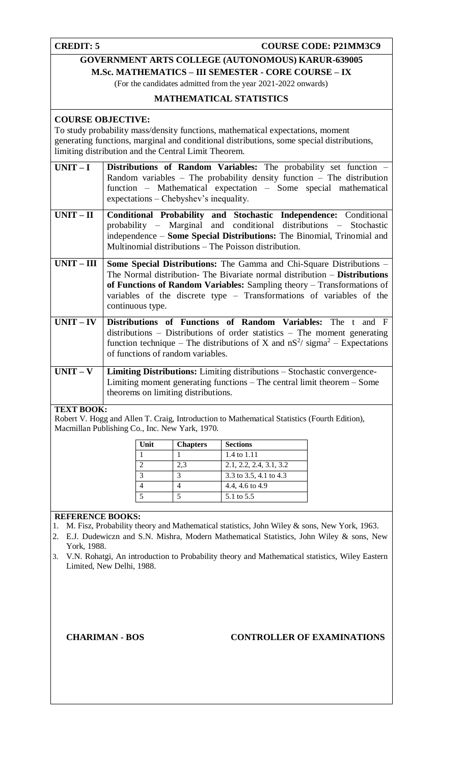**CREDIT: 5 COURSE CODE: P21MM3C9** 

# **GOVERNMENT ARTS COLLEGE (AUTONOMOUS) KARUR-639005**

**M.Sc. MATHEMATICS – III SEMESTER - CORE COURSE – IX**

(For the candidates admitted from the year 2021-2022 onwards)

# **MATHEMATICAL STATISTICS**

# **COURSE OBJECTIVE:**

To study probability mass/density functions, mathematical expectations, moment generating functions, marginal and conditional distributions, some special distributions, limiting distribution and the Central Limit Theorem.

| $UNIT-I$    | <b>Distributions of Random Variables:</b> The probability set function –<br>Random variables – The probability density function – The distribution<br>function – Mathematical expectation – Some special mathematical<br>expectations – Chebyshev's inequality.                                                                        |
|-------------|----------------------------------------------------------------------------------------------------------------------------------------------------------------------------------------------------------------------------------------------------------------------------------------------------------------------------------------|
| $UNIT - II$ | Conditional Probability and Stochastic Independence: Conditional<br>probability – Marginal and conditional distributions – Stochastic<br>independence – Some Special Distributions: The Binomial, Trinomial and<br>Multinomial distributions – The Poisson distribution.                                                               |
| $UNIT-III$  | <b>Some Special Distributions:</b> The Gamma and Chi-Square Distributions –<br>The Normal distribution- The Bivariate normal distribution – <b>Distributions</b><br>of Functions of Random Variables: Sampling theory – Transformations of<br>variables of the discrete type - Transformations of variables of the<br>continuous type. |
| $UNIT - IV$ | Distributions of Functions of Random Variables: The t and F<br>$distributions$ – Distributions of order statistics – The moment generating<br>function technique – The distributions of X and $nS^2$ / sigma <sup>2</sup> – Expectations<br>of functions of random variables.                                                          |
| $UNIT - V$  | <b>Limiting Distributions:</b> Limiting distributions – Stochastic convergence-<br>Limiting moment generating functions $-$ The central limit theorem $-$ Some<br>theorems on limiting distributions.                                                                                                                                  |

# **TEXT BOOK:**

Robert V. Hogg and Allen T. Craig, Introduction to Mathematical Statistics (Fourth Edition), Macmillan Publishing Co., Inc. New Yark, 1970.

| Unit           | <b>Chapters</b> | <b>Sections</b>         |
|----------------|-----------------|-------------------------|
|                |                 | 1.4 to 1.11             |
| $\overline{2}$ | 2.3             | 2.1, 2.2, 2.4, 3.1, 3.2 |
| 3              | 3               | 3.3 to 3.5, 4.1 to 4.3  |
| $\overline{4}$ |                 | 4.4, 4.6 to 4.9         |
| 5              |                 | 5.1 to 5.5              |

# **REFERENCE BOOKS:**

- 1. M. Fisz, Probability theory and Mathematical statistics, John Wiley & sons, New York, 1963.
- 2. E.J. Dudewiczn and S.N. Mishra, Modern Mathematical Statistics, John Wiley & sons, New York, 1988.

3. V.N. Rohatgi, An introduction to Probability theory and Mathematical statistics, Wiley Eastern Limited, New Delhi, 1988.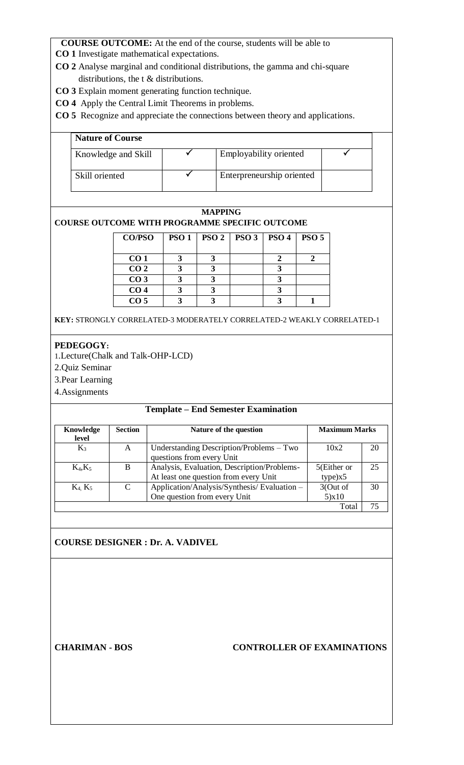**CO 1** Investigate mathematical expectations.

- **CO 2** Analyse marginal and conditional distributions, the gamma and chi-square distributions, the t & distributions.
- **CO 3** Explain moment generating function technique.
- **CO 4** Apply the Central Limit Theorems in problems.

**CO 5** Recognize and appreciate the connections between theory and applications.

| <b>Nature of Course</b> |                           |  |
|-------------------------|---------------------------|--|
| Knowledge and Skill     | Employability oriented    |  |
| Skill oriented          | Enterpreneurship oriented |  |

# **MAPPING COURSE OUTCOME WITH PROGRAMME SPECIFIC OUTCOME**

| <b>CO/PSO</b>   | <b>PSO1</b> | PSO2 | PSO <sub>3</sub> | <b>PSO 4</b> | <b>PSO 5</b> |
|-----------------|-------------|------|------------------|--------------|--------------|
|                 |             |      |                  |              |              |
| CO <sub>1</sub> |             |      |                  |              |              |
| CO <sub>2</sub> |             |      |                  |              |              |
| CO <sub>3</sub> |             |      |                  |              |              |
| CO <sub>4</sub> |             |      |                  |              |              |
| CO <sub>5</sub> |             |      |                  |              |              |

**KEY:** STRONGLY CORRELATED-3 MODERATELY CORRELATED-2 WEAKLY CORRELATED-1

# **PEDEGOGY:**

1.Lecture(Chalk and Talk-OHP-LCD)

2.Quiz Seminar

3.Pear Learning

4.Assignments

# **Template – End Semester Examination**

| Knowledge<br>level | <b>Section</b> | Nature of the question                      | <b>Maximum Marks</b> |    |
|--------------------|----------------|---------------------------------------------|----------------------|----|
| $K_3$              | A              | Understanding Description/Problems – Two    | 10x2                 | 20 |
|                    |                | questions from every Unit                   |                      |    |
| $K_4, K_5$         | B              | Analysis, Evaluation, Description/Problems- | 5(Either or          | 25 |
|                    |                | At least one question from every Unit       | type)x5              |    |
| $K_4$ , $K_5$      | C              | Application/Analysis/Synthesis/Evaluation - | 3(Out of             | 30 |
|                    |                | One question from every Unit                | 5)x10                |    |
|                    |                |                                             | Total                | 75 |

# **COURSE DESIGNER : Dr. A. VADIVEL**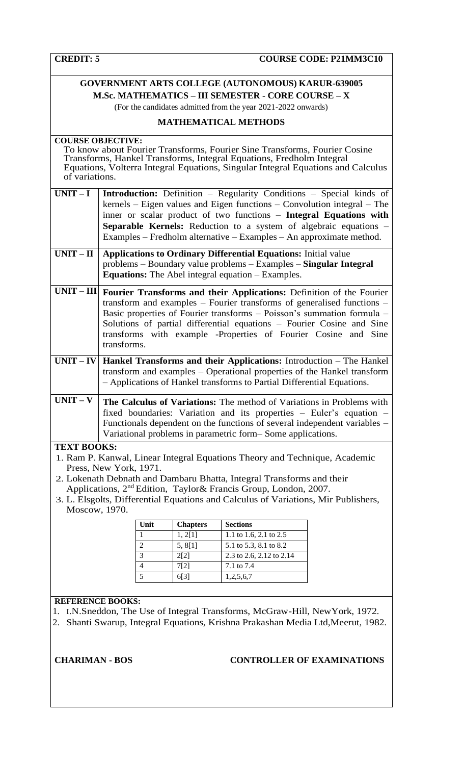# **GOVERNMENT ARTS COLLEGE (AUTONOMOUS) KARUR-639005 M.Sc. MATHEMATICS – III SEMESTER - CORE COURSE – X**

(For the candidates admitted from the year 2021-2022 onwards)

# **MATHEMATICAL METHODS**

| <b>COURSE OBJECTIVE:</b><br>of variations. |                        |                 | To know about Fourier Transforms, Fourier Sine Transforms, Fourier Cosine<br>Transforms, Hankel Transforms, Integral Equations, Fredholm Integral<br>Equations, Volterra Integral Equations, Singular Integral Equations and Calculus                                                                                                                                          |  |
|--------------------------------------------|------------------------|-----------------|--------------------------------------------------------------------------------------------------------------------------------------------------------------------------------------------------------------------------------------------------------------------------------------------------------------------------------------------------------------------------------|--|
| $UNIT-I$                                   |                        |                 | <b>Introduction:</b> Definition – Regularity Conditions – Special kinds of<br>kernels - Eigen values and Eigen functions - Convolution integral - The<br>inner or scalar product of two functions - Integral Equations with<br><b>Separable Kernels:</b> Reduction to a system of algebraic equations –<br>Examples – Fredholm alternative – Examples – An approximate method. |  |
| $UNIT - II$                                |                        |                 | <b>Applications to Ordinary Differential Equations:</b> Initial value<br>problems - Boundary value problems - Examples - Singular Integral<br><b>Equations:</b> The Abel integral equation – Examples.                                                                                                                                                                         |  |
| $UNIT - III$                               | transforms.            |                 | Fourier Transforms and their Applications: Definition of the Fourier<br>transform and examples – Fourier transforms of generalised functions –<br>Basic properties of Fourier transforms - Poisson's summation formula -<br>Solutions of partial differential equations - Fourier Cosine and Sine<br>transforms with example -Properties of Fourier Cosine and Sine            |  |
|                                            |                        |                 | $UNIT - IV$ Hankel Transforms and their Applications: Introduction – The Hankel<br>transform and examples - Operational properties of the Hankel transform<br>- Applications of Hankel transforms to Partial Differential Equations.                                                                                                                                           |  |
| $UNIT - V$                                 |                        |                 | The Calculus of Variations: The method of Variations in Problems with<br>fixed boundaries: Variation and its properties - Euler's equation -<br>Functionals dependent on the functions of several independent variables -<br>Variational problems in parametric form–Some applications.                                                                                        |  |
| <b>TEXT BOOKS:</b>                         |                        |                 |                                                                                                                                                                                                                                                                                                                                                                                |  |
|                                            |                        |                 | 1. Ram P. Kanwal, Linear Integral Equations Theory and Technique, Academic                                                                                                                                                                                                                                                                                                     |  |
|                                            | Press, New York, 1971. |                 |                                                                                                                                                                                                                                                                                                                                                                                |  |
|                                            |                        |                 | 2. Lokenath Debnath and Dambaru Bhatta, Integral Transforms and their                                                                                                                                                                                                                                                                                                          |  |
|                                            |                        |                 | Applications, 2 <sup>nd</sup> Edition, Taylor& Francis Group, London, 2007.                                                                                                                                                                                                                                                                                                    |  |
|                                            |                        |                 | 3. L. Elsgolts, Differential Equations and Calculus of Variations, Mir Publishers,                                                                                                                                                                                                                                                                                             |  |
| Moscow, 1970.                              |                        |                 |                                                                                                                                                                                                                                                                                                                                                                                |  |
|                                            |                        |                 |                                                                                                                                                                                                                                                                                                                                                                                |  |
|                                            | Unit                   | <b>Chapters</b> | <b>Sections</b>                                                                                                                                                                                                                                                                                                                                                                |  |
|                                            | 1                      | 1, 2[1]         | 1.1 to 1.6, 2.1 to 2.5                                                                                                                                                                                                                                                                                                                                                         |  |
|                                            | $\overline{2}$         | 5, 8[1]         | 5.1 to 5.3, 8.1 to 8.2                                                                                                                                                                                                                                                                                                                                                         |  |
|                                            | 3                      | 2[2]            | 2.3 to 2.6, 2.12 to 2.14                                                                                                                                                                                                                                                                                                                                                       |  |
|                                            | 4<br>5                 | 7[2]            | 7.1 to 7.4                                                                                                                                                                                                                                                                                                                                                                     |  |
|                                            |                        | 6[3]            | 1,2,5,6,7                                                                                                                                                                                                                                                                                                                                                                      |  |

# **REFERENCE BOOKS:**

- 1. I.N.Sneddon, The Use of Integral Transforms, McGraw-Hill, NewYork, 1972.
- 2. Shanti Swarup, Integral Equations, Krishna Prakashan Media Ltd,Meerut, 1982.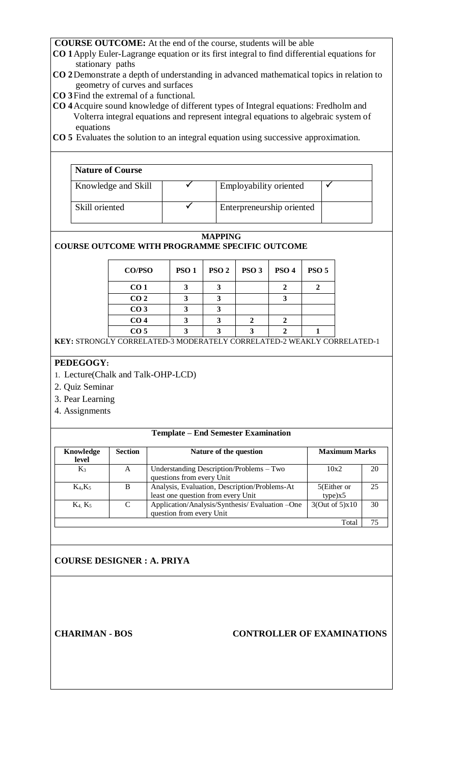- **CO 1**Apply Euler-Lagrange equation or its first integral to find differential equations for stationary paths
- **CO 2**Demonstrate a depth of understanding in advanced mathematical topics in relation to geometry of curves and surfaces
- **CO 3**Find the extremal of a functional.
- **CO 4**Acquire sound knowledge of different types of Integral equations: Fredholm and Volterra integral equations and represent integral equations to algebraic system of equations
- **CO 5** Evaluates the solution to an integral equation using successive approximation.

| <b>Nature of Course</b> |                           |  |
|-------------------------|---------------------------|--|
| Knowledge and Skill     | Employability oriented    |  |
| Skill oriented          | Enterpreneurship oriented |  |

# **MAPPING**

# **COURSE OUTCOME WITH PROGRAMME SPECIFIC OUTCOME**

| CO/PSO          | <b>PSO1</b> | PSO <sub>2</sub> | PSO <sub>3</sub> | PSO <sub>4</sub> | PSO <sub>5</sub> |
|-----------------|-------------|------------------|------------------|------------------|------------------|
| CO <sub>1</sub> |             |                  |                  |                  |                  |
| CO <sub>2</sub> |             |                  |                  |                  |                  |
| CO <sub>3</sub> |             |                  |                  |                  |                  |
| CO <sub>4</sub> |             |                  |                  |                  |                  |
| CO <sub>5</sub> |             |                  |                  |                  |                  |

**KEY:** STRONGLY CORRELATED-3 MODERATELY CORRELATED-2 WEAKLY CORRELATED-1

# **PEDEGOGY:**

- 1. Lecture(Chalk and Talk-OHP-LCD)
- 2. Quiz Seminar
- 3. Pear Learning
- 4. Assignments

#### **Template – End Semester Examination**

| Knowledge<br>level | <b>Section</b> | Nature of the question                                                              | <b>Maximum Marks</b>   |    |
|--------------------|----------------|-------------------------------------------------------------------------------------|------------------------|----|
| $K_3$              | A              | Understanding Description/Problems – Two<br>questions from every Unit               | 10x2                   | 20 |
| $K_4, K_5$         | B              | Analysis, Evaluation, Description/Problems-At<br>least one question from every Unit | 5(Either or<br>type)x5 | 25 |
| $K_4$ , $K_5$      | C              | Application/Analysis/Synthesis/Evaluation -One<br>question from every Unit          | 3(Out of 5)x10         | 30 |
|                    |                |                                                                                     | Total                  |    |

# **COURSE DESIGNER : A. PRIYA**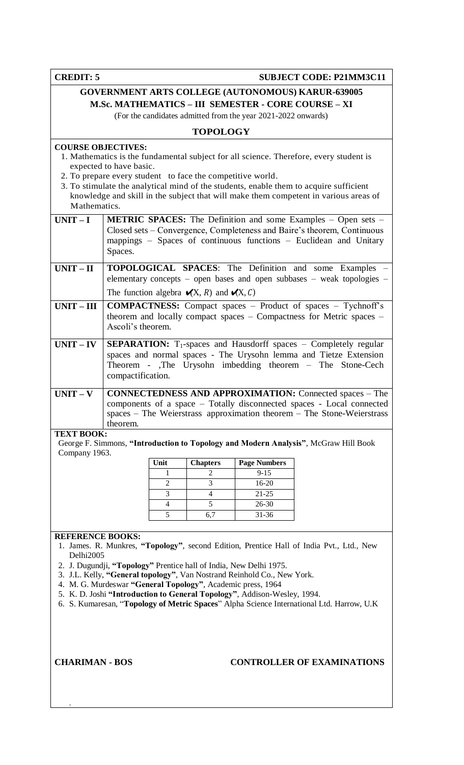**CREDIT: 5 SUBJECT CODE: P21MM3C11** 

# **GOVERNMENT ARTS COLLEGE (AUTONOMOUS) KARUR-639005 M.Sc. MATHEMATICS – III SEMESTER - CORE COURSE – XI**

(For the candidates admitted from the year 2021-2022 onwards)

# **TOPOLOGY**

# **COURSE OBJECTIVES:**

- 1. Mathematics is the fundamental subject for all science. Therefore, every student is expected to have basic.
- 2. To prepare every student to face the competitive world.
- 3. To stimulate the analytical mind of the students, enable them to acquire sufficient knowledge and skill in the subject that will make them competent in various areas of Mathematics.

| $UNIT-I$          | <b>METRIC SPACES:</b> The Definition and some Examples – Open sets –<br>Closed sets - Convergence, Completeness and Baire's theorem, Continuous<br>mappings – Spaces of continuous functions – Euclidean and Unitary<br>Spaces. |
|-------------------|---------------------------------------------------------------------------------------------------------------------------------------------------------------------------------------------------------------------------------|
| $UNIT - II$       | <b>TOPOLOGICAL SPACES:</b> The Definition and some Examples –                                                                                                                                                                   |
|                   | elementary concepts – open bases and open subbases – weak topologies –                                                                                                                                                          |
|                   | The function algebra $\mathcal{K}(\mathbf{X}, R)$ and $\mathcal{K}(\mathbf{X}, C)$                                                                                                                                              |
| $UNIT-III$        | <b>COMPACTNESS:</b> Compact spaces – Product of spaces – Tychnoff's<br>theorem and locally compact spaces $-$ Compactness for Metric spaces $-$                                                                                 |
|                   | Ascoli's theorem.                                                                                                                                                                                                               |
| $UNIT - IV$       | <b>SEPARATION:</b> $T_1$ -spaces and Hausdorff spaces – Completely regular                                                                                                                                                      |
|                   | spaces and normal spaces - The Urysohn lemma and Tietze Extension                                                                                                                                                               |
|                   | Theorem - The Urysohn imbedding theorem – The Stone-Cech                                                                                                                                                                        |
|                   | compactification.                                                                                                                                                                                                               |
| $UNIT - V$        | <b>CONNECTEDNESS AND APPROXIMATION:</b> Connected spaces – The                                                                                                                                                                  |
|                   | components of a space – Totally disconnected spaces - Local connected                                                                                                                                                           |
|                   | $spaces$ – The Weierstrass approximation theorem – The Stone-Weierstrass                                                                                                                                                        |
|                   | theorem.                                                                                                                                                                                                                        |
| <b>TEXT BOOK:</b> |                                                                                                                                                                                                                                 |

George F. Simmons, **"Introduction to Topology and Modern Analysis"**, McGraw Hill Book Company 1963.

| Unit | <b>Chapters</b> | <b>Page Numbers</b> |
|------|-----------------|---------------------|
|      |                 | $9 - 15$            |
|      |                 | 16-20               |
|      |                 | $21 - 25$           |
|      |                 | 26-30               |
|      | 6.7             | $31 - 36$           |
|      |                 |                     |

#### **REFERENCE BOOKS:**

- 1. James. R. Munkres, **"Topology"**, second Edition, Prentice Hall of India Pvt., Ltd., New Delhi2005
- 2. J. Dugundji, **"Topology"** Prentice hall of India, New Delhi 1975.
- 3. J.L. Kelly, **"General topology"**, Van Nostrand Reinhold Co., New York.
- 4. M. G. Murdeswar **"General Topology"**, Academic press, 1964
- 5. K. D. Joshi **"Introduction to General Topology"**, Addison-Wesley, 1994.
- 6. S. Kumaresan, "**Topology of Metric Spaces**" Alpha Science International Ltd. Harrow, U.K

.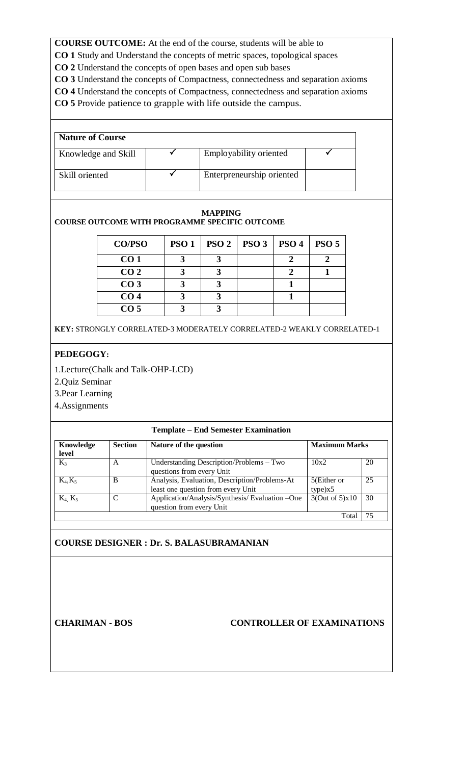**CO 1** Study and Understand the concepts of metric spaces, topological spaces

**CO 2** Understand the concepts of open bases and open sub bases

**CO 3** Understand the concepts of Compactness, connectedness and separation axioms

**CO 4** Understand the concepts of Compactness, connectedness and separation axioms

**CO 5** Provide patience to grapple with life outside the campus.

| <b>Nature of Course</b> |                           |  |
|-------------------------|---------------------------|--|
| Knowledge and Skill     | Employability oriented    |  |
| Skill oriented          | Enterpreneurship oriented |  |

# **MAPPING COURSE OUTCOME WITH PROGRAMME SPECIFIC OUTCOME**

| <b>CO/PSO</b>   | PSO1 | $PSO2$   PSO 3 | PSO <sub>4</sub> | PSO <sub>5</sub> |
|-----------------|------|----------------|------------------|------------------|
| CO <sub>1</sub> |      |                |                  |                  |
| CO <sub>2</sub> |      |                |                  |                  |
| CO <sub>3</sub> |      |                |                  |                  |
| CO <sub>4</sub> |      |                |                  |                  |
| CO <sub>5</sub> |      |                |                  |                  |

**KEY:** STRONGLY CORRELATED-3 MODERATELY CORRELATED-2 WEAKLY CORRELATED-1

# **PEDEGOGY:**

1.Lecture(Chalk and Talk-OHP-LCD)

2.Quiz Seminar

3.Pear Learning

4.Assignments

# **Template – End Semester Examination**

| Knowledge<br>level | <b>Section</b> | Nature of the question                                                              | <b>Maximum Marks</b>   |    |
|--------------------|----------------|-------------------------------------------------------------------------------------|------------------------|----|
| $K_3$              | A              | Understanding Description/Problems – Two<br>questions from every Unit               | 10x2                   | 20 |
| $K_4, K_5$         | B              | Analysis, Evaluation, Description/Problems-At<br>least one question from every Unit | 5(Either or<br>type)x5 | 25 |
| $K_4$ , $K_5$      | C              | Application/Analysis/Synthesis/Evaluation -One<br>question from every Unit          | 3(Out of 5)x10         | 30 |
|                    |                |                                                                                     | Tota                   | 75 |

# **COURSE DESIGNER : Dr. S. BALASUBRAMANIAN**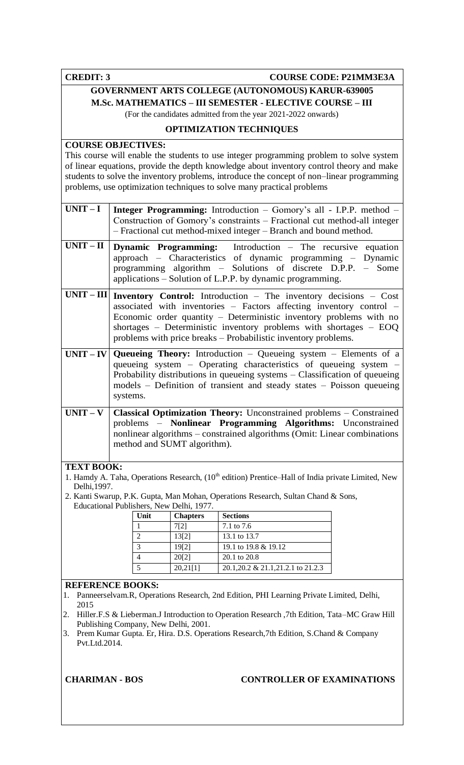**CREDIT: 3 COURSE CODE: P21MM3E3A** 

# **GOVERNMENT ARTS COLLEGE (AUTONOMOUS) KARUR-639005**

**M.Sc. MATHEMATICS – III SEMESTER - ELECTIVE COURSE – III**

(For the candidates admitted from the year 2021-2022 onwards)

# **OPTIMIZATION TECHNIQUES**

# **COURSE OBJECTIVES:**

This course will enable the students to use integer programming problem to solve system of linear equations, provide the depth knowledge about inventory control theory and make students to solve the inventory problems, introduce the concept of non–linear programming problems, use optimization techniques to solve many practical problems

| $UNIT-I$  |                                                                                                                                                                                                                                                                                                                                                                     |
|-----------|---------------------------------------------------------------------------------------------------------------------------------------------------------------------------------------------------------------------------------------------------------------------------------------------------------------------------------------------------------------------|
|           | <b>Integer Programming:</b> Introduction – Gomory's all - I.P.P. method –<br>Construction of Gomory's constraints – Fractional cut method-all integer<br>- Fractional cut method-mixed integer - Branch and bound method.                                                                                                                                           |
| $UNIT-II$ | <b>Dynamic Programming:</b> Introduction – The recursive equation<br>approach – Characteristics of dynamic programming – Dynamic<br>programming algorithm - Solutions of discrete D.P.P. - Some<br>applications – Solution of L.P.P. by dynamic programming.                                                                                                        |
|           | $UNIT - III$ Inventory Control: Introduction - The inventory decisions - Cost<br>associated with inventories - Factors affecting inventory control -<br>Economic order quantity - Deterministic inventory problems with no<br>shortages - Deterministic inventory problems with shortages $-$ EOQ<br>problems with price breaks – Probabilistic inventory problems. |
|           | $UNIT - IV$ Queueing Theory: Introduction – Queueing system – Elements of a<br>queueing system – Operating characteristics of queueing system –<br>Probability distributions in queueing systems – Classification of queueing<br>models - Definition of transient and steady states - Poisson queueing<br>systems.                                                  |
| $UNIT-V$  | Classical Optimization Theory: Unconstrained problems - Constrained<br>problems - Nonlinear Programming Algorithms: Unconstrained<br>nonlinear algorithms - constrained algorithms (Omit: Linear combinations<br>method and SUMT algorithm).                                                                                                                        |

# **TEXT BOOK:**

- 1. Hamdy A. Taha, Operations Research, (10<sup>th</sup> edition) Prentice–Hall of India private Limited, New Delhi,1997.
- 2. Kanti Swarup, P.K. Gupta, Man Mohan, Operations Research, Sultan Chand & Sons, Educational Publishers, New Delhi, 1977.

| Unit          | <b>Chapters</b> | <b>Sections</b>                     |
|---------------|-----------------|-------------------------------------|
|               | 7[2]            | 7.1 to 7.6                          |
|               | 13[2]           | 13.1 to 13.7                        |
| $\mathcal{R}$ | 19[2]           | 19.1 to 19.8 & 19.12                |
|               | 20[2]           | 20.1 to 20.8                        |
|               | 20,21[1]        | 20.1, 20.2 & 21.1, 21.2.1 to 21.2.3 |

# **REFERENCE BOOKS:**

- 1. Panneerselvam.R, Operations Research, 2nd Edition, PHI Learning Private Limited, Delhi, 2015
- 2. Hiller.F.S & Lieberman.J Introduction to Operation Research ,7th Edition, Tata–MC Graw Hill Publishing Company, New Delhi, 2001.
- 3. Prem Kumar Gupta. Er, Hira. D.S. Operations Research,7th Edition, S.Chand & Company Pvt.Ltd.2014.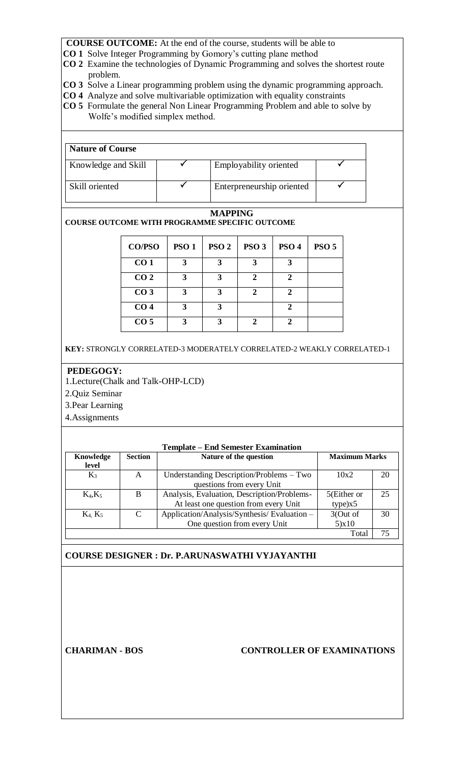- **CO 1** Solve Integer Programming by Gomory's cutting plane method
- **CO 2** Examine the technologies of Dynamic Programming and solves the shortest route problem.
- **CO 3** Solve a Linear programming problem using the dynamic programming approach.
- **CO 4** Analyze and solve multivariable optimization with equality constraints
- **CO 5** Formulate the general Non Linear Programming Problem and able to solve by Wolfe's modified simplex method.

| <b>Nature of Course</b> |                           |  |
|-------------------------|---------------------------|--|
| Knowledge and Skill     | Employability oriented    |  |
| Skill oriented          | Enterpreneurship oriented |  |

### **MAPPING**

**COURSE OUTCOME WITH PROGRAMME SPECIFIC OUTCOME**

| <b>CO/PSO</b>   | <b>PSO1</b> | PSO <sub>2</sub> | PSO <sub>3</sub> | PSO <sub>4</sub> | PSO <sub>5</sub> |
|-----------------|-------------|------------------|------------------|------------------|------------------|
| CO <sub>1</sub> | 3           |                  | 3                |                  |                  |
| CO <sub>2</sub> | 3           | 3                | ∍                | 2                |                  |
| CO <sub>3</sub> | 3           |                  | 2                | 2                |                  |
| CO <sub>4</sub> | 3           | 3                |                  |                  |                  |
| CO <sub>5</sub> | 3           |                  |                  |                  |                  |

**KEY:** STRONGLY CORRELATED-3 MODERATELY CORRELATED-2 WEAKLY CORRELATED-1

### **PEDEGOGY:**

1.Lecture(Chalk and Talk-OHP-LCD)

2.Quiz Seminar

3.Pear Learning

4.Assignments

| <b>Template – End Semester Examination</b> |                |                                                |             |    |  |  |
|--------------------------------------------|----------------|------------------------------------------------|-------------|----|--|--|
| Knowledge                                  | <b>Section</b> | <b>Maximum Marks</b><br>Nature of the question |             |    |  |  |
| level                                      |                |                                                |             |    |  |  |
| $K_3$                                      | А              | Understanding Description/Problems – Two       | 10x2        | 20 |  |  |
|                                            |                | questions from every Unit                      |             |    |  |  |
| $K_4, K_5$                                 | B              | Analysis, Evaluation, Description/Problems-    | 5(Either or | 25 |  |  |
|                                            |                | At least one question from every Unit          | type)x5     |    |  |  |
| $K_4$ , $K_5$                              | $\mathcal{C}$  | Application/Analysis/Synthesis/Evaluation -    | 3(Out of    | 30 |  |  |
|                                            |                | One question from every Unit                   | 5)x10       |    |  |  |
|                                            |                |                                                | Total       | 75 |  |  |

# **COURSE DESIGNER : Dr. P.ARUNASWATHI VYJAYANTHI**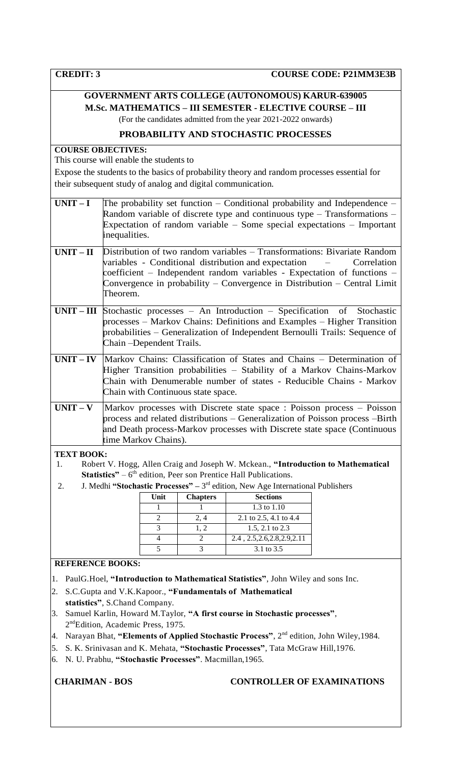# **GOVERNMENT ARTS COLLEGE (AUTONOMOUS) KARUR-639005 M.Sc. MATHEMATICS – III SEMESTER - ELECTIVE COURSE – III**

(For the candidates admitted from the year 2021-2022 onwards)

# **PROBABILITY AND STOCHASTIC PROCESSES**

# **COURSE OBJECTIVES:**

This course will enable the students to

Expose the students to the basics of probability theory and random processes essential for their subsequent study of analog and digital communication.

| $UNIT-I$          | The probability set function – Conditional probability and Independence –<br>Random variable of discrete type and continuous type $-$ Transformations $-$<br>Expectation of random variable $-$ Some special expectations $-$ Important<br>inequalities.                                                             |
|-------------------|----------------------------------------------------------------------------------------------------------------------------------------------------------------------------------------------------------------------------------------------------------------------------------------------------------------------|
| $UNIT-II$         | Distribution of two random variables – Transformations: Bivariate Random<br>variables - Conditional distribution and expectation<br>Correlation<br>$coefficient$ – Independent random variables - Expectation of functions –<br>Convergence in probability – Convergence in Distribution – Central Limit<br>Theorem. |
|                   | $UNIT - III$ Stochastic processes - An Introduction - Specification of Stochastic<br>processes – Markov Chains: Definitions and Examples – Higher Transition<br>probabilities – Generalization of Independent Bernoulli Trails: Sequence of<br>Chain – Dependent Trails.                                             |
| $UNIT - IV$       | Markov Chains: Classification of States and Chains – Determination of<br>Higher Transition probabilities – Stability of a Markov Chains-Markov<br>Chain with Denumerable number of states - Reducible Chains - Markov<br>Chain with Continuous state space.                                                          |
| $UNIT - V$        | Markov processes with Discrete state space : Poisson process - Poisson<br>process and related distributions – Generalization of Poisson process –Birth<br>and Death process-Markov processes with Discrete state space (Continuous<br>time Markov Chains).                                                           |
| <b>TEXT BOOK:</b> | Robert V, Hogg, Allen Craig and Joseph W, Mokean. "Introduction to Mathematical                                                                                                                                                                                                                                      |

<sup>1.</sup> Robert V. Hogg, Allen Craig and Joseph W. Mckean., **"Introduction to Mathematical**  Statistics" – 6<sup>th</sup> edition, Peer son Prentice Hall Publications.

2. **J. Medhi "Stochastic Processes"** – 3<sup>rd</sup> edition, New Age International Publishers

| Unit | <b>Chapters</b> | <b>Sections</b>               |
|------|-----------------|-------------------------------|
|      |                 | 1.3 to $1.10$                 |
|      | 2,4             | 2.1 to 2.5, 4.1 to 4.4        |
|      | 1.2             | 1.5, 2.1 to 2.3               |
|      |                 | 2.4, 2.5, 2.6, 2.8, 2.9, 2.11 |
|      |                 | 3.1 to 3.5                    |

# **REFERENCE BOOKS:**

- 1. PaulG.Hoel, **"Introduction to Mathematical Statistics"**, John Wiley and sons Inc.
- 2. S.C.Gupta and V.K.Kapoor., **"Fundamentals of Mathematical statistics"**, S.Chand Company.
- 3. Samuel Karlin, Howard M.Taylor, **"A first course in Stochastic processes"**, 2<sup>nd</sup>Edition, Academic Press, 1975.
- 4. Narayan Bhat, **"Elements of Applied Stochastic Process"**, 2nd edition, John Wiley,1984.
- 5. S. K. Srinivasan and K. Mehata, **"Stochastic Processes"**, Tata McGraw Hill,1976.
- 6. N. U. Prabhu, **"Stochastic Processes"**. Macmillan,1965.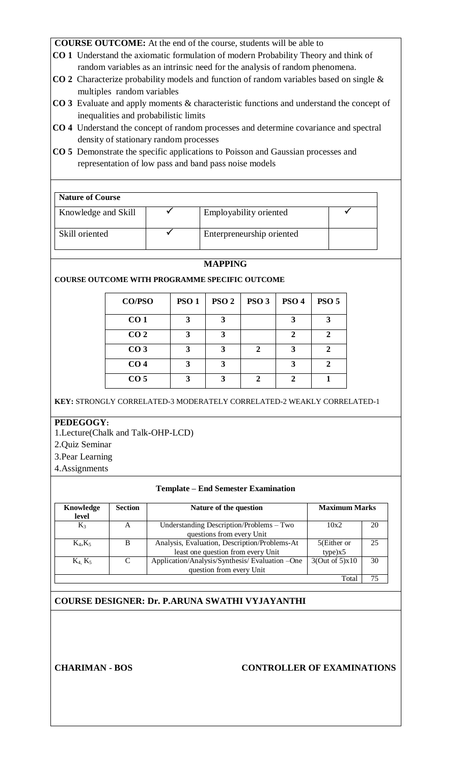- **CO 1** Understand the axiomatic formulation of modern Probability Theory and think of random variables as an intrinsic need for the analysis of random phenomena.
- **CO 2** Characterize probability models and function of random variables based on single & multiples random variables
- **CO 3** Evaluate and apply moments & characteristic functions and understand the concept of inequalities and probabilistic limits
- **CO 4** Understand the concept of random processes and determine covariance and spectral density of stationary random processes
- **CO 5** Demonstrate the specific applications to Poisson and Gaussian processes and representation of low pass and band pass noise models

| <b>Nature of Course</b> |                           |  |
|-------------------------|---------------------------|--|
| Knowledge and Skill     | Employability oriented    |  |
| Skill oriented          | Enterpreneurship oriented |  |

# **MAPPING**

**COURSE OUTCOME WITH PROGRAMME SPECIFIC OUTCOME**

| <b>CO/PSO</b>   | <b>PSO1</b> | PSO <sub>2</sub> | PSO <sub>3</sub> | PSO <sub>4</sub> | PSO <sub>5</sub> |
|-----------------|-------------|------------------|------------------|------------------|------------------|
| CO <sub>1</sub> |             | 3                |                  |                  |                  |
| CO <sub>2</sub> | 3           | 3                |                  | 2                | ∍                |
| CO <sub>3</sub> | 3           | 3                | 2                | 3                | ヮ                |
| CO <sub>4</sub> | 3           | 3                |                  |                  | ∍                |
| CO <sub>5</sub> |             | 3                |                  | 2                |                  |

**KEY:** STRONGLY CORRELATED-3 MODERATELY CORRELATED-2 WEAKLY CORRELATED-1

# **PEDEGOGY:**

1.Lecture(Chalk and Talk-OHP-LCD)

- 2.Quiz Seminar
- 3.Pear Learning
- 4.Assignments

# **Template – End Semester Examination**

| Knowledge<br>level | <b>Section</b> | Nature of the question                                                              |                        | <b>Maximum Marks</b> |  |
|--------------------|----------------|-------------------------------------------------------------------------------------|------------------------|----------------------|--|
| $K_3$              | A              | Understanding Description/Problems – Two<br>questions from every Unit               | 10x2                   | 20                   |  |
| $K_4, K_5$         | B              | Analysis, Evaluation, Description/Problems-At<br>least one question from every Unit | 5(Either or<br>type)x5 | 25                   |  |
| $K_4$ , $K_5$      | C              | Application/Analysis/Synthesis/Evaluation -One<br>question from every Unit          | 3(Out of 5)x10         | 30                   |  |
|                    |                |                                                                                     | Total                  | 75                   |  |

# **COURSE DESIGNER: Dr. P.ARUNA SWATHI VYJAYANTHI**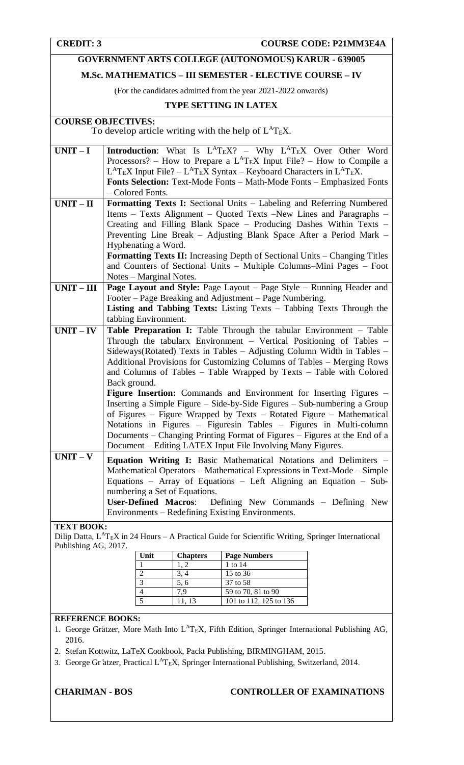# **GOVERNMENT ARTS COLLEGE (AUTONOMOUS) KARUR - 639005**

# **M.Sc. MATHEMATICS – III SEMESTER - ELECTIVE COURSE – IV**

(For the candidates admitted from the year 2021-2022 onwards)

# **TYPE SETTING IN LATEX**

# **COURSE OBJECTIVES:**

To develop article writing with the help of  $L^{A}T_{E}X$ .

| $UNIT-I$          | <b>Introduction:</b> What Is $L^{A}T_{E}X$ ? – Why $L^{A}T_{E}X$ Over Other Word          |
|-------------------|-------------------------------------------------------------------------------------------|
|                   | Processors? – How to Prepare a $L^{AT}EX$ Input File? – How to Compile a                  |
|                   | $L^{A}T_{E}X$ Input File? – $L^{A}T_{E}X$ Syntax – Keyboard Characters in $L^{A}T_{E}X$ . |
|                   | Fonts Selection: Text-Mode Fonts - Math-Mode Fonts - Emphasized Fonts                     |
|                   | - Colored Fonts.                                                                          |
| $UNIT - II$       | Formatting Texts I: Sectional Units - Labeling and Referring Numbered                     |
|                   | Items - Texts Alignment - Quoted Texts -New Lines and Paragraphs -                        |
|                   | Creating and Filling Blank Space - Producing Dashes Within Texts -                        |
|                   | Preventing Line Break - Adjusting Blank Space After a Period Mark -                       |
|                   | Hyphenating a Word.                                                                       |
|                   | Formatting Texts II: Increasing Depth of Sectional Units - Changing Titles                |
|                   | and Counters of Sectional Units - Multiple Columns-Mini Pages - Foot                      |
|                   | Notes – Marginal Notes.                                                                   |
| $UNIT - III$      | Page Layout and Style: Page Layout - Page Style - Running Header and                      |
|                   | Footer – Page Breaking and Adjustment – Page Numbering.                                   |
|                   | Listing and Tabbing Texts: Listing Texts - Tabbing Texts Through the                      |
|                   | tabbing Environment.                                                                      |
| $UNIT - IV$       | Table Preparation I: Table Through the tabular Environment - Table                        |
|                   | Through the tabularx Environment – Vertical Positioning of Tables –                       |
|                   | Sideways(Rotated) Texts in Tables - Adjusting Column Width in Tables -                    |
|                   | Additional Provisions for Customizing Columns of Tables – Merging Rows                    |
|                   | and Columns of Tables - Table Wrapped by Texts - Table with Colored                       |
|                   | Back ground.                                                                              |
|                   | Figure Insertion: Commands and Environment for Inserting Figures -                        |
|                   | Inserting a Simple Figure – Side-by-Side Figures – Sub-numbering a Group                  |
|                   | of Figures – Figure Wrapped by Texts – Rotated Figure – Mathematical                      |
|                   | Notations in Figures - Figuresin Tables - Figures in Multi-column                         |
|                   | Documents – Changing Printing Format of Figures – Figures at the End of a                 |
|                   | Document - Editing LATEX Input File Involving Many Figures.                               |
| $UNIT - V$        | <b>Equation Writing I:</b> Basic Mathematical Notations and Delimiters –                  |
|                   | Mathematical Operators - Mathematical Expressions in Text-Mode - Simple                   |
|                   | Equations - Array of Equations - Left Aligning an Equation - Sub-                         |
|                   | numbering a Set of Equations.                                                             |
|                   | <b>User-Defined Macros:</b><br>Defining New Commands - Defining New                       |
|                   | Environments – Redefining Existing Environments.                                          |
|                   |                                                                                           |
| <b>TEXT BOOK:</b> |                                                                                           |

Dilip Datta,  $L^AT_EX$  in 24 Hours – A Practical Guide for Scientific Writing, Springer International Publishing AG, 2017.

| Unit | <b>Chapters</b> | <b>Page Numbers</b>    |
|------|-----------------|------------------------|
|      | 1. 2            | 1 to 14                |
| 2    | 3, 4            | 15 to 36               |
| 3    | 5,6             | 37 to 58               |
| 4    | 79              | 59 to 70, 81 to 90     |
| 5    | 11. 13          | 101 to 112, 125 to 136 |

# **REFERENCE BOOKS:**

1. George Grätzer, More Math Into L<sup>A</sup>T<sub>E</sub>X, Fifth Edition, Springer International Publishing AG, 2016.

- 2. Stefan Kottwitz, LaTeX Cookbook, Packt Publishing, BIRMINGHAM, 2015.
- 3. George Gr ätzer, Practical L<sup>A</sup>T<sub>E</sub>X, Springer International Publishing, Switzerland, 2014.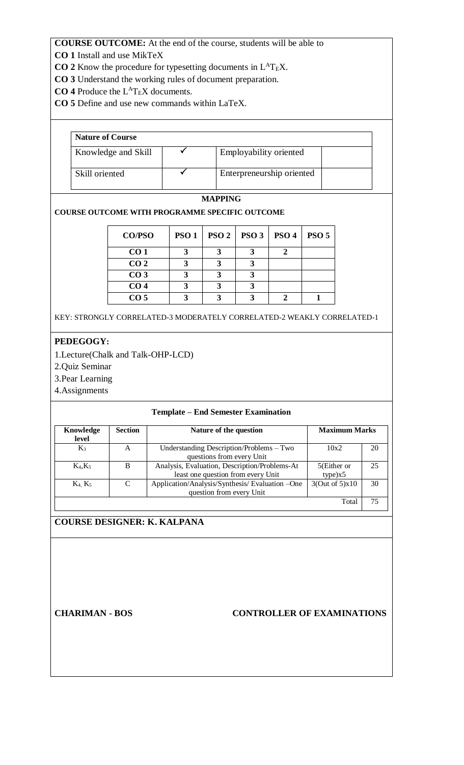- **CO 1** Install and use MikTeX
- **CO 2** Know the procedure for typesetting documents in  $L^AT_EX$ .
- **CO 3** Understand the working rules of document preparation.
- **CO 4** Produce the  $L^{A}T_{E}X$  documents.
- **CO 5** Define and use new commands within LaTeX.

| <b>Nature of Course</b> |  |                           |  |  |  |
|-------------------------|--|---------------------------|--|--|--|
| Knowledge and Skill     |  | Employability oriented    |  |  |  |
| Skill oriented          |  | Enterpreneurship oriented |  |  |  |

# **MAPPING**

# **COURSE OUTCOME WITH PROGRAMME SPECIFIC OUTCOME**

| <b>CO/PSO</b>   | PSO <sub>1</sub> | PSO2 | PSO <sub>3</sub> | PSO <sub>4</sub> | <b>PSO 5</b> |
|-----------------|------------------|------|------------------|------------------|--------------|
| CO <sub>1</sub> |                  |      |                  |                  |              |
| CO <sub>2</sub> |                  |      |                  |                  |              |
| CO <sub>3</sub> |                  |      |                  |                  |              |
| CO <sub>4</sub> |                  |      |                  |                  |              |
| CO <sub>5</sub> |                  |      |                  |                  |              |

KEY: STRONGLY CORRELATED-3 MODERATELY CORRELATED-2 WEAKLY CORRELATED-1

# **PEDEGOGY:**

- 1.Lecture(Chalk and Talk-OHP-LCD)
- 2.Quiz Seminar
- 3.Pear Learning
- 4.Assignments

# **Template – End Semester Examination**

| Knowledge<br>level | <b>Section</b> | Nature of the question                         | <b>Maximum Marks</b> |    |
|--------------------|----------------|------------------------------------------------|----------------------|----|
| $K_3$              | A              | Understanding Description/Problems – Two       | 10x2                 | 20 |
|                    |                | questions from every Unit                      |                      |    |
| $K_4, K_5$         | B              | Analysis, Evaluation, Description/Problems-At  | 5(Either or          | 25 |
|                    |                | least one question from every Unit             | type)x5              |    |
| $K_4$ , $K_5$      | C              | Application/Analysis/Synthesis/Evaluation -One | 3(Out of 5)x10       | 30 |
|                    |                | question from every Unit                       |                      |    |
|                    |                |                                                | Total                | 75 |

# **COURSE DESIGNER: K. KALPANA**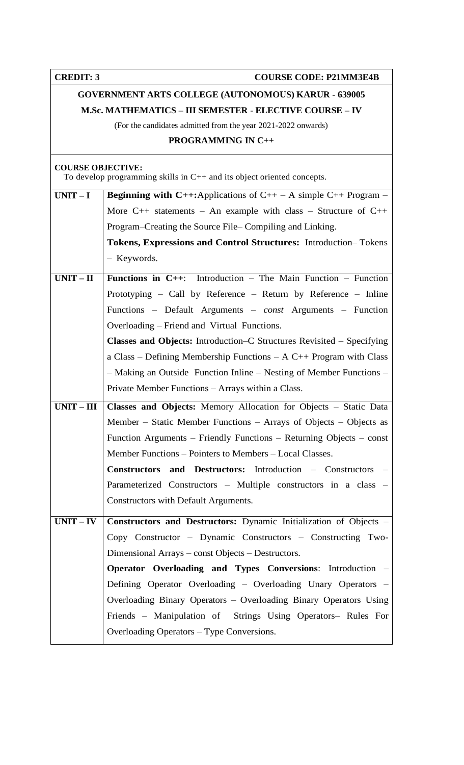**CREDIT: 3** COURSE CODE: P21MM3E4B

# **GOVERNMENT ARTS COLLEGE (AUTONOMOUS) KARUR - 639005 M.Sc. MATHEMATICS – III SEMESTER - ELECTIVE COURSE – IV**

(For the candidates admitted from the year 2021-2022 onwards)

# **PROGRAMMING IN C++**

### **COURSE OBJECTIVE:**

To develop programming skills in C++ and its object oriented concepts.

| $UNIT-I$     | <b>Beginning with C++:</b> Applications of C++ $-$ A simple C++ Program $-$  |  |  |  |  |
|--------------|------------------------------------------------------------------------------|--|--|--|--|
|              | More $C_{++}$ statements – An example with class – Structure of $C_{++}$     |  |  |  |  |
|              | Program–Creating the Source File– Compiling and Linking.                     |  |  |  |  |
|              | Tokens, Expressions and Control Structures: Introduction-Tokens              |  |  |  |  |
|              | - Keywords.                                                                  |  |  |  |  |
| $UNIT - II$  | <b>Functions in C++:</b> Introduction – The Main Function – Function         |  |  |  |  |
|              | Prototyping – Call by Reference – Return by Reference – Inline               |  |  |  |  |
|              | Functions - Default Arguments - const Arguments - Function                   |  |  |  |  |
|              | Overloading – Friend and Virtual Functions.                                  |  |  |  |  |
|              | <b>Classes and Objects:</b> Introduction–C Structures Revisited – Specifying |  |  |  |  |
|              | a Class – Defining Membership Functions – $A$ C++ Program with Class         |  |  |  |  |
|              | - Making an Outside Function Inline - Nesting of Member Functions -          |  |  |  |  |
|              | Private Member Functions - Arrays within a Class.                            |  |  |  |  |
| $UNIT - III$ | Classes and Objects: Memory Allocation for Objects - Static Data             |  |  |  |  |
|              | Member – Static Member Functions – Arrays of Objects – Objects as            |  |  |  |  |
|              | Function Arguments – Friendly Functions – Returning Objects – const          |  |  |  |  |
|              | Member Functions - Pointers to Members - Local Classes.                      |  |  |  |  |
|              | Constructors and Destructors: Introduction - Constructors -                  |  |  |  |  |
|              | Parameterized Constructors - Multiple constructors in a class -              |  |  |  |  |
|              | Constructors with Default Arguments.                                         |  |  |  |  |
| $UNIT - IV$  | Constructors and Destructors: Dynamic Initialization of Objects -            |  |  |  |  |
|              | Copy Constructor – Dynamic Constructors – Constructing Two-                  |  |  |  |  |
|              | Dimensional Arrays – const Objects – Destructors.                            |  |  |  |  |
|              | Operator Overloading and Types Conversions: Introduction -                   |  |  |  |  |
|              | Defining Operator Overloading – Overloading Unary Operators –                |  |  |  |  |
|              | Overloading Binary Operators - Overloading Binary Operators Using            |  |  |  |  |
|              | Friends – Manipulation of Strings Using Operators– Rules For                 |  |  |  |  |
|              | Overloading Operators – Type Conversions.                                    |  |  |  |  |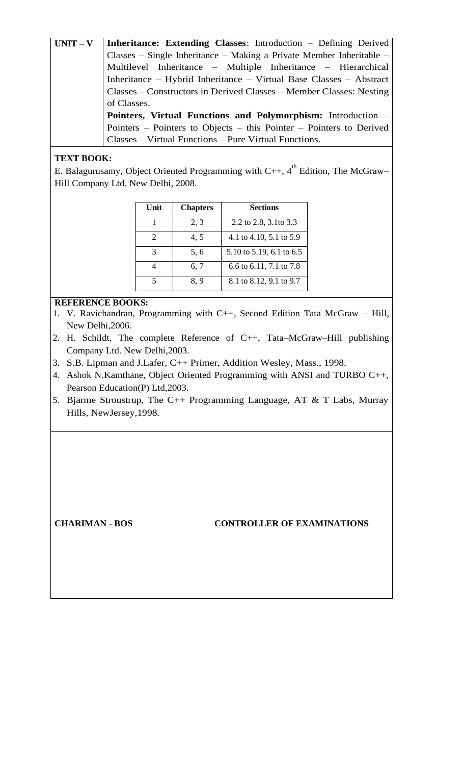**UNIT – V Inheritance: Extending Classes**: Introduction – Defining Derived Classes – Single Inheritance – Making a Private Member Inheritable – Multilevel Inheritance – Multiple Inheritance – Hierarchical Inheritance – Hybrid Inheritance – Virtual Base Classes – Abstract Classes – Constructors in Derived Classes – Member Classes: Nesting of Classes. **Pointers, Virtual Functions and Polymorphism:** Introduction – Pointers – Pointers to Objects – this Pointer – Pointers to Derived Classes – Virtual Functions – Pure Virtual Functions.

# **TEXT BOOK:**

E. Balagurusamy, Object Oriented Programming with  $C_{++}$ , 4<sup>th</sup> Edition, The McGraw– Hill Company Ltd, New Delhi, 2008.

| Unit | <b>Chapters</b> | <b>Sections</b>          |
|------|-----------------|--------------------------|
|      | 2, 3            | 2.2 to 2.8, 3.1 to 3.3   |
|      | 4,5             | 4.1 to 4.10, 5.1 to 5.9  |
|      | 5,6             | 5.10 to 5.19, 6.1 to 6.5 |
|      | 6, 7            | 6.6 to 6.11, 7.1 to 7.8  |
|      | 8.9             | 8.1 to 8.12, 9.1 to 9.7  |

# **REFERENCE BOOKS:**

- 1. V. Ravichandran, Programming with C++, Second Edition Tata McGraw Hill, New Delhi,2006.
- 2. H. Schildt, The complete Reference of C++, Tata–McGraw–Hill publishing Company Ltd. New Delhi,2003.
- 3. S.B. Lipman and J.Lafer, C++ Primer, Addition Wesley, Mass., 1998.
- 4. Ashok N.Kamthane, Object Oriented Programming with ANSI and TURBO C++, Pearson Education(P) Ltd,2003.
- 5. Bjarme Stroustrup, The C++ Programming Language, AT & T Labs, Murray Hills, NewJersey,1998.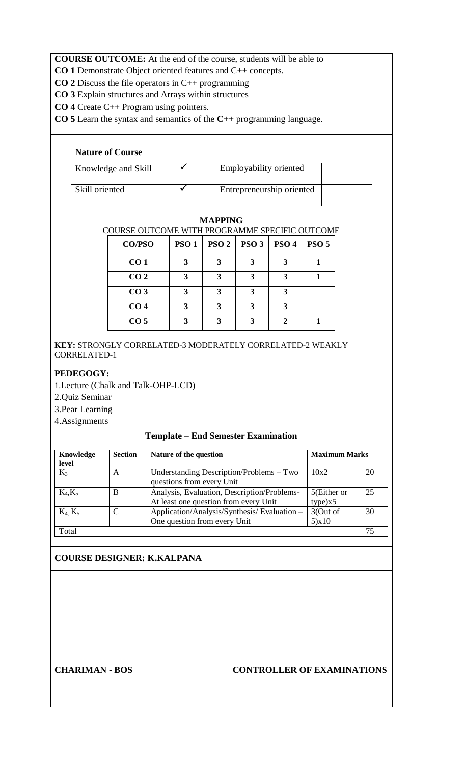**CO 1** Demonstrate Object oriented features and C++ concepts.

**CO 2** Discuss the file operators in C++ programming

**CO 3** Explain structures and Arrays within structures

**CO 4** Create C++ Program using pointers.

**CO 5** Learn the syntax and semantics of the **C++** programming language.

| <b>Nature of Course</b> |  |                           |  |  |
|-------------------------|--|---------------------------|--|--|
| Knowledge and Skill     |  | Employability oriented    |  |  |
| Skill oriented          |  | Entrepreneurship oriented |  |  |

# **MAPPING**

COURSE OUTCOME WITH PROGRAMME SPECIFIC OUTCOME

| CO/PSO          | <b>PSO 1</b> | PSO <sub>2</sub> | PSO <sub>3</sub> | PSO <sub>4</sub> | PSO <sub>5</sub> |
|-----------------|--------------|------------------|------------------|------------------|------------------|
| CO <sub>1</sub> | 3            | 3                |                  | 3                |                  |
| CO <sub>2</sub> |              | 3                |                  |                  |                  |
| CO <sub>3</sub> | 3            | 3                | 3                |                  |                  |
| CO <sub>4</sub> | 3            |                  | 3                |                  |                  |
| CO <sub>5</sub> | 3            | 3                | 3                |                  |                  |

**KEY:** STRONGLY CORRELATED-3 MODERATELY CORRELATED-2 WEAKLY CORRELATED-1

# **PEDEGOGY:**

1.Lecture (Chalk and Talk-OHP-LCD)

2.Quiz Seminar

3.Pear Learning

4.Assignments

# **Template – End Semester Examination**

| Knowledge<br>level | <b>Section</b> | <b>Maximum Marks</b><br>Nature of the question                                                                 |                   |    |
|--------------------|----------------|----------------------------------------------------------------------------------------------------------------|-------------------|----|
| $K_3$              | A              | Understanding Description/Problems – Two<br>10x2<br>questions from every Unit                                  |                   | 20 |
| $K_4, K_5$         | B              | Analysis, Evaluation, Description/Problems-<br>5(Either or<br>At least one question from every Unit<br>type)x5 |                   | 25 |
| $K_4$ , $K_5$      | ⌒              | Application/Analysis/Synthesis/Evaluation-<br>One question from every Unit                                     | 3(Out of<br>5)x10 | 30 |
| Total              |                |                                                                                                                |                   | 75 |

# **COURSE DESIGNER: K.KALPANA**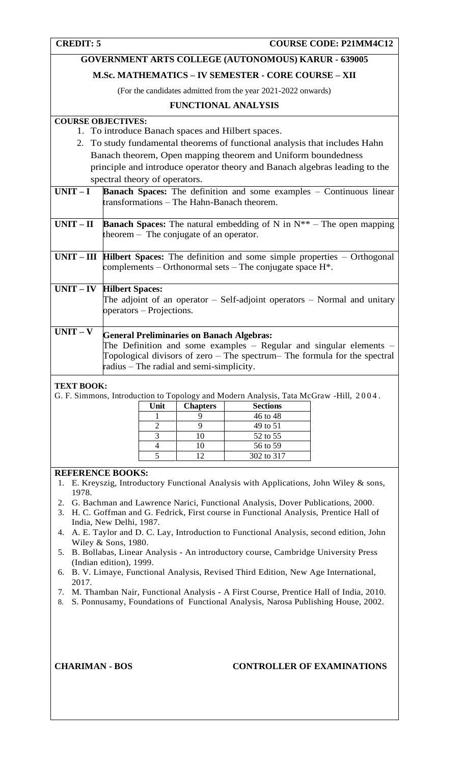# **GOVERNMENT ARTS COLLEGE (AUTONOMOUS) KARUR - 639005**

# **M.Sc. MATHEMATICS – IV SEMESTER - CORE COURSE – XII**

(For the candidates admitted from the year 2021-2022 onwards)

# **FUNCTIONAL ANALYSIS**

# **COURSE OBJECTIVES:**

- 1. To introduce Banach spaces and Hilbert spaces.
- 2. To study fundamental theorems of functional analysis that includes Hahn Banach theorem, Open mapping theorem and Uniform boundedness principle and introduce operator theory and Banach algebras leading to the spectral theory of operators.

| $UNIT-I$   | <b>Banach Spaces:</b> The definition and some examples – Continuous linear<br>transformations – The Hahn-Banach theorem.                                                                                                                            |
|------------|-----------------------------------------------------------------------------------------------------------------------------------------------------------------------------------------------------------------------------------------------------|
| $UNIT-II$  | <b>Banach Spaces:</b> The natural embedding of N in $N^{**}$ – The open mapping<br>theorem $-$ The conjugate of an operator.                                                                                                                        |
|            | $UNIT - III$ Hilbert Spaces: The definition and some simple properties $-$ Orthogonal<br>complements – Orthonormal sets – The conjugate space $H^*$ .                                                                                               |
|            | <b>UNIT – IV Hilbert Spaces:</b><br>The adjoint of an operator $-$ Self-adjoint operators $-$ Normal and unitary<br>operators – Projections.                                                                                                        |
| $UNIT - V$ | <b>General Preliminaries on Banach Algebras:</b><br>The Definition and some examples $-$ Regular and singular elements $-$<br>Topological divisors of zero – The spectrum– The formula for the spectral<br>radius – The radial and semi-simplicity. |

# **TEXT BOOK:**

G. F. Simmons, Introduction to Topology and Modern Analysis, Tata McGraw -Hill, 2004 .

| Unit | <b>Chapters</b>    | <b>Sections</b> |
|------|--------------------|-----------------|
|      |                    | 46 to 48        |
|      |                    | 49 to 51        |
|      | $\left($ $\right)$ | 52 to 55        |
|      |                    | 56 to 59        |
|      |                    | 302 to 317      |

# **REFERENCE BOOKS:**

- 1. E. Kreyszig, Introductory Functional Analysis with Applications, John Wiley & sons, 1978.
- 2. G. Bachman and Lawrence Narici, Functional Analysis, Dover Publications, 2000.
- 3. H. C. Goffman and G. Fedrick, First course in Functional Analysis, Prentice Hall of India, New Delhi, 1987.
- 4. A. E. Taylor and D. C. Lay, Introduction to Functional Analysis, second edition, John Wiley & Sons, 1980.
- 5. B. Bollabas, Linear Analysis An introductory course, Cambridge University Press (Indian edition), 1999.
- 6. B. V. Limaye, Functional Analysis, Revised Third Edition, New Age International, 2017.
- 7. M. Thamban Nair, Functional Analysis A First Course, Prentice Hall of India, 2010.
- 8. S. Ponnusamy, Foundations of Functional Analysis, Narosa Publishing House, 2002.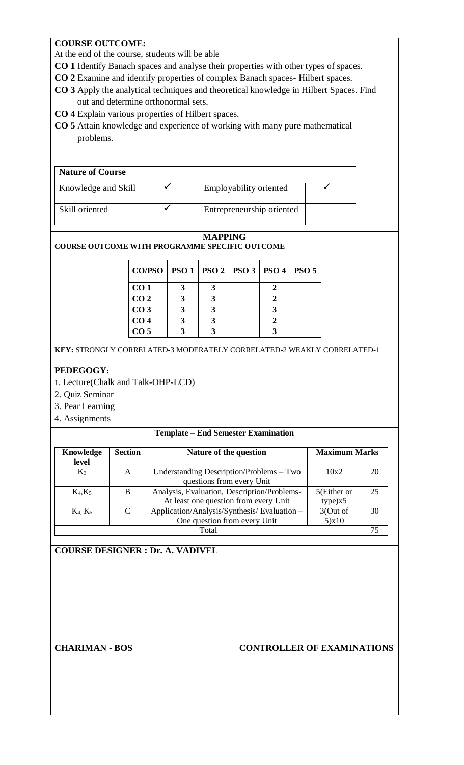# **COURSE OUTCOME:**

At the end of the course, students will be able

- **CO 1** Identify Banach spaces and analyse their properties with other types of spaces.
- **CO 2** Examine and identify properties of complex Banach spaces- Hilbert spaces.
- **CO 3** Apply the analytical techniques and theoretical knowledge in Hilbert Spaces. Find out and determine orthonormal sets.
- **CO 4** Explain various properties of Hilbert spaces.
- **CO 5** Attain knowledge and experience of working with many pure mathematical problems.

| <b>Nature of Course</b> |  |                           |  |  |
|-------------------------|--|---------------------------|--|--|
| Knowledge and Skill     |  | Employability oriented    |  |  |
| Skill oriented          |  | Entrepreneurship oriented |  |  |

### **MAPPING**

### **COURSE OUTCOME WITH PROGRAMME SPECIFIC OUTCOME**

| CO/PSO   PSO 1   PSO 2   PSO 3   PSO 4   PSO 5 |  |  |  |
|------------------------------------------------|--|--|--|
| CO <sub>1</sub>                                |  |  |  |
| CO <sub>2</sub>                                |  |  |  |
| CO <sub>3</sub>                                |  |  |  |
| CO <sub>4</sub>                                |  |  |  |
| CO <sub>5</sub>                                |  |  |  |

**KEY:** STRONGLY CORRELATED-3 MODERATELY CORRELATED-2 WEAKLY CORRELATED-1

# **PEDEGOGY:**

- 1. Lecture(Chalk and Talk-OHP-LCD)
- 2. Quiz Seminar
- 3. Pear Learning
- 4. Assignments

### **Template – End Semester Examination**

| Knowledge<br>level                                                                                                              | <b>Section</b> | <b>Maximum Marks</b><br>Nature of the question                                                                 |  |    |
|---------------------------------------------------------------------------------------------------------------------------------|----------------|----------------------------------------------------------------------------------------------------------------|--|----|
| $K_3$                                                                                                                           | A              | Understanding Description/Problems – Two<br>10x2<br>questions from every Unit                                  |  | 20 |
| $K_4, K_5$                                                                                                                      | B              | Analysis, Evaluation, Description/Problems-<br>5(Either or<br>At least one question from every Unit<br>type)x5 |  | 25 |
| Application/Analysis/Synthesis/Evaluation -<br>3(Out of<br>$\mathcal{C}$<br>$K_4, K_5$<br>5)x10<br>One question from every Unit |                | 30                                                                                                             |  |    |
| Total                                                                                                                           |                |                                                                                                                |  |    |

# **COURSE DESIGNER : Dr. A. VADIVEL**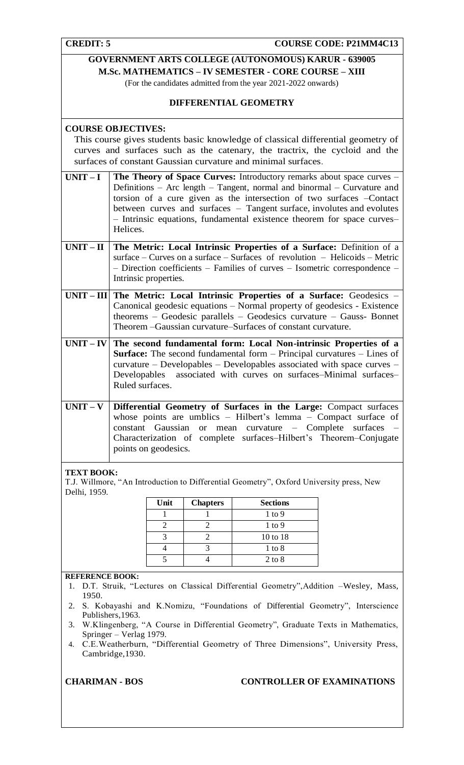**COURSE CODE: P21MM4C13** 

|                                                                                                                                                                                                                                                                                                                                    | GOVERNMENT ARTS COLLEGE (AUTONOMOUS) KARUR - 639005<br><b>M.Sc. MATHEMATICS - IV SEMESTER - CORE COURSE - XIII</b><br>(For the candidates admitted from the year 2021-2022 onwards)<br>DIFFERENTIAL GEOMETRY                                                                                                                                                                            |  |  |  |  |
|------------------------------------------------------------------------------------------------------------------------------------------------------------------------------------------------------------------------------------------------------------------------------------------------------------------------------------|-----------------------------------------------------------------------------------------------------------------------------------------------------------------------------------------------------------------------------------------------------------------------------------------------------------------------------------------------------------------------------------------|--|--|--|--|
|                                                                                                                                                                                                                                                                                                                                    | <b>COURSE OBJECTIVES:</b><br>This course gives students basic knowledge of classical differential geometry of<br>curves and surfaces such as the catenary, the tractrix, the cycloid and the<br>surfaces of constant Gaussian curvature and minimal surfaces.                                                                                                                           |  |  |  |  |
| $UNIT-I$                                                                                                                                                                                                                                                                                                                           | The Theory of Space Curves: Introductory remarks about space curves -<br>Definitions - Arc length - Tangent, normal and binormal - Curvature and<br>torsion of a cure given as the intersection of two surfaces -Contact<br>between curves and surfaces - Tangent surface, involutes and evolutes<br>- Intrinsic equations, fundamental existence theorem for space curves-<br>Helices. |  |  |  |  |
| $UNIT-II$                                                                                                                                                                                                                                                                                                                          | The Metric: Local Intrinsic Properties of a Surface: Definition of a<br>surface – Curves on a surface – Surfaces of revolution – Helicoids – Metric<br>- Direction coefficients - Families of curves - Isometric correspondence -<br>Intrinsic properties.                                                                                                                              |  |  |  |  |
|                                                                                                                                                                                                                                                                                                                                    | UNIT - III   The Metric: Local Intrinsic Properties of a Surface: Geodesics -<br>Canonical geodesic equations - Normal property of geodesics - Existence<br>theorems $-$ Geodesic parallels $-$ Geodesics curvature $-$ Gauss- Bonnet<br>Theorem - Gaussian curvature-Surfaces of constant curvature.                                                                                   |  |  |  |  |
| $UNIT - IV$ The second fundamental form: Local Non-intrinsic Properties of a<br><b>Surface:</b> The second fundamental form - Principal curvatures - Lines of<br>curvature - Developables - Developables associated with space curves -<br>associated with curves on surfaces-Minimal surfaces-<br>Developables<br>Ruled surfaces. |                                                                                                                                                                                                                                                                                                                                                                                         |  |  |  |  |
| $UNIT - V$                                                                                                                                                                                                                                                                                                                         | Differential Geometry of Surfaces in the Large: Compact surfaces<br>whose points are umblics - Hilbert's lemma - Compact surface of<br>constant Gaussian<br>curvature – Complete surfaces<br>mean<br><b>or</b><br>Characterization of complete surfaces-Hilbert's Theorem-Conjugate<br>points on geodesics.                                                                             |  |  |  |  |
|                                                                                                                                                                                                                                                                                                                                    | <b>TEXT BOOK:</b>                                                                                                                                                                                                                                                                                                                                                                       |  |  |  |  |

T.J. Willmore, "An Introduction to Differential Geometry", Oxford University press, New Delhi, 1959.

| Unit | <b>Chapters</b> | <b>Sections</b> |
|------|-----------------|-----------------|
|      |                 | $1$ to $9$      |
|      |                 | $1$ to $9$      |
|      |                 | 10 to 18        |
|      |                 | $1$ to $8$      |
|      |                 | $2$ to $8$      |

# **REFERENCE BOOK:**

- 1. D.T. Struik, "Lectures on Classical Differential Geometry",Addition –Wesley, Mass, 1950.
- 2. S. Kobayashi and K.Nomizu, "Foundations of Differential Geometry", Interscience Publishers,1963.
- 3. W.Klingenberg, "A Course in Differential Geometry", Graduate Texts in Mathematics, Springer – Verlag 1979.
- 4. C.E.Weatherburn, "Differential Geometry of Three Dimensions", University Press, Cambridge,1930.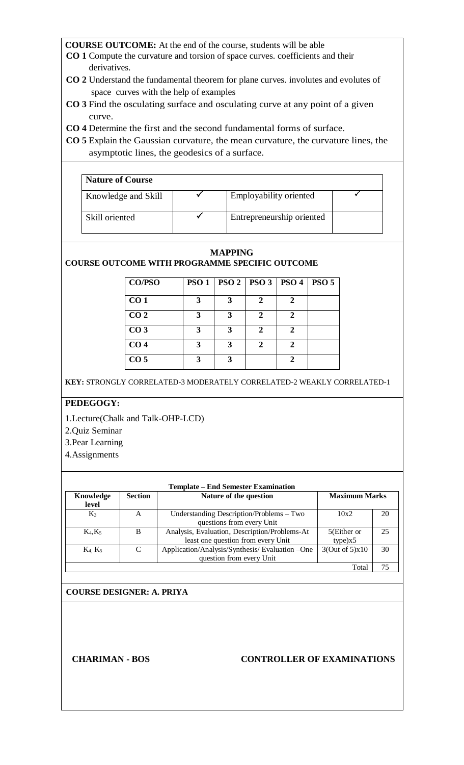- **CO 1** Compute the curvature and torsion of space curves. coefficients and their derivatives.
- **CO 2** Understand the fundamental theorem for plane curves. involutes and evolutes of space curves with the help of examples
- **CO 3** Find the osculating surface and osculating curve at any point of a given curve.
- **CO 4** Determine the first and the second fundamental forms of surface.
- **CO 5** Explain the Gaussian curvature, the mean curvature, the curvature lines, the asymptotic lines, the geodesics of a surface.

| <b>Nature of Course</b> |                           |  |
|-------------------------|---------------------------|--|
| Knowledge and Skill     | Employability oriented    |  |
| Skill oriented          | Entrepreneurship oriented |  |

#### **MAPPING COURSE OUTCOME WITH PROGRAMME SPECIFIC OUTCOME**

| CO/PSO          | PSO <sub>1</sub> |   | PSO 2   PSO 3   PSO 4       |                | PSO <sub>5</sub> |
|-----------------|------------------|---|-----------------------------|----------------|------------------|
| CO <sub>1</sub> | 3                | 3 | 2                           | $\mathbf{2}$   |                  |
| CO <sub>2</sub> | 3                | 3 | 2                           | $\overline{2}$ |                  |
| CO <sub>3</sub> | 3                | 3 | 2                           | $\mathcal{D}$  |                  |
| CO <sub>4</sub> | 3                | 3 | $\mathcal{D}_{\mathcal{L}}$ | $\mathbf 2$    |                  |
| CO <sub>5</sub> | 3                | 3 |                             |                |                  |

**KEY:** STRONGLY CORRELATED-3 MODERATELY CORRELATED-2 WEAKLY CORRELATED-1

# **PEDEGOGY:**

- 1.Lecture(Chalk and Talk-OHP-LCD)
- 2.Quiz Seminar
- 3.Pear Learning
- 4.Assignments

| <b>Template – End Semester Examination</b> |                |                                                                                     |                        |    |  |  |
|--------------------------------------------|----------------|-------------------------------------------------------------------------------------|------------------------|----|--|--|
| Knowledge<br>level                         | <b>Section</b> | <b>Maximum Marks</b><br>Nature of the question                                      |                        |    |  |  |
| $K_3$                                      | А              | Understanding Description/Problems - Two<br>questions from every Unit               | 10x2                   | 20 |  |  |
| $K_4, K_5$                                 | B              | Analysis, Evaluation, Description/Problems-At<br>least one question from every Unit | 5(Either or<br>type)x5 | 25 |  |  |
| $K_4, K_5$                                 | C              | Application/Analysis/Synthesis/Evaluation -One<br>question from every Unit          | 3(Out of 5)x10         | 30 |  |  |
| Total                                      |                |                                                                                     |                        |    |  |  |

# **COURSE DESIGNER: A. PRIYA**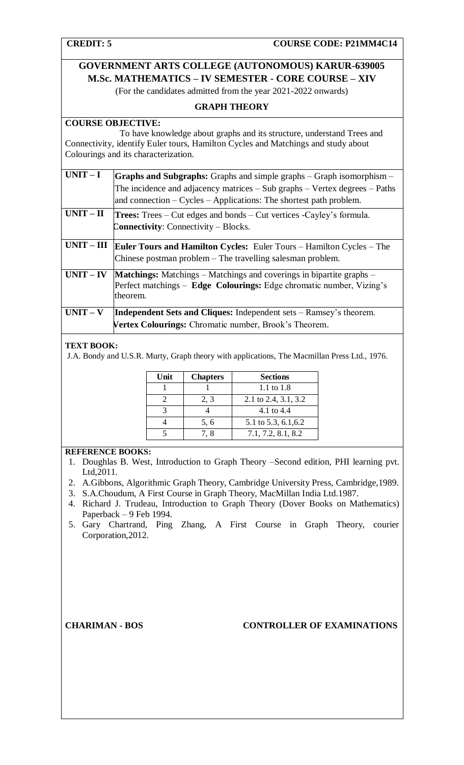# **GOVERNMENT ARTS COLLEGE (AUTONOMOUS) KARUR-639005 M.Sc. MATHEMATICS – IV SEMESTER - CORE COURSE – XIV**

(For the candidates admitted from the year 2021-2022 onwards)

# **GRAPH THEORY**

# **COURSE OBJECTIVE:**

 To have knowledge about graphs and its structure, understand Trees and Connectivity, identify Euler tours, Hamilton Cycles and Matchings and study about Colourings and its characterization.

| $UNIT-I$    | <b>Graphs and Subgraphs:</b> Graphs and simple graphs – Graph isomorphism –<br>The incidence and adjacency matrices $-$ Sub graphs $-$ Vertex degrees $-$ Paths<br>and connection $-$ Cycles $-$ Applications: The shortest path problem. |
|-------------|-------------------------------------------------------------------------------------------------------------------------------------------------------------------------------------------------------------------------------------------|
|             |                                                                                                                                                                                                                                           |
| $UNIT-II$   | <b>Trees:</b> Trees – Cut edges and bonds – Cut vertices - Cayley's formula.<br><b>Connectivity:</b> Connectivity – Blocks.                                                                                                               |
| $UNIT-III$  | <b>Euler Tours and Hamilton Cycles:</b> Euler Tours – Hamilton Cycles – The<br>Chinese postman problem – The travelling salesman problem.                                                                                                 |
| $UNIT - IV$ | <b>Matchings:</b> Matchings – Matchings and coverings in bipartite graphs –<br>Perfect matchings – Edge Colourings: Edge chromatic number, Vizing's<br>theorem.                                                                           |
| $UNIT - V$  | <b>Independent Sets and Cliques:</b> Independent sets – Ramsey's theorem.                                                                                                                                                                 |
|             | Vertex Colourings: Chromatic number, Brook's Theorem.                                                                                                                                                                                     |

# **TEXT BOOK:**

J.A. Bondy and U.S.R. Murty, Graph theory with applications, The Macmillan Press Ltd., 1976.

| Unit | <b>Chapters</b> | <b>Sections</b>      |
|------|-----------------|----------------------|
|      |                 | 1.1 to $1.8$         |
|      | 2, 3            | 2.1 to 2.4, 3.1, 3.2 |
|      |                 | 4.1 to 4.4           |
|      | 5, 6            | 5.1 to 5.3, 6.1, 6.2 |
|      | 7. 8            | 7.1, 7.2, 8.1, 8.2   |

# **REFERENCE BOOKS:**

- 1. Doughlas B. West, Introduction to Graph Theory –Second edition, PHI learning pvt. Ltd,2011.
- 2. A.Gibbons, Algorithmic Graph Theory, Cambridge University Press, Cambridge,1989.
- 3. S.A.Choudum, A First Course in Graph Theory, MacMillan India Ltd.1987.
- 4. Richard J. Trudeau, Introduction to Graph Theory (Dover Books on Mathematics) Paperback – 9 Feb 1994.
- 5. Gary Chartrand, Ping Zhang, A First Course in Graph Theory, courier Corporation,2012.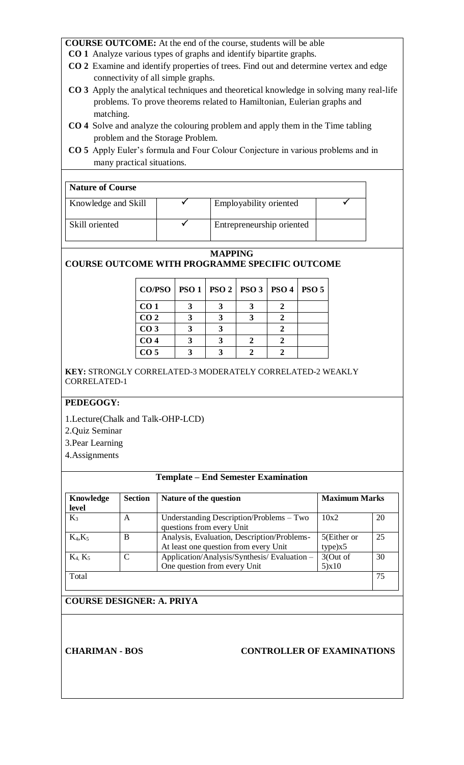- **CO 1** Analyze various types of graphs and identify bipartite graphs.
- **CO 2** Examine and identify properties of trees. Find out and determine vertex and edge connectivity of all simple graphs.
- **CO 3** Apply the analytical techniques and theoretical knowledge in solving many real-life problems. To prove theorems related to Hamiltonian, Eulerian graphs and matching.
- **CO 4** Solve and analyze the colouring problem and apply them in the Time tabling problem and the Storage Problem.
- **CO 5** Apply Euler's formula and Four Colour Conjecture in various problems and in many practical situations.

# **Nature of Course**

| Knowledge and Skill | <b>Employability oriented</b> |  |
|---------------------|-------------------------------|--|
| Skill oriented      | Entrepreneurship oriented     |  |

# **MAPPING**

# **COURSE OUTCOME WITH PROGRAMME SPECIFIC OUTCOME**

| $CO/PSO   PSO 1   PSO 2   PSO 3   PSO 4   PSO 5$ |  |  |  |
|--------------------------------------------------|--|--|--|
| CO <sub>1</sub>                                  |  |  |  |
| CO <sub>2</sub>                                  |  |  |  |
| CO <sub>3</sub>                                  |  |  |  |
| CO <sub>4</sub>                                  |  |  |  |
| CO <sub>5</sub>                                  |  |  |  |

**KEY:** STRONGLY CORRELATED-3 MODERATELY CORRELATED-2 WEAKLY CORRELATED-1

# **PEDEGOGY:**

- 1.Lecture(Chalk and Talk-OHP-LCD)
- 2.Quiz Seminar
- 3.Pear Learning
- 4.Assignments

# **Template – End Semester Examination**

| Knowledge<br><b>Section</b><br>level |   | Nature of the question                                                               | <b>Maximum Marks</b>   |    |
|--------------------------------------|---|--------------------------------------------------------------------------------------|------------------------|----|
| $K_3$                                | A | Understanding Description/Problems – Two<br>questions from every Unit                | 10x2                   | 20 |
| $K_4, K_5$                           | B | Analysis, Evaluation, Description/Problems-<br>At least one question from every Unit | 5(Either or<br>type)x5 | 25 |
| $K_4, K_5$                           | C | Application/Analysis/Synthesis/Evaluation-<br>One question from every Unit           | 3(Out of<br>5)x10      | 30 |
| Total                                |   |                                                                                      |                        | 75 |

# **COURSE DESIGNER: A. PRIYA**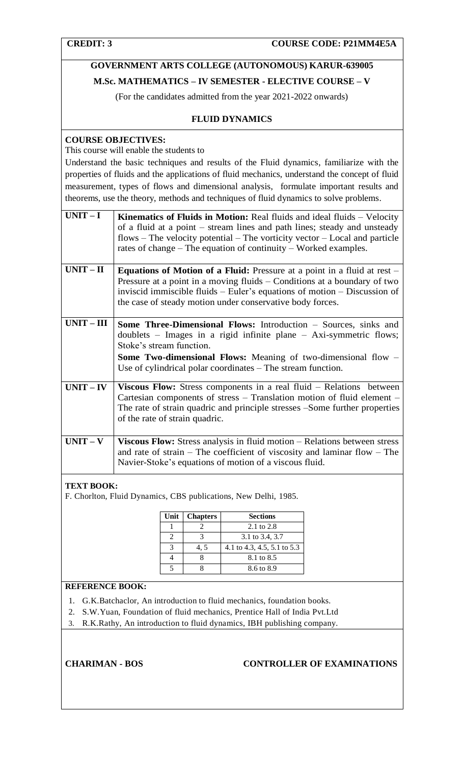# **GOVERNMENT ARTS COLLEGE (AUTONOMOUS) KARUR-639005 M.Sc. MATHEMATICS – IV SEMESTER - ELECTIVE COURSE – V**

(For the candidates admitted from the year 2021-2022 onwards)

# **FLUID DYNAMICS**

# **COURSE OBJECTIVES:**

This course will enable the students to

Understand the basic techniques and results of the Fluid dynamics, familiarize with the properties of fluids and the applications of fluid mechanics, understand the concept of fluid measurement, types of flows and dimensional analysis, formulate important results and theorems, use the theory, methods and techniques of fluid dynamics to solve problems.

| $UNIT-I$     | <b>Kinematics of Fluids in Motion:</b> Real fluids and ideal fluids – Velocity<br>of a fluid at a point – stream lines and path lines; steady and unsteady<br>$flows$ – The velocity potential – The vorticity vector – Local and particle<br>rates of change – The equation of continuity – Worked examples.  |
|--------------|----------------------------------------------------------------------------------------------------------------------------------------------------------------------------------------------------------------------------------------------------------------------------------------------------------------|
| $UNIT - II$  | <b>Equations of Motion of a Fluid:</b> Pressure at a point in a fluid at rest –<br>Pressure at a point in a moving fluids – Conditions at a boundary of two<br>inviscid immiscible fluids – Euler's equations of motion – Discussion of<br>the case of steady motion under conservative body forces.           |
| $UNIT - III$ | Some Three-Dimensional Flows: Introduction - Sources, sinks and<br>doublets $-$ Images in a rigid infinite plane $-$ Axi-symmetric flows;<br>Stoke's stream function.<br><b>Some Two-dimensional Flows:</b> Meaning of two-dimensional flow $-$<br>Use of cylindrical polar coordinates – The stream function. |
| $UNIT - IV$  | <b>Viscous Flow:</b> Stress components in a real fluid $-$ Relations between<br>Cartesian components of stress – Translation motion of fluid element –<br>The rate of strain quadric and principle stresses - Some further properties<br>of the rate of strain quadric.                                        |
| $UNIT - V$   | <b>Viscous Flow:</b> Stress analysis in fluid motion – Relations between stress<br>and rate of strain – The coefficient of viscosity and laminar flow – The<br>Navier-Stoke's equations of motion of a viscous fluid.                                                                                          |

# **TEXT BOOK:**

F. Chorlton, Fluid Dynamics, CBS publications, New Delhi, 1985.

| Unit | <b>Chapters</b> | <b>Sections</b>             |
|------|-----------------|-----------------------------|
|      |                 | 2.1 to 2.8                  |
|      |                 | 3.1 to 3.4, 3.7             |
|      | 4. 5            | 4.1 to 4.3, 4.5, 5.1 to 5.3 |
|      |                 | 8.1 to 8.5                  |
|      |                 | 8.6 to 8.9                  |

# **REFERENCE BOOK:**

- 1. G.K.Batchaclor, An introduction to fluid mechanics, foundation books.
- 2. S.W.Yuan, Foundation of fluid mechanics, Prentice Hall of India Pvt.Ltd
- 3. R.K.Rathy, An introduction to fluid dynamics, IBH publishing company.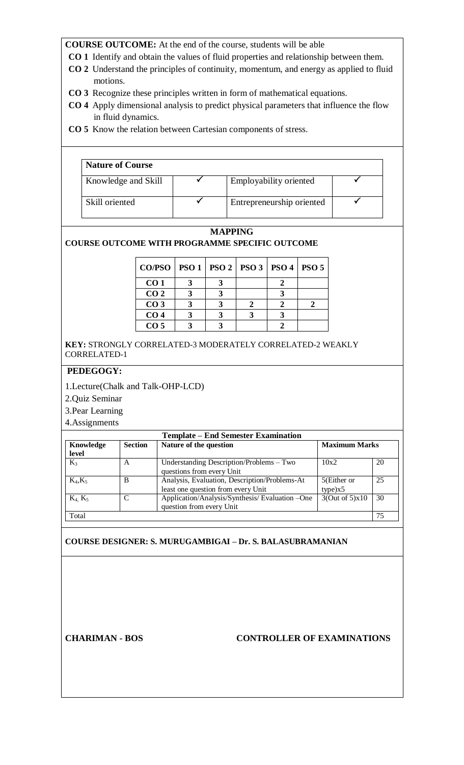- **CO 1** Identify and obtain the values of fluid properties and relationship between them.
- **CO 2** Understand the principles of continuity, momentum, and energy as applied to fluid motions.
- **CO 3** Recognize these principles written in form of mathematical equations.
- **CO 4** Apply dimensional analysis to predict physical parameters that influence the flow in fluid dynamics.
- **CO 5** Know the relation between Cartesian components of stress.

| <b>Nature of Course</b> |                           |  |
|-------------------------|---------------------------|--|
| Knowledge and Skill     | Employability oriented    |  |
| Skill oriented          | Entrepreneurship oriented |  |

# **MAPPING**

# **COURSE OUTCOME WITH PROGRAMME SPECIFIC OUTCOME**

| $CO/PSO$   PSO 1   PSO 2   PSO 3   PSO 4   PSO 5 |  |  |  |
|--------------------------------------------------|--|--|--|
| CO <sub>1</sub>                                  |  |  |  |
| CO <sub>2</sub>                                  |  |  |  |
| CO <sub>3</sub>                                  |  |  |  |
| CO <sub>4</sub>                                  |  |  |  |
| CO <sub>5</sub>                                  |  |  |  |

**KEY:** STRONGLY CORRELATED-3 MODERATELY CORRELATED-2 WEAKLY CORRELATED-1

# **PEDEGOGY:**

1.Lecture(Chalk and Talk-OHP-LCD)

2.Quiz Seminar

3.Pear Learning

4.Assignments

| <b>Template – End Semester Examination</b> |                |                                                |                      |    |  |
|--------------------------------------------|----------------|------------------------------------------------|----------------------|----|--|
| Knowledge                                  | <b>Section</b> | Nature of the question                         | <b>Maximum Marks</b> |    |  |
| level                                      |                |                                                |                      |    |  |
| $K_3$                                      | A              | Understanding Description/Problems - Two       | 10x2                 | 20 |  |
|                                            |                | questions from every Unit                      |                      |    |  |
| $K_4, K_5$                                 | B              | Analysis, Evaluation, Description/Problems-At  | 5(Either or          | 25 |  |
|                                            |                | least one question from every Unit             | type)x5              |    |  |
| $K_4, K_5$                                 | C              | Application/Analysis/Synthesis/Evaluation -One | 3(Out of 5)x10       | 30 |  |
|                                            |                | question from every Unit                       |                      |    |  |
| Total                                      |                |                                                |                      | 75 |  |

# **COURSE DESIGNER: S. MURUGAMBIGAI – Dr. S. BALASUBRAMANIAN**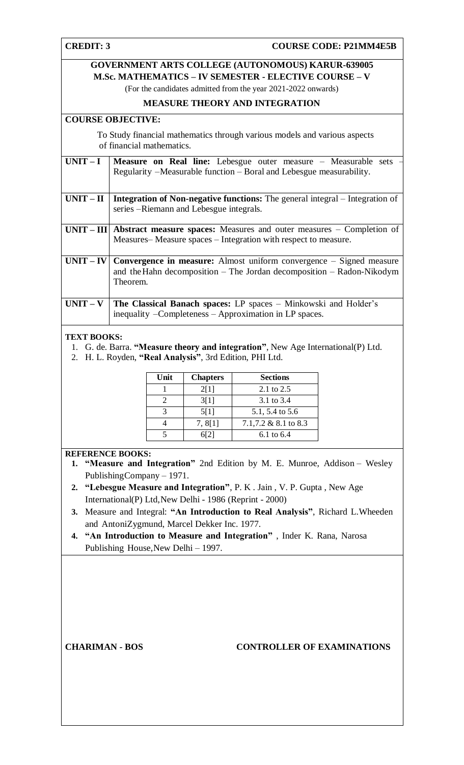# **GOVERNMENT ARTS COLLEGE (AUTONOMOUS) KARUR-639005 M.Sc. MATHEMATICS – IV SEMESTER - ELECTIVE COURSE – V**

(For the candidates admitted from the year 2021-2022 onwards)

# **MEASURE THEORY AND INTEGRATION**

# **COURSE OBJECTIVE:**

 To Study financial mathematics through various models and various aspects of financial mathematics.

| $UNIT-I$    | <b>Measure on Real line:</b> Lebesgue outer measure $-$ Measurable sets $-$         |
|-------------|-------------------------------------------------------------------------------------|
|             | Regularity – Measurable function – Boral and Lebesgue measurability.                |
|             |                                                                                     |
|             |                                                                                     |
| $UNIT-II$   | <b>Integration of Non-negative functions:</b> The general integral – Integration of |
|             | series – Riemann and Lebesgue integrals.                                            |
|             |                                                                                     |
|             | $UNIT - III$ Abstract measure spaces: Measures and outer measures $-$ Completion of |
|             | Measures-Measure spaces – Integration with respect to measure.                      |
|             |                                                                                     |
|             |                                                                                     |
| $UNIT - IV$ | <b>Convergence in measure:</b> Almost uniform convergence – Signed measure          |
|             | and the Hahn decomposition – The Jordan decomposition – Radon-Nikodym               |
|             | Theorem.                                                                            |
|             |                                                                                     |
|             |                                                                                     |
| $UNIT - V$  | <b>The Classical Banach spaces:</b> LP spaces – Minkowski and Holder's              |
|             | inequality – Completeness – Approximation in LP spaces.                             |

### **TEXT BOOKS:**

- 1. G. de. Barra. **"Measure theory and integration"**, New Age International(P) Ltd.
- 2. H. L. Royden, **"Real Analysis"**, 3rd Edition, PHI Ltd.

| Unit | <b>Chapters</b> | <b>Sections</b>      |
|------|-----------------|----------------------|
|      | 2[1]            | 2.1 to 2.5           |
|      | 3[1]            | 3.1 to 3.4           |
|      | 5[1]            | 5.1, 5.4 to 5.6      |
|      | 7, 8[1]         | 7.1,7.2 & 8.1 to 8.3 |
|      | 612 I           | 6.1 to $6.4$         |

# **REFERENCE BOOKS:**

- **1. "Measure and Integration"** 2nd Edition by M. E. Munroe, Addison Wesley PublishingCompany – 1971.
- **2. "Lebesgue Measure and Integration"**, P. K . Jain , V. P. Gupta , New Age International(P) Ltd,New Delhi - 1986 (Reprint - 2000)
- **3.** Measure and Integral: **"An Introduction to Real Analysis"**, Richard L.Wheeden and AntoniZygmund, Marcel Dekker Inc. 1977.
- **4. "An Introduction to Measure and Integration"** , Inder K. Rana, Narosa Publishing House,New Delhi – 1997.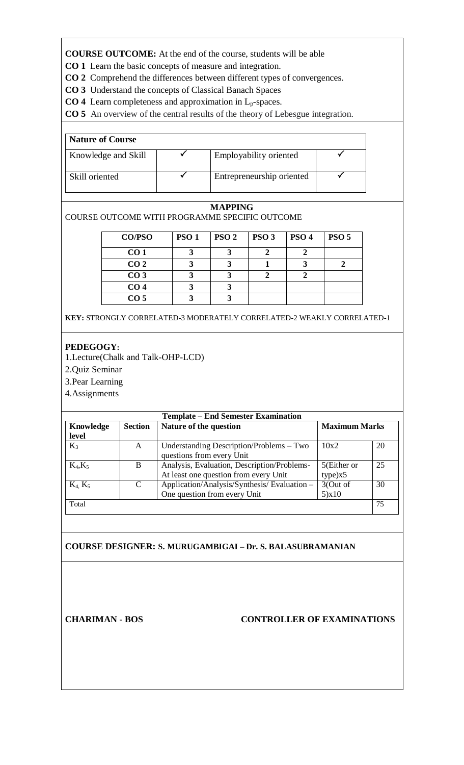**CO 1** Learn the basic concepts of measure and integration.

- **CO 2** Comprehend the differences between different types of convergences.
- **CO 3** Understand the concepts of Classical Banach Spaces
- **CO 4** Learn completeness and approximation in Lp-spaces.

**CO 5** An overview of the central results of the theory of Lebesgue integration.

| <b>Nature of Course</b> |                           |  |
|-------------------------|---------------------------|--|
| Knowledge and Skill     | Employability oriented    |  |
| Skill oriented          | Entrepreneurship oriented |  |

# **MAPPING**

# COURSE OUTCOME WITH PROGRAMME SPECIFIC OUTCOME

| <b>CO/PSO</b>   | <b>PSO 1</b> | PSO <sub>2</sub> | PSO <sub>3</sub> | PSO <sub>4</sub> | <b>PSO 5</b> |
|-----------------|--------------|------------------|------------------|------------------|--------------|
| CO <sub>1</sub> |              |                  |                  |                  |              |
| CO <sub>2</sub> |              |                  |                  |                  |              |
| CO <sub>3</sub> |              |                  |                  |                  |              |
| CO <sub>4</sub> |              |                  |                  |                  |              |
| CO <sub>5</sub> |              |                  |                  |                  |              |

**KEY:** STRONGLY CORRELATED-3 MODERATELY CORRELATED-2 WEAKLY CORRELATED-1

# **PEDEGOGY:**

1.Lecture(Chalk and Talk-OHP-LCD)

2.Quiz Seminar

3.Pear Learning

4.Assignments

| <b>Template – End Semester Examination</b> |                |                                                                                      |                        |    |  |
|--------------------------------------------|----------------|--------------------------------------------------------------------------------------|------------------------|----|--|
| Knowledge                                  | <b>Section</b> | Nature of the question                                                               | <b>Maximum Marks</b>   |    |  |
| level                                      |                |                                                                                      |                        |    |  |
| $K_3$                                      | A              | Understanding Description/Problems – Two<br>questions from every Unit                | 10x2                   | 20 |  |
| $K_4, K_5$                                 | B              | Analysis, Evaluation, Description/Problems-<br>At least one question from every Unit | 5(Either or<br>type)x5 | 25 |  |
| $K_4, K_5$                                 | $\mathcal{C}$  | Application/Analysis/Synthesis/Evaluation-<br>One question from every Unit           | 3(Out of<br>5)x10      | 30 |  |
| Total                                      |                |                                                                                      |                        | 75 |  |

# **COURSE DESIGNER: S. MURUGAMBIGAI – Dr. S. BALASUBRAMANIAN**